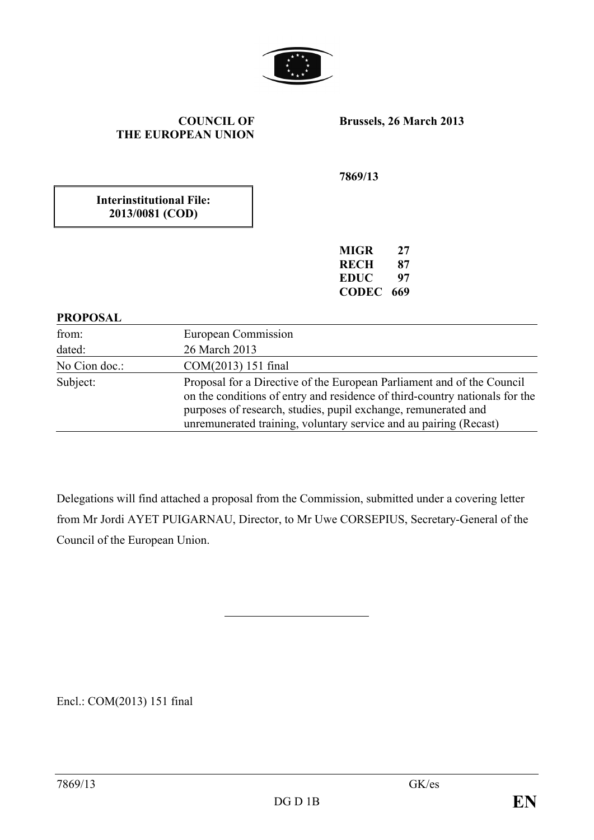

#### **COUNCIL OF THE EUROPEAN UNION**

**Brussels, 26 March 2013**

**7869/13**

**Interinstitutional File: 2013/0081 (COD)**

| <b>MIGR</b> | 27  |
|-------------|-----|
| RECH        | 87  |
| EDUC        | 97  |
| CODEC       | 669 |

#### **PROPOSAL**

| from:         | European Commission                                                                                                                                                                                                                                                                          |
|---------------|----------------------------------------------------------------------------------------------------------------------------------------------------------------------------------------------------------------------------------------------------------------------------------------------|
| dated:        | 26 March 2013                                                                                                                                                                                                                                                                                |
| No Cion doc.: | COM(2013) 151 final                                                                                                                                                                                                                                                                          |
| Subject:      | Proposal for a Directive of the European Parliament and of the Council<br>on the conditions of entry and residence of third-country nationals for the<br>purposes of research, studies, pupil exchange, remunerated and<br>unremunerated training, voluntary service and au pairing (Recast) |

Delegations will find attached a proposal from the Commission, submitted under a covering letter from Mr Jordi AYET PUIGARNAU, Director, to Mr Uwe CORSEPIUS, Secretary-General of the Council of the European Union.

Encl.: COM(2013) 151 final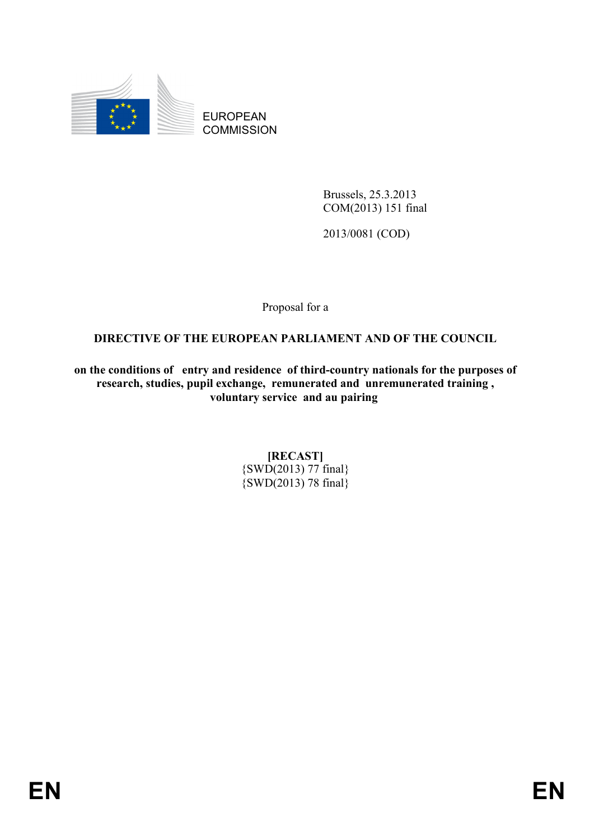

EUROPEAN **COMMISSION** 

> Brussels, 25.3.2013 COM(2013) 151 final

2013/0081 (COD)

Proposal for a

# **DIRECTIVE OF THE EUROPEAN PARLIAMENT AND OF THE COUNCIL**

**on the conditions of entry and residence of third-country nationals for the purposes of research, studies, pupil exchange, remunerated and unremunerated training , voluntary service and au pairing**

> **[RECAST]** {SWD(2013) 77 final} {SWD(2013) 78 final}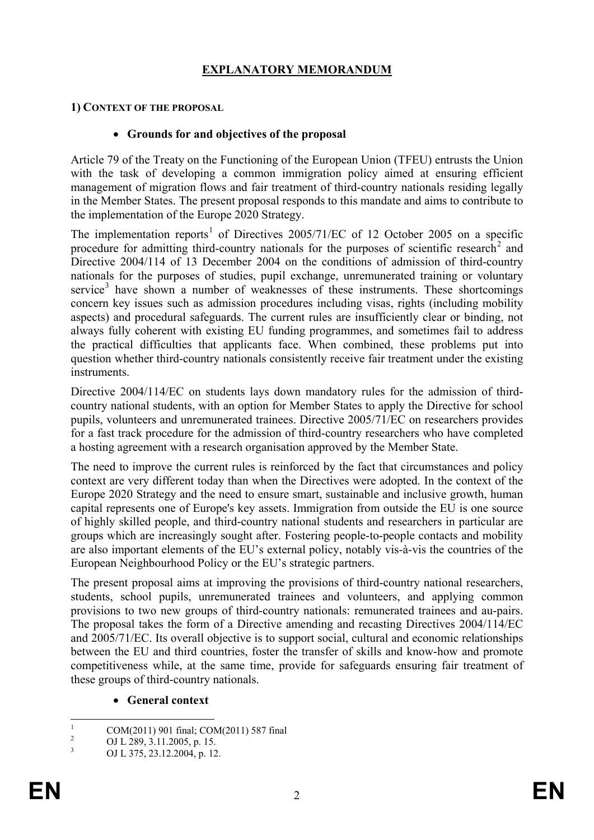# **EXPLANATORY MEMORANDUM**

#### **1) CONTEXT OF THE PROPOSAL**

#### • **Grounds for and objectives of the proposal**

Article 79 of the Treaty on the Functioning of the European Union (TFEU) entrusts the Union with the task of developing a common immigration policy aimed at ensuring efficient management of migration flows and fair treatment of third-country nationals residing legally in the Member States. The present proposal responds to this mandate and aims to contribute to the implementation of the Europe 2020 Strategy.

The implementation reports<sup>[1](#page-2-0)</sup> of Directives  $2005/71/EC$  of 12 October 2005 on a specific procedure for admitting third-country nationals for the purposes of scientific research<sup>[2](#page-2-1)</sup> and Directive 2004/114 of 13 December 2004 on the conditions of admission of third-country nationals for the purposes of studies, pupil exchange, unremunerated training or voluntary service<sup>[3](#page-2-2)</sup> have shown a number of weaknesses of these instruments. These shortcomings concern key issues such as admission procedures including visas, rights (including mobility aspects) and procedural safeguards. The current rules are insufficiently clear or binding, not always fully coherent with existing EU funding programmes, and sometimes fail to address the practical difficulties that applicants face. When combined, these problems put into question whether third-country nationals consistently receive fair treatment under the existing instruments.

Directive 2004/114/EC on students lays down mandatory rules for the admission of thirdcountry national students, with an option for Member States to apply the Directive for school pupils, volunteers and unremunerated trainees. Directive 2005/71/EC on researchers provides for a fast track procedure for the admission of third-country researchers who have completed a hosting agreement with a research organisation approved by the Member State.

The need to improve the current rules is reinforced by the fact that circumstances and policy context are very different today than when the Directives were adopted. In the context of the Europe 2020 Strategy and the need to ensure smart, sustainable and inclusive growth, human capital represents one of Europe's key assets. Immigration from outside the EU is one source of highly skilled people, and third-country national students and researchers in particular are groups which are increasingly sought after. Fostering people-to-people contacts and mobility are also important elements of the EU's external policy, notably vis-à-vis the countries of the European Neighbourhood Policy or the EU's strategic partners.

The present proposal aims at improving the provisions of third-country national researchers, students, school pupils, unremunerated trainees and volunteers, and applying common provisions to two new groups of third-country nationals: remunerated trainees and au-pairs. The proposal takes the form of a Directive amending and recasting Directives 2004/114/EC and 2005/71/EC. Its overall objective is to support social, cultural and economic relationships between the EU and third countries, foster the transfer of skills and know-how and promote competitiveness while, at the same time, provide for safeguards ensuring fair treatment of these groups of third-country nationals.

#### • **General context**

<span id="page-2-1"></span><span id="page-2-0"></span><sup>1</sup> COM(2011) 901 final; COM(2011) 587 final<br><sup>2</sup> OJ L 289, 3.11.2005, p. 15.<br>OJ L 375, 23.12.2004, p. 12.

<span id="page-2-2"></span>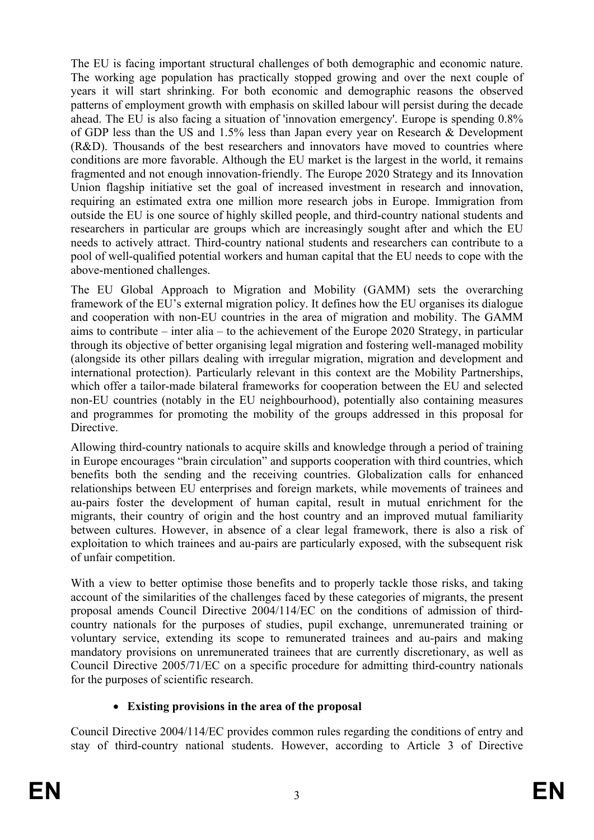The EU is facing important structural challenges of both demographic and economic nature. The working age population has practically stopped growing and over the next couple of years it will start shrinking. For both economic and demographic reasons the observed patterns of employment growth with emphasis on skilled labour will persist during the decade ahead. The EU is also facing a situation of 'innovation emergency'. Europe is spending 0.8% of GDP less than the US and 1.5% less than Japan every year on Research & Development (R&D). Thousands of the best researchers and innovators have moved to countries where conditions are more favorable. Although the EU market is the largest in the world, it remains fragmented and not enough innovation-friendly. The Europe 2020 Strategy and its Innovation Union flagship initiative set the goal of increased investment in research and innovation, requiring an estimated extra one million more research jobs in Europe. Immigration from outside the EU is one source of highly skilled people, and third-country national students and researchers in particular are groups which are increasingly sought after and which the EU needs to actively attract. Third-country national students and researchers can contribute to a pool of well-qualified potential workers and human capital that the EU needs to cope with the above-mentioned challenges.

The EU Global Approach to Migration and Mobility (GAMM) sets the overarching framework of the EU's external migration policy. It defines how the EU organises its dialogue and cooperation with non-EU countries in the area of migration and mobility. The GAMM aims to contribute – inter alia – to the achievement of the Europe 2020 Strategy, in particular through its objective of better organising legal migration and fostering well-managed mobility (alongside its other pillars dealing with irregular migration, migration and development and international protection). Particularly relevant in this context are the Mobility Partnerships, which offer a tailor-made bilateral frameworks for cooperation between the EU and selected non-EU countries (notably in the EU neighbourhood), potentially also containing measures and programmes for promoting the mobility of the groups addressed in this proposal for Directive.

Allowing third-country nationals to acquire skills and knowledge through a period of training in Europe encourages "brain circulation" and supports cooperation with third countries, which benefits both the sending and the receiving countries. Globalization calls for enhanced relationships between EU enterprises and foreign markets, while movements of trainees and au-pairs foster the development of human capital, result in mutual enrichment for the migrants, their country of origin and the host country and an improved mutual familiarity between cultures. However, in absence of a clear legal framework, there is also a risk of exploitation to which trainees and au-pairs are particularly exposed, with the subsequent risk of unfair competition.

With a view to better optimise those benefits and to properly tackle those risks, and taking account of the similarities of the challenges faced by these categories of migrants, the present proposal amends Council Directive 2004/114/EC on the conditions of admission of thirdcountry nationals for the purposes of studies, pupil exchange, unremunerated training or voluntary service, extending its scope to remunerated trainees and au-pairs and making mandatory provisions on unremunerated trainees that are currently discretionary, as well as Council Directive 2005/71/EC on a specific procedure for admitting third-country nationals for the purposes of scientific research.

## • **Existing provisions in the area of the proposal**

Council Directive 2004/114/EC provides common rules regarding the conditions of entry and stay of third-country national students. However, according to Article 3 of Directive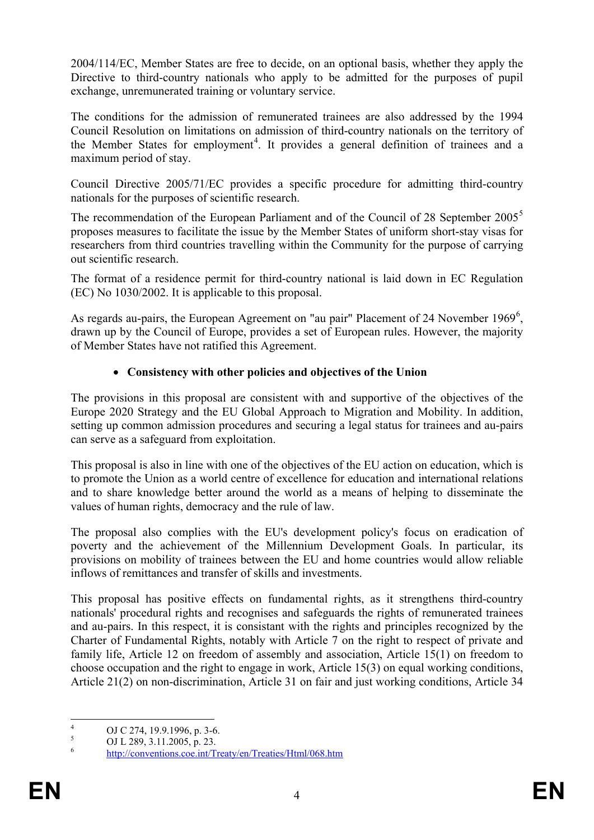2004/114/EC, Member States are free to decide, on an optional basis, whether they apply the Directive to third-country nationals who apply to be admitted for the purposes of pupil exchange, unremunerated training or voluntary service.

The conditions for the admission of remunerated trainees are also addressed by the 1994 Council Resolution on limitations on admission of third-country nationals on the territory of the Member States for employment<sup>[4](#page-4-0)</sup>. It provides a general definition of trainees and a maximum period of stay.

Council Directive 2005/71/EC provides a specific procedure for admitting third-country nationals for the purposes of scientific research.

The recommendation of the European Parliament and of the Council of 28 September 200[5](#page-4-1)<sup>5</sup> proposes measures to facilitate the issue by the Member States of uniform short-stay visas for researchers from third countries travelling within the Community for the purpose of carrying out scientific research.

The format of a residence permit for third-country national is laid down in EC Regulation (EC) No 1030/2002. It is applicable to this proposal.

As regards au-pairs, the European Agreement on "au pair" Placement of 24 November 19[6](#page-4-2)9<sup>6</sup>, drawn up by the Council of Europe, provides a set of European rules. However, the majority of Member States have not ratified this Agreement.

## • **Consistency with other policies and objectives of the Union**

The provisions in this proposal are consistent with and supportive of the objectives of the Europe 2020 Strategy and the EU Global Approach to Migration and Mobility. In addition, setting up common admission procedures and securing a legal status for trainees and au-pairs can serve as a safeguard from exploitation.

This proposal is also in line with one of the objectives of the EU action on education, which is to promote the Union as a world centre of excellence for education and international relations and to share knowledge better around the world as a means of helping to disseminate the values of human rights, democracy and the rule of law.

The proposal also complies with the EU's development policy's focus on eradication of poverty and the achievement of the Millennium Development Goals. In particular, its provisions on mobility of trainees between the EU and home countries would allow reliable inflows of remittances and transfer of skills and investments.

This proposal has positive effects on fundamental rights, as it strengthens third-country nationals' procedural rights and recognises and safeguards the rights of remunerated trainees and au-pairs. In this respect, it is consistant with the rights and principles recognized by the Charter of Fundamental Rights, notably with Article 7 on the right to respect of private and family life, Article 12 on freedom of assembly and association, Article 15(1) on freedom to choose occupation and the right to engage in work, Article 15(3) on equal working conditions, Article 21(2) on non-discrimination, Article 31 on fair and just working conditions, Article 34

<span id="page-4-2"></span><span id="page-4-1"></span>

<span id="page-4-0"></span><sup>4</sup> OJ C 274, 19.9.1996, p. 3-6.<br>
5 OJ L 289, 3.11.2005, p. 23.<br> <http://conventions.coe.int/Treaty/en/Treaties/Html/068.htm>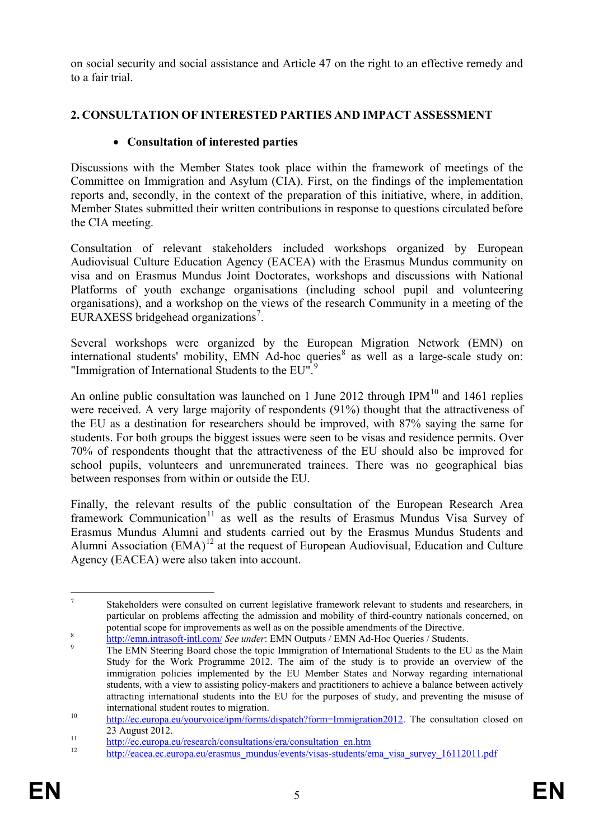on social security and social assistance and Article 47 on the right to an effective remedy and to a fair trial.

# **2. CONSULTATION OF INTERESTED PARTIES AND IMPACT ASSESSMENT**

## • **Consultation of interested parties**

Discussions with the Member States took place within the framework of meetings of the Committee on Immigration and Asylum (CIA). First, on the findings of the implementation reports and, secondly, in the context of the preparation of this initiative, where, in addition, Member States submitted their written contributions in response to questions circulated before the CIA meeting.

Consultation of relevant stakeholders included workshops organized by European Audiovisual Culture Education Agency (EACEA) with the Erasmus Mundus community on visa and on Erasmus Mundus Joint Doctorates, workshops and discussions with National Platforms of youth exchange organisations (including school pupil and volunteering organisations), and a workshop on the views of the research Community in a meeting of the EURAXESS bridgehead organizations<sup>[7](#page-5-0)</sup>.

Several workshops were organized by the European Migration Network (EMN) on international students' mobility, EMN Ad-hoc queries  $\delta$  as well as a large-scale study on: "Immigration of International Students to the EU".<sup>[9](#page-5-2)</sup>

An online public consultation was launched on 1 June 2012 through IPM $^{10}$  $^{10}$  $^{10}$  and 1461 replies were received. A very large majority of respondents (91%) thought that the attractiveness of the EU as a destination for researchers should be improved, with 87% saying the same for students. For both groups the biggest issues were seen to be visas and residence permits. Over 70% of respondents thought that the attractiveness of the EU should also be improved for school pupils, volunteers and unremunerated trainees. There was no geographical bias between responses from within or outside the EU.

Finally, the relevant results of the public consultation of the European Research Area framework Communication<sup>[11](#page-5-4)</sup> as well as the results of Erasmus Mundus Visa Survey of Erasmus Mundus Alumni and students carried out by the Erasmus Mundus Students and Alumni Association  $(EMA)^{12}$  $(EMA)^{12}$  $(EMA)^{12}$  at the request of European Audiovisual, Education and Culture Agency (EACEA) were also taken into account.

<span id="page-5-0"></span><sup>&</sup>lt;sup>7</sup> Stakeholders were consulted on current legislative framework relevant to students and researchers, in particular on problems affecting the admission and mobility of third-country nationals concerned, on potential scope for improvements as well as on the possible amendments of the Directive.<br>
<sup>8</sup><br>
<sup>9</sup><br>
The EMN Steering Board chose the topic Immigration of International Students to the EU as the Main

<span id="page-5-1"></span>

<span id="page-5-2"></span>Study for the Work Programme 2012. The aim of the study is to provide an overview of the immigration policies implemented by the EU Member States and Norway regarding international students, with a view to assisting policy-makers and practitioners to achieve a balance between actively attracting international students into the EU for the purposes of study, and preventing the misuse of international student routes to migration.

<span id="page-5-3"></span> $\frac{10}{\text{http://ec.europa.eu/vourvoice/ipm/forms/dispatch?form=Im migration2012}$ . The consultation closed on 23 August 2012.<br>
11 [http://ec.europa.eu/research/consultations/era/consultation\\_en.htm](http://ec.europa.eu/research/consultations/era/consultation_en.htm)<br>
12 [http://eacea.ec.europa.eu/erasmus\\_mundus/events/visas-students/ema\\_visa\\_survey\\_16112011.pdf](http://eacea.ec.europa.eu/erasmus_mundus/events/visas-students/ema_visa_survey_16112011.pdf)

<span id="page-5-4"></span>

<span id="page-5-5"></span>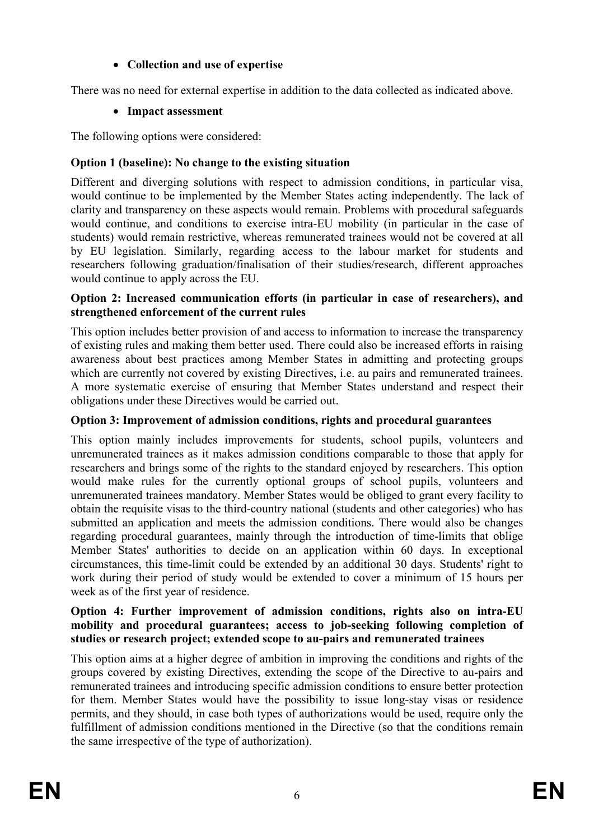# • **Collection and use of expertise**

There was no need for external expertise in addition to the data collected as indicated above.

# • **Impact assessment**

The following options were considered:

# **Option 1 (baseline): No change to the existing situation**

Different and diverging solutions with respect to admission conditions, in particular visa, would continue to be implemented by the Member States acting independently. The lack of clarity and transparency on these aspects would remain. Problems with procedural safeguards would continue, and conditions to exercise intra-EU mobility (in particular in the case of students) would remain restrictive, whereas remunerated trainees would not be covered at all by EU legislation. Similarly, regarding access to the labour market for students and researchers following graduation/finalisation of their studies/research, different approaches would continue to apply across the EU.

#### **Option 2: Increased communication efforts (in particular in case of researchers), and strengthened enforcement of the current rules**

This option includes better provision of and access to information to increase the transparency of existing rules and making them better used. There could also be increased efforts in raising awareness about best practices among Member States in admitting and protecting groups which are currently not covered by existing Directives, *i.e.* au pairs and remunerated trainees. A more systematic exercise of ensuring that Member States understand and respect their obligations under these Directives would be carried out.

# **Option 3: Improvement of admission conditions, rights and procedural guarantees**

This option mainly includes improvements for students, school pupils, volunteers and unremunerated trainees as it makes admission conditions comparable to those that apply for researchers and brings some of the rights to the standard enjoyed by researchers. This option would make rules for the currently optional groups of school pupils, volunteers and unremunerated trainees mandatory. Member States would be obliged to grant every facility to obtain the requisite visas to the third-country national (students and other categories) who has submitted an application and meets the admission conditions. There would also be changes regarding procedural guarantees, mainly through the introduction of time-limits that oblige Member States' authorities to decide on an application within 60 days. In exceptional circumstances, this time-limit could be extended by an additional 30 days. Students' right to work during their period of study would be extended to cover a minimum of 15 hours per week as of the first year of residence.

#### **Option 4: Further improvement of admission conditions, rights also on intra-EU mobility and procedural guarantees; access to job-seeking following completion of studies or research project; extended scope to au-pairs and remunerated trainees**

This option aims at a higher degree of ambition in improving the conditions and rights of the groups covered by existing Directives, extending the scope of the Directive to au-pairs and remunerated trainees and introducing specific admission conditions to ensure better protection for them. Member States would have the possibility to issue long-stay visas or residence permits, and they should, in case both types of authorizations would be used, require only the fulfillment of admission conditions mentioned in the Directive (so that the conditions remain the same irrespective of the type of authorization).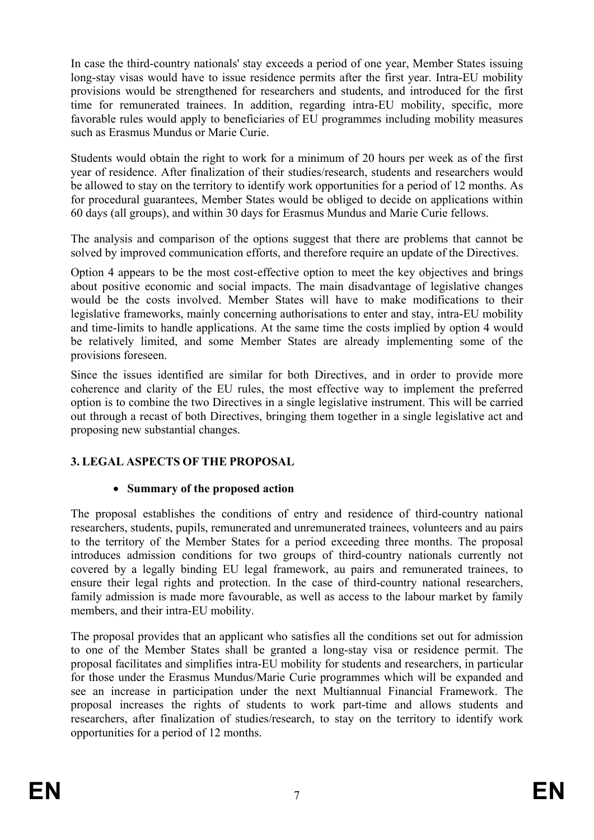In case the third-country nationals' stay exceeds a period of one year, Member States issuing long-stay visas would have to issue residence permits after the first year. Intra-EU mobility provisions would be strengthened for researchers and students, and introduced for the first time for remunerated trainees. In addition, regarding intra-EU mobility, specific, more favorable rules would apply to beneficiaries of EU programmes including mobility measures such as Erasmus Mundus or Marie Curie.

Students would obtain the right to work for a minimum of 20 hours per week as of the first year of residence. After finalization of their studies/research, students and researchers would be allowed to stay on the territory to identify work opportunities for a period of 12 months. As for procedural guarantees, Member States would be obliged to decide on applications within 60 days (all groups), and within 30 days for Erasmus Mundus and Marie Curie fellows.

The analysis and comparison of the options suggest that there are problems that cannot be solved by improved communication efforts, and therefore require an update of the Directives.

Option 4 appears to be the most cost-effective option to meet the key objectives and brings about positive economic and social impacts. The main disadvantage of legislative changes would be the costs involved. Member States will have to make modifications to their legislative frameworks, mainly concerning authorisations to enter and stay, intra-EU mobility and time-limits to handle applications. At the same time the costs implied by option 4 would be relatively limited, and some Member States are already implementing some of the provisions foreseen.

Since the issues identified are similar for both Directives, and in order to provide more coherence and clarity of the EU rules, the most effective way to implement the preferred option is to combine the two Directives in a single legislative instrument. This will be carried out through a recast of both Directives, bringing them together in a single legislative act and proposing new substantial changes.

## **3. LEGAL ASPECTS OF THE PROPOSAL**

## • **Summary of the proposed action**

The proposal establishes the conditions of entry and residence of third-country national researchers, students, pupils, remunerated and unremunerated trainees, volunteers and au pairs to the territory of the Member States for a period exceeding three months. The proposal introduces admission conditions for two groups of third-country nationals currently not covered by a legally binding EU legal framework, au pairs and remunerated trainees, to ensure their legal rights and protection. In the case of third-country national researchers, family admission is made more favourable, as well as access to the labour market by family members, and their intra-EU mobility.

The proposal provides that an applicant who satisfies all the conditions set out for admission to one of the Member States shall be granted a long-stay visa or residence permit. The proposal facilitates and simplifies intra-EU mobility for students and researchers, in particular for those under the Erasmus Mundus/Marie Curie programmes which will be expanded and see an increase in participation under the next Multiannual Financial Framework. The proposal increases the rights of students to work part-time and allows students and researchers, after finalization of studies/research, to stay on the territory to identify work opportunities for a period of 12 months.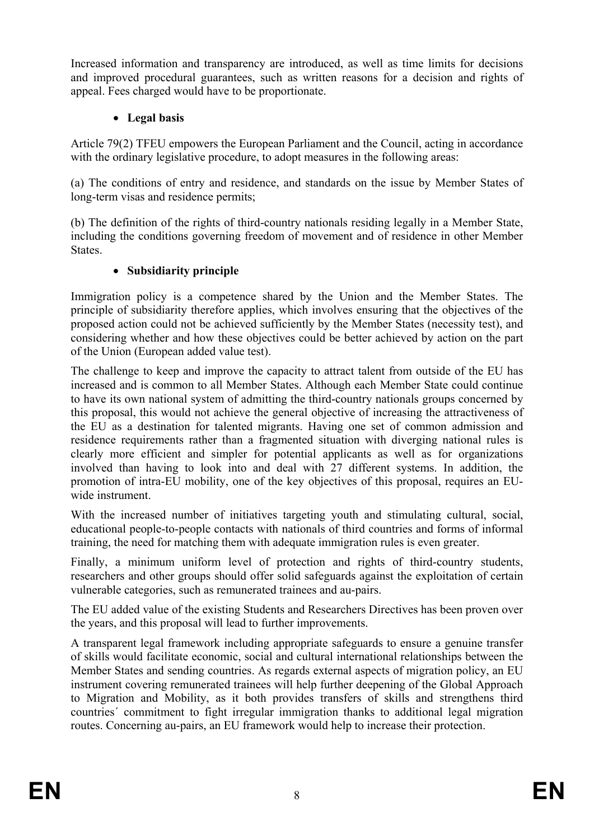Increased information and transparency are introduced, as well as time limits for decisions and improved procedural guarantees, such as written reasons for a decision and rights of appeal. Fees charged would have to be proportionate.

# • **Legal basis**

Article 79(2) TFEU empowers the European Parliament and the Council, acting in accordance with the ordinary legislative procedure, to adopt measures in the following areas:

(a) The conditions of entry and residence, and standards on the issue by Member States of long-term visas and residence permits;

(b) The definition of the rights of third-country nationals residing legally in a Member State, including the conditions governing freedom of movement and of residence in other Member States.

# • **Subsidiarity principle**

Immigration policy is a competence shared by the Union and the Member States. The principle of subsidiarity therefore applies, which involves ensuring that the objectives of the proposed action could not be achieved sufficiently by the Member States (necessity test), and considering whether and how these objectives could be better achieved by action on the part of the Union (European added value test).

The challenge to keep and improve the capacity to attract talent from outside of the EU has increased and is common to all Member States. Although each Member State could continue to have its own national system of admitting the third-country nationals groups concerned by this proposal, this would not achieve the general objective of increasing the attractiveness of the EU as a destination for talented migrants. Having one set of common admission and residence requirements rather than a fragmented situation with diverging national rules is clearly more efficient and simpler for potential applicants as well as for organizations involved than having to look into and deal with 27 different systems. In addition, the promotion of intra-EU mobility, one of the key objectives of this proposal, requires an EUwide instrument.

With the increased number of initiatives targeting youth and stimulating cultural, social, educational people-to-people contacts with nationals of third countries and forms of informal training, the need for matching them with adequate immigration rules is even greater.

Finally, a minimum uniform level of protection and rights of third-country students, researchers and other groups should offer solid safeguards against the exploitation of certain vulnerable categories, such as remunerated trainees and au-pairs.

The EU added value of the existing Students and Researchers Directives has been proven over the years, and this proposal will lead to further improvements.

A transparent legal framework including appropriate safeguards to ensure a genuine transfer of skills would facilitate economic, social and cultural international relationships between the Member States and sending countries. As regards external aspects of migration policy, an EU instrument covering remunerated trainees will help further deepening of the Global Approach to Migration and Mobility, as it both provides transfers of skills and strengthens third countries´ commitment to fight irregular immigration thanks to additional legal migration routes. Concerning au-pairs, an EU framework would help to increase their protection.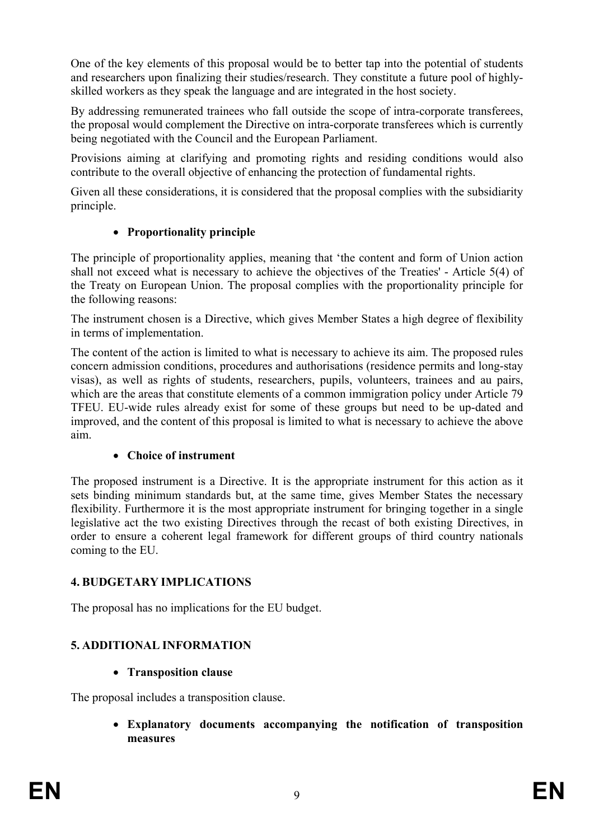One of the key elements of this proposal would be to better tap into the potential of students and researchers upon finalizing their studies/research. They constitute a future pool of highlyskilled workers as they speak the language and are integrated in the host society.

By addressing remunerated trainees who fall outside the scope of intra-corporate transferees, the proposal would complement the Directive on intra-corporate transferees which is currently being negotiated with the Council and the European Parliament.

Provisions aiming at clarifying and promoting rights and residing conditions would also contribute to the overall objective of enhancing the protection of fundamental rights.

Given all these considerations, it is considered that the proposal complies with the subsidiarity principle.

# • **Proportionality principle**

The principle of proportionality applies, meaning that 'the content and form of Union action shall not exceed what is necessary to achieve the objectives of the Treaties' - Article 5(4) of the Treaty on European Union. The proposal complies with the proportionality principle for the following reasons:

The instrument chosen is a Directive, which gives Member States a high degree of flexibility in terms of implementation.

The content of the action is limited to what is necessary to achieve its aim. The proposed rules concern admission conditions, procedures and authorisations (residence permits and long-stay visas), as well as rights of students, researchers, pupils, volunteers, trainees and au pairs, which are the areas that constitute elements of a common immigration policy under Article 79 TFEU. EU-wide rules already exist for some of these groups but need to be up-dated and improved, and the content of this proposal is limited to what is necessary to achieve the above aim.

## • **Choice of instrument**

The proposed instrument is a Directive. It is the appropriate instrument for this action as it sets binding minimum standards but, at the same time, gives Member States the necessary flexibility. Furthermore it is the most appropriate instrument for bringing together in a single legislative act the two existing Directives through the recast of both existing Directives, in order to ensure a coherent legal framework for different groups of third country nationals coming to the EU.

## **4. BUDGETARY IMPLICATIONS**

The proposal has no implications for the EU budget.

# **5. ADDITIONAL INFORMATION**

## • **Transposition clause**

The proposal includes a transposition clause.

#### • **Explanatory documents accompanying the notification of transposition measures**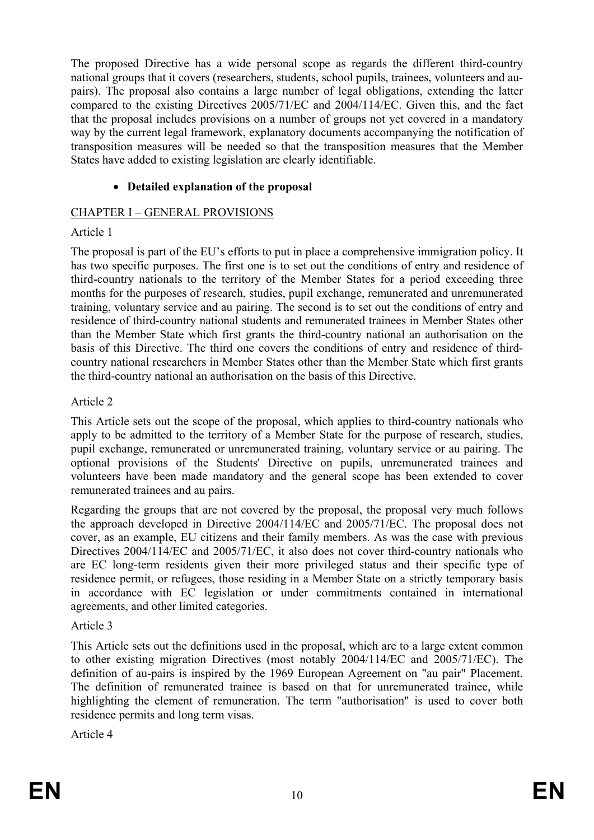The proposed Directive has a wide personal scope as regards the different third-country national groups that it covers (researchers, students, school pupils, trainees, volunteers and aupairs). The proposal also contains a large number of legal obligations, extending the latter compared to the existing Directives 2005/71/EC and 2004/114/EC. Given this, and the fact that the proposal includes provisions on a number of groups not yet covered in a mandatory way by the current legal framework, explanatory documents accompanying the notification of transposition measures will be needed so that the transposition measures that the Member States have added to existing legislation are clearly identifiable.

# • **Detailed explanation of the proposal**

# CHAPTER I – GENERAL PROVISIONS

# Article 1

The proposal is part of the EU's efforts to put in place a comprehensive immigration policy. It has two specific purposes. The first one is to set out the conditions of entry and residence of third-country nationals to the territory of the Member States for a period exceeding three months for the purposes of research, studies, pupil exchange, remunerated and unremunerated training, voluntary service and au pairing. The second is to set out the conditions of entry and residence of third-country national students and remunerated trainees in Member States other than the Member State which first grants the third-country national an authorisation on the basis of this Directive. The third one covers the conditions of entry and residence of thirdcountry national researchers in Member States other than the Member State which first grants the third-country national an authorisation on the basis of this Directive.

# Article 2

This Article sets out the scope of the proposal, which applies to third-country nationals who apply to be admitted to the territory of a Member State for the purpose of research, studies, pupil exchange, remunerated or unremunerated training, voluntary service or au pairing. The optional provisions of the Students' Directive on pupils, unremunerated trainees and volunteers have been made mandatory and the general scope has been extended to cover remunerated trainees and au pairs.

Regarding the groups that are not covered by the proposal, the proposal very much follows the approach developed in Directive 2004/114/EC and 2005/71/EC. The proposal does not cover, as an example, EU citizens and their family members. As was the case with previous Directives 2004/114/EC and 2005/71/EC, it also does not cover third-country nationals who are EC long-term residents given their more privileged status and their specific type of residence permit, or refugees, those residing in a Member State on a strictly temporary basis in accordance with EC legislation or under commitments contained in international agreements, and other limited categories.

## Article 3

This Article sets out the definitions used in the proposal, which are to a large extent common to other existing migration Directives (most notably 2004/114/EC and 2005/71/EC). The definition of au-pairs is inspired by the 1969 European Agreement on "au pair" Placement. The definition of remunerated trainee is based on that for unremunerated trainee, while highlighting the element of remuneration. The term "authorisation" is used to cover both residence permits and long term visas.

Article 4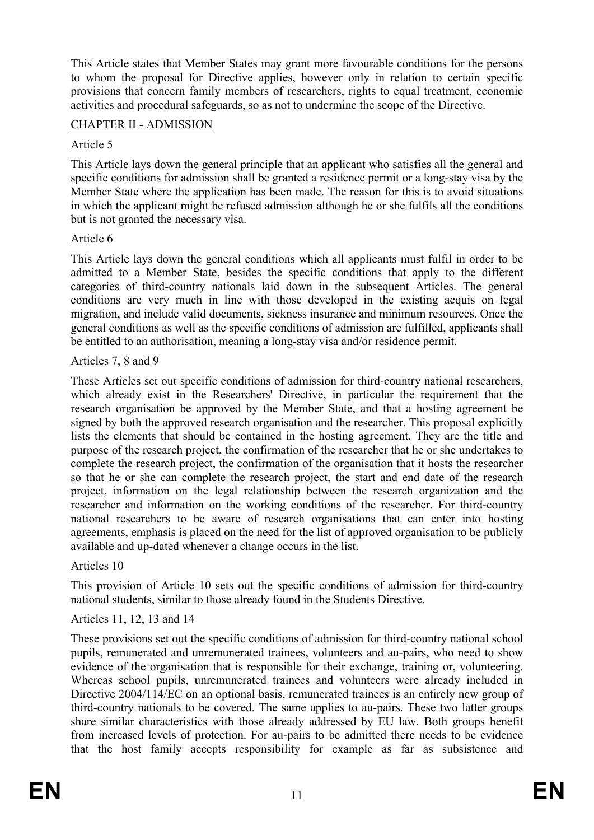This Article states that Member States may grant more favourable conditions for the persons to whom the proposal for Directive applies, however only in relation to certain specific provisions that concern family members of researchers, rights to equal treatment, economic activities and procedural safeguards, so as not to undermine the scope of the Directive.

## CHAPTER II - ADMISSION

#### Article 5

This Article lays down the general principle that an applicant who satisfies all the general and specific conditions for admission shall be granted a residence permit or a long-stay visa by the Member State where the application has been made. The reason for this is to avoid situations in which the applicant might be refused admission although he or she fulfils all the conditions but is not granted the necessary visa.

#### Article 6

This Article lays down the general conditions which all applicants must fulfil in order to be admitted to a Member State, besides the specific conditions that apply to the different categories of third-country nationals laid down in the subsequent Articles. The general conditions are very much in line with those developed in the existing acquis on legal migration, and include valid documents, sickness insurance and minimum resources. Once the general conditions as well as the specific conditions of admission are fulfilled, applicants shall be entitled to an authorisation, meaning a long-stay visa and/or residence permit.

#### Articles 7, 8 and 9

These Articles set out specific conditions of admission for third-country national researchers, which already exist in the Researchers' Directive, in particular the requirement that the research organisation be approved by the Member State, and that a hosting agreement be signed by both the approved research organisation and the researcher. This proposal explicitly lists the elements that should be contained in the hosting agreement. They are the title and purpose of the research project, the confirmation of the researcher that he or she undertakes to complete the research project, the confirmation of the organisation that it hosts the researcher so that he or she can complete the research project, the start and end date of the research project, information on the legal relationship between the research organization and the researcher and information on the working conditions of the researcher. For third-country national researchers to be aware of research organisations that can enter into hosting agreements, emphasis is placed on the need for the list of approved organisation to be publicly available and up-dated whenever a change occurs in the list.

## Articles 10

This provision of Article 10 sets out the specific conditions of admission for third-country national students, similar to those already found in the Students Directive.

## Articles 11, 12, 13 and 14

These provisions set out the specific conditions of admission for third-country national school pupils, remunerated and unremunerated trainees, volunteers and au-pairs, who need to show evidence of the organisation that is responsible for their exchange, training or, volunteering. Whereas school pupils, unremunerated trainees and volunteers were already included in Directive 2004/114/EC on an optional basis, remunerated trainees is an entirely new group of third-country nationals to be covered. The same applies to au-pairs. These two latter groups share similar characteristics with those already addressed by EU law. Both groups benefit from increased levels of protection. For au-pairs to be admitted there needs to be evidence that the host family accepts responsibility for example as far as subsistence and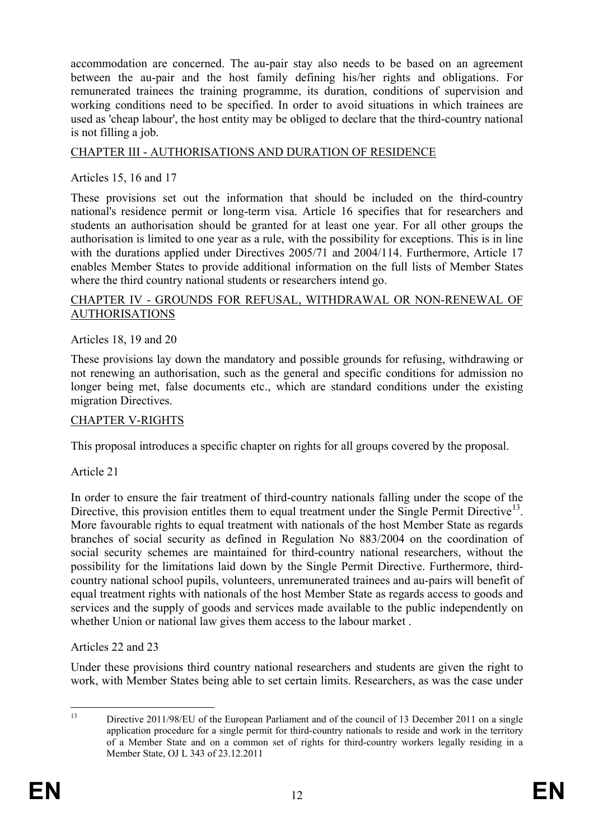accommodation are concerned. The au-pair stay also needs to be based on an agreement between the au-pair and the host family defining his/her rights and obligations. For remunerated trainees the training programme, its duration, conditions of supervision and working conditions need to be specified. In order to avoid situations in which trainees are used as 'cheap labour', the host entity may be obliged to declare that the third-country national is not filling a job.

#### CHAPTER III - AUTHORISATIONS AND DURATION OF RESIDENCE

Articles 15, 16 and 17

These provisions set out the information that should be included on the third-country national's residence permit or long-term visa. Article 16 specifies that for researchers and students an authorisation should be granted for at least one year. For all other groups the authorisation is limited to one year as a rule, with the possibility for exceptions. This is in line with the durations applied under Directives 2005/71 and 2004/114. Furthermore, Article 17 enables Member States to provide additional information on the full lists of Member States where the third country national students or researchers intend go.

#### CHAPTER IV - GROUNDS FOR REFUSAL, WITHDRAWAL OR NON-RENEWAL OF AUTHORISATIONS

Articles 18, 19 and 20

These provisions lay down the mandatory and possible grounds for refusing, withdrawing or not renewing an authorisation, such as the general and specific conditions for admission no longer being met, false documents etc., which are standard conditions under the existing migration Directives.

#### CHAPTER V-RIGHTS

This proposal introduces a specific chapter on rights for all groups covered by the proposal.

Article 21

In order to ensure the fair treatment of third-country nationals falling under the scope of the Directive, this provision entitles them to equal treatment under the Single Permit Directive<sup>13</sup>. More favourable rights to equal treatment with nationals of the host Member State as regards branches of social security as defined in Regulation No 883/2004 on the coordination of social security schemes are maintained for third-country national researchers, without the possibility for the limitations laid down by the Single Permit Directive. Furthermore, thirdcountry national school pupils, volunteers, unremunerated trainees and au-pairs will benefit of equal treatment rights with nationals of the host Member State as regards access to goods and services and the supply of goods and services made available to the public independently on whether Union or national law gives them access to the labour market .

## Articles 22 and 23

Under these provisions third country national researchers and students are given the right to work, with Member States being able to set certain limits. Researchers, as was the case under

<span id="page-12-0"></span> <sup>13</sup> Directive 2011/98/EU of the European Parliament and of the council of 13 December 2011 on a single application procedure for a single permit for third-country nationals to reside and work in the territory of a Member State and on a common set of rights for third-country workers legally residing in a Member State, OJ L 343 of 23.12.2011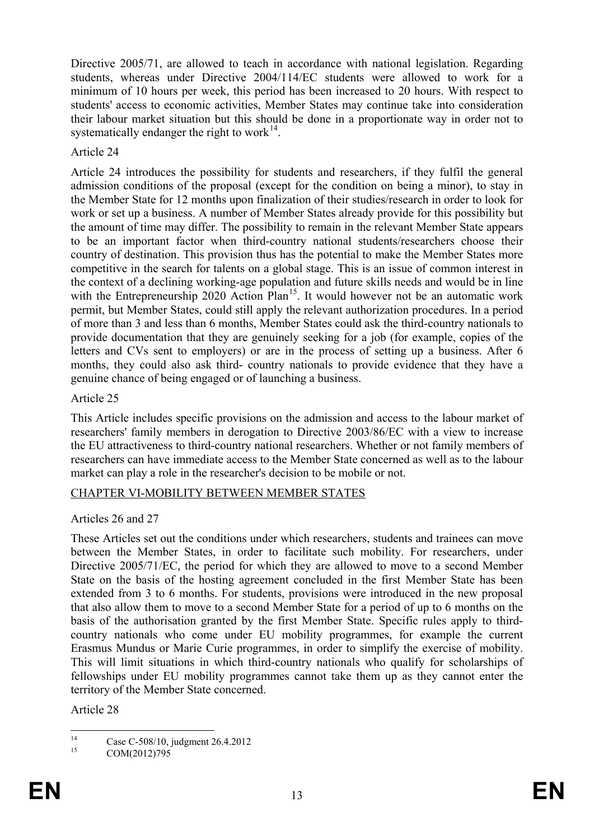Directive 2005/71, are allowed to teach in accordance with national legislation. Regarding students, whereas under Directive 2004/114/EC students were allowed to work for a minimum of 10 hours per week, this period has been increased to 20 hours. With respect to students' access to economic activities, Member States may continue take into consideration their labour market situation but this should be done in a proportionate way in order not to systematically endanger the right to work $^{14}$  $^{14}$  $^{14}$ .

# Article 24

Article 24 introduces the possibility for students and researchers, if they fulfil the general admission conditions of the proposal (except for the condition on being a minor), to stay in the Member State for 12 months upon finalization of their studies/research in order to look for work or set up a business. A number of Member States already provide for this possibility but the amount of time may differ. The possibility to remain in the relevant Member State appears to be an important factor when third-country national students/researchers choose their country of destination. This provision thus has the potential to make the Member States more competitive in the search for talents on a global stage. This is an issue of common interest in the context of a declining working-age population and future skills needs and would be in line with the Entrepreneurship 2020 Action Plan<sup>15</sup>. It would however not be an automatic work permit, but Member States, could still apply the relevant authorization procedures. In a period of more than 3 and less than 6 months, Member States could ask the third-country nationals to provide documentation that they are genuinely seeking for a job (for example, copies of the letters and CVs sent to employers) or are in the process of setting up a business. After 6 months, they could also ask third- country nationals to provide evidence that they have a genuine chance of being engaged or of launching a business.

## Article 25

This Article includes specific provisions on the admission and access to the labour market of researchers' family members in derogation to Directive 2003/86/EC with a view to increase the EU attractiveness to third-country national researchers. Whether or not family members of researchers can have immediate access to the Member State concerned as well as to the labour market can play a role in the researcher's decision to be mobile or not.

## CHAPTER VI-MOBILITY BETWEEN MEMBER STATES

## Articles 26 and 27

These Articles set out the conditions under which researchers, students and trainees can move between the Member States, in order to facilitate such mobility. For researchers, under Directive 2005/71/EC, the period for which they are allowed to move to a second Member State on the basis of the hosting agreement concluded in the first Member State has been extended from 3 to 6 months. For students, provisions were introduced in the new proposal that also allow them to move to a second Member State for a period of up to 6 months on the basis of the authorisation granted by the first Member State. Specific rules apply to thirdcountry nationals who come under EU mobility programmes, for example the current Erasmus Mundus or Marie Curie programmes, in order to simplify the exercise of mobility. This will limit situations in which third-country nationals who qualify for scholarships of fellowships under EU mobility programmes cannot take them up as they cannot enter the territory of the Member State concerned.

Article 28

<span id="page-13-0"></span><sup>&</sup>lt;sup>14</sup> Case C-508/10, judgment 26.4.2012<br>COM(2012)795

<span id="page-13-1"></span>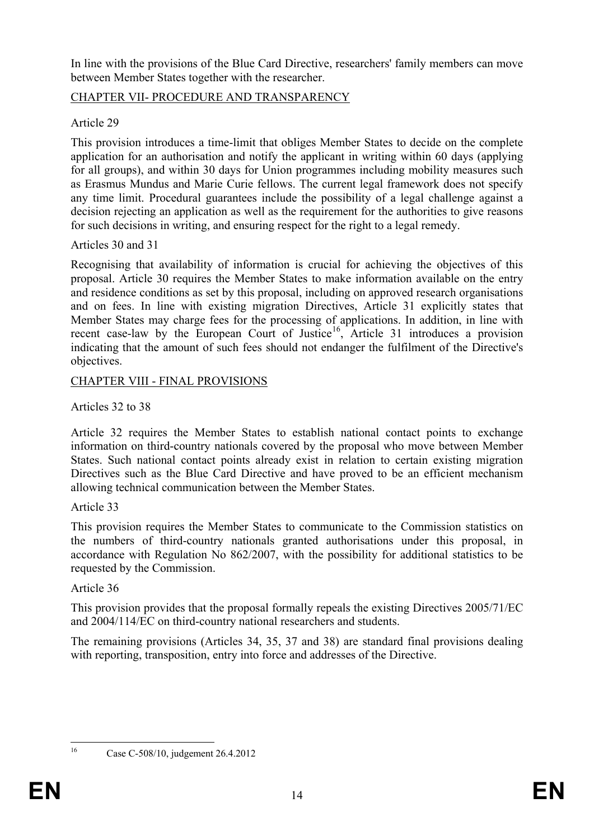In line with the provisions of the Blue Card Directive, researchers' family members can move between Member States together with the researcher.

# CHAPTER VII- PROCEDURE AND TRANSPARENCY

## Article 29

This provision introduces a time-limit that obliges Member States to decide on the complete application for an authorisation and notify the applicant in writing within 60 days (applying for all groups), and within 30 days for Union programmes including mobility measures such as Erasmus Mundus and Marie Curie fellows. The current legal framework does not specify any time limit. Procedural guarantees include the possibility of a legal challenge against a decision rejecting an application as well as the requirement for the authorities to give reasons for such decisions in writing, and ensuring respect for the right to a legal remedy.

## Articles 30 and 31

Recognising that availability of information is crucial for achieving the objectives of this proposal. Article 30 requires the Member States to make information available on the entry and residence conditions as set by this proposal, including on approved research organisations and on fees. In line with existing migration Directives, Article 31 explicitly states that Member States may charge fees for the processing of applications. In addition, in line with recent case-law by the European Court of Justice<sup>[16](#page-14-0)</sup>, Article 31 introduces a provision indicating that the amount of such fees should not endanger the fulfilment of the Directive's objectives.

#### CHAPTER VIII - FINAL PROVISIONS

Articles 32 to 38

Article 32 requires the Member States to establish national contact points to exchange information on third-country nationals covered by the proposal who move between Member States. Such national contact points already exist in relation to certain existing migration Directives such as the Blue Card Directive and have proved to be an efficient mechanism allowing technical communication between the Member States.

## Article 33

This provision requires the Member States to communicate to the Commission statistics on the numbers of third-country nationals granted authorisations under this proposal, in accordance with Regulation No 862/2007, with the possibility for additional statistics to be requested by the Commission.

#### Article 36

This provision provides that the proposal formally repeals the existing Directives 2005/71/EC and 2004/114/EC on third-country national researchers and students.

The remaining provisions (Articles 34, 35, 37 and 38) are standard final provisions dealing with reporting, transposition, entry into force and addresses of the Directive.

<span id="page-14-0"></span>

 <sup>16</sup> Case C-508/10, judgement 26.4.2012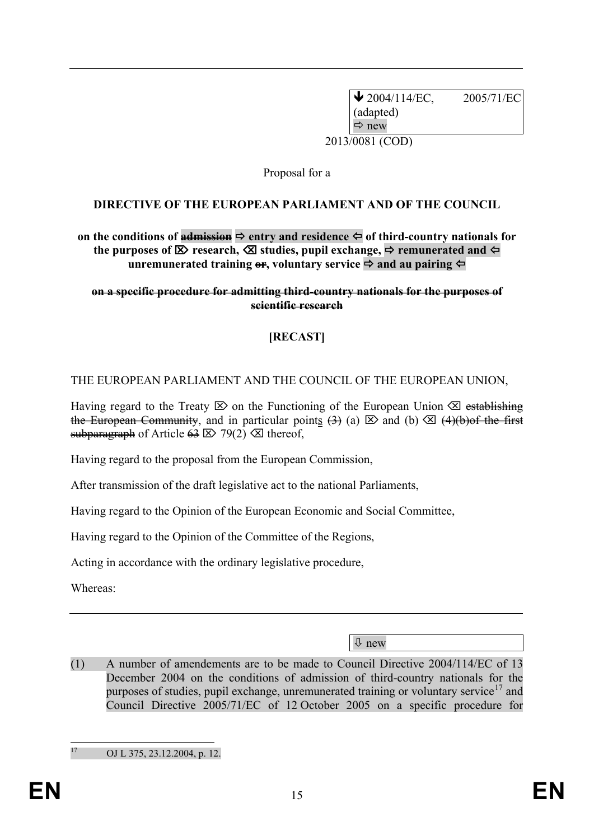$\triangle$  2004/114/EC, 2005/71/EC (adapted)  $\Rightarrow$  new 2013/0081 (COD)

Proposal for a

#### **DIRECTIVE OF THE EUROPEAN PARLIAMENT AND OF THE COUNCIL**

**on the conditions of admission**  $\Rightarrow$  entry and residence  $\Leftarrow$  of third-country nationals for **the purposes of**  $\mathbb{Z}$  **research,**  $\mathbb{Z}$  **studies, pupil exchange,**  $\Rightarrow$  **remunerated and**  $\Leftarrow$ **unremunerated training**  $\theta$ **, voluntary service**  $\Rightarrow$  and au pairing  $\Leftarrow$ 

#### **on a specific procedure for admitting third-country nationals for the purposes of scientific research**

# **[RECAST]**

#### THE EUROPEAN PARLIAMENT AND THE COUNCIL OF THE EUROPEAN UNION,

Having regard to the Treaty  $\boxtimes$  on the Functioning of the European Union  $\boxtimes$  establishing the European Community, and in particular points  $(3)$  (a)  $\boxtimes$  and (b)  $\boxtimes$   $(4)$ (b) of the first subparacraph of Article  $\cancel{\theta}$   $\cancel{\leq}$  79(2)  $\cancel{\leq}$  thereof,

Having regard to the proposal from the European Commission,

After transmission of the draft legislative act to the national Parliaments,

Having regard to the Opinion of the European Economic and Social Committee,

Having regard to the Opinion of the Committee of the Regions,

Acting in accordance with the ordinary legislative procedure,

Whereas:

new

(1) A number of amendements are to be made to Council Directive 2004/114/EC of 13 December 2004 on the conditions of admission of third-country nationals for the purposes of studies, pupil exchange, unremunerated training or voluntary service<sup>[17](#page-15-0)</sup> and Council Directive 2005/71/EC of 12 October 2005 on a specific procedure for

<span id="page-15-0"></span>17 OJ L 375, 23.12.2004, p. 12.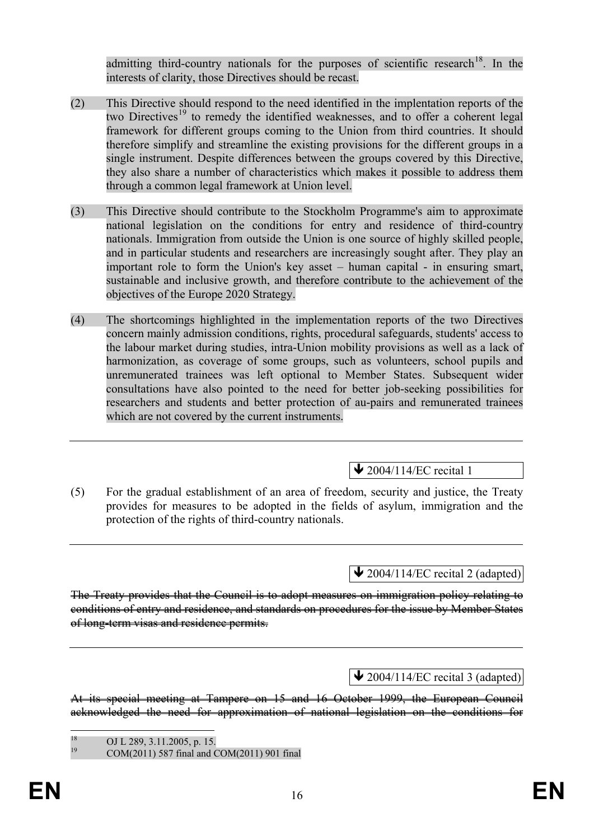admitting third-country nationals for the purposes of scientific research<sup>[18](#page-16-0)</sup>. In the interests of clarity, those Directives should be recast.

- (2) This Directive should respond to the need identified in the implentation reports of the two Directives<sup>[19](#page-16-1)</sup> to remedy the identified weaknesses, and to offer a coherent legal framework for different groups coming to the Union from third countries. It should therefore simplify and streamline the existing provisions for the different groups in a single instrument. Despite differences between the groups covered by this Directive, they also share a number of characteristics which makes it possible to address them through a common legal framework at Union level.
- (3) This Directive should contribute to the Stockholm Programme's aim to approximate national legislation on the conditions for entry and residence of third-country nationals. Immigration from outside the Union is one source of highly skilled people, and in particular students and researchers are increasingly sought after. They play an important role to form the Union's key asset – human capital - in ensuring smart, sustainable and inclusive growth, and therefore contribute to the achievement of the objectives of the Europe 2020 Strategy.
- (4) The shortcomings highlighted in the implementation reports of the two Directives concern mainly admission conditions, rights, procedural safeguards, students' access to the labour market during studies, intra-Union mobility provisions as well as a lack of harmonization, as coverage of some groups, such as volunteers, school pupils and unremunerated trainees was left optional to Member States. Subsequent wider consultations have also pointed to the need for better job-seeking possibilities for researchers and students and better protection of au-pairs and remunerated trainees which are not covered by the current instruments.

 $\bigvee$  2004/114/EC recital 1

(5) For the gradual establishment of an area of freedom, security and justice, the Treaty provides for measures to be adopted in the fields of asylum, immigration and the protection of the rights of third-country nationals.

 $\bigvee$  2004/114/EC recital 2 (adapted)

The Treaty provides that the Council is to adopt measures on immigration policy relating to conditions of entry and residence, and standards on procedures for the issue by Member States of long-term visas and residence permits.

 $\bigvee$  2004/114/EC recital 3 (adapted)

At its special meeting at Tampere on 15 and 16 October 1999, the European Council acknowledged the need for approximation of national legislation on the conditions for

<span id="page-16-1"></span><span id="page-16-0"></span><sup>&</sup>lt;sup>18</sup> OJ L 289, 3.11.2005, p. 15.<br><sup>19</sup> COM(2011) 587 final and COM(2011) 901 final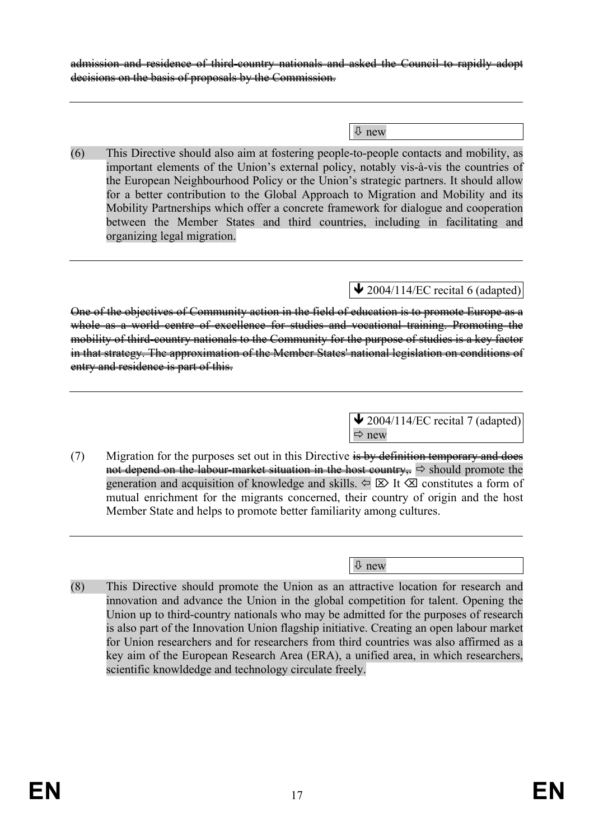admission and residence of third-country nationals and asked the Council to rapidly adopt decisions on the basis of proposals by the Commission.

new

(6) This Directive should also aim at fostering people-to-people contacts and mobility, as important elements of the Union's external policy, notably vis-à-vis the countries of the European Neighbourhood Policy or the Union's strategic partners. It should allow for a better contribution to the Global Approach to Migration and Mobility and its Mobility Partnerships which offer a concrete framework for dialogue and cooperation between the Member States and third countries, including in facilitating and organizing legal migration.

 $\triangle$  2004/114/EC recital 6 (adapted)

One of the objectives of Community action in the field of education is to promote Europe as a whole as a world centre of excellence for studies and vocational training. Promoting the mobility of third-country nationals to the Community for the purpose of studies is a key factor in that strategy. The approximation of the Member States' national legislation on conditions of entry and residence is part of this.

> $\triangle$  2004/114/EC recital 7 (adapted)  $\Rightarrow$  new

(7) Migration for the purposes set out in this Directive is by definition temporary and does not depend on the labour-market situation in the host country,  $\Rightarrow$  should promote the generation and acquisition of knowledge and skills.  $\Leftrightarrow \Box$  It  $\Box$  constitutes a form of mutual enrichment for the migrants concerned, their country of origin and the host Member State and helps to promote better familiarity among cultures.

new

(8) This Directive should promote the Union as an attractive location for research and innovation and advance the Union in the global competition for talent. Opening the Union up to third-country nationals who may be admitted for the purposes of research is also part of the Innovation Union flagship initiative. Creating an open labour market for Union researchers and for researchers from third countries was also affirmed as a key aim of the European Research Area (ERA), a unified area, in which researchers, scientific knowldedge and technology circulate freely.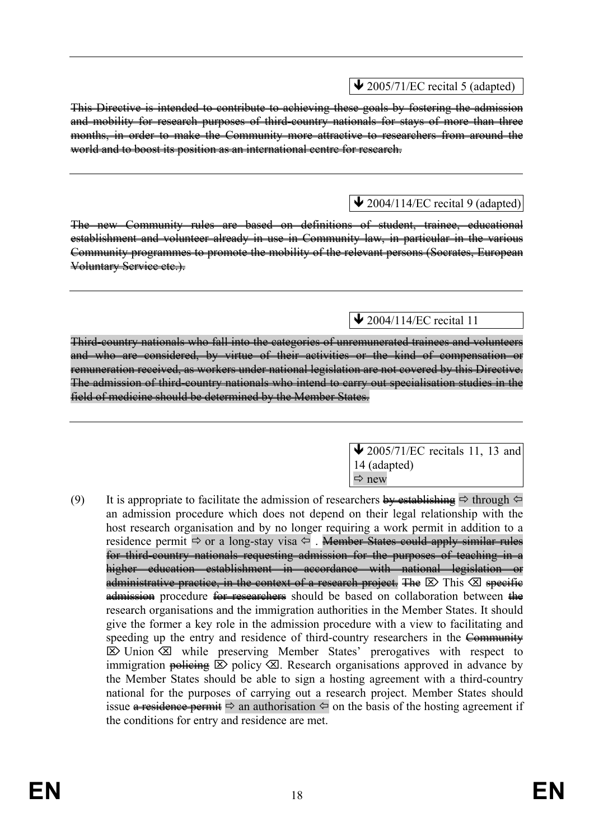# $\overline{\text{4}}$  2005/71/EC recital 5 (adapted)

This Directive is intended to contribute to achieving these goals by fostering the admission and mobility for research purposes of third-country nationals for stays of more than three months, in order to make the Community more attractive to researchers from around the world and to boost its position as an international centre for research.

# $\bigvee$  2004/114/EC recital 9 (adapted)

The new Community rules are based on definitions of student, trainee, educational establishment and volunteer already in use in Community law, in particular in the various Community programmes to promote the mobility of the relevant persons (Socrates, European Voluntary Service etc.).

# 2004/114/EC recital 11

Third-country nationals who fall into the categories of unremunerated trainees and volunteers and who are considered, by virtue of their activities or the kind of compensation or remuneration received, as workers under national legislation are not covered by this Directive. The admission of third-country nationals who intend to carry out specialisation studies in the field of medicine should be determined by the Member States.

> $\blacktriangleright$  2005/71/EC recitals 11, 13 and 14 (adapted)  $Arr$  new

(9) It is appropriate to facilitate the admission of researchers by establishing  $\Rightarrow$  through  $\Leftarrow$ an admission procedure which does not depend on their legal relationship with the host research organisation and by no longer requiring a work permit in addition to a residence permit  $\Rightarrow$  or a long-stay visa  $\Leftrightarrow$  . Member States could apply similar rules for third-country nationals requesting admission for the purposes of teaching in a higher education establishment in accordance with national legislation or administrative practice, in the context of a research project. The  $\boxtimes$  This  $\boxtimes$  specific admission procedure for researchers should be based on collaboration between the research organisations and the immigration authorities in the Member States. It should give the former a key role in the admission procedure with a view to facilitating and speeding up the entry and residence of third-country researchers in the Community  $\boxtimes$  Union  $\boxtimes$  while preserving Member States' prerogatives with respect to immigration policing  $\boxtimes$  policy  $\boxtimes$ . Research organisations approved in advance by the Member States should be able to sign a hosting agreement with a third-country national for the purposes of carrying out a research project. Member States should issue a residence permit  $\Rightarrow$  an authorisation  $\Leftarrow$  on the basis of the hosting agreement if the conditions for entry and residence are met.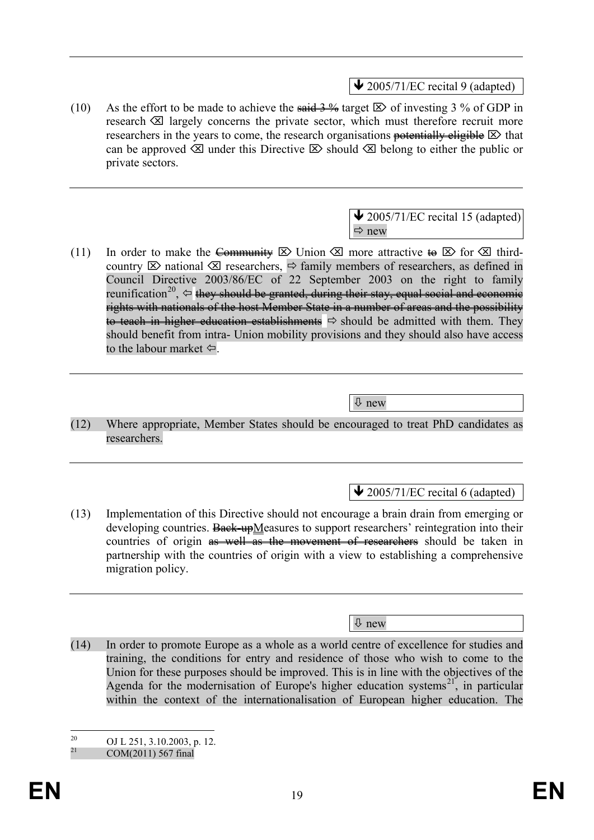$\bigvee$  2005/71/EC recital 9 (adapted)

(10) As the effort to be made to achieve the said  $3\frac{9}{6}$  target  $\boxtimes$  of investing 3 % of GDP in research  $\otimes$  largely concerns the private sector, which must therefore recruit more researchers in the years to come, the research organisations potentially eligible  $\boxtimes$  that can be approved  $\otimes$  under this Directive  $\otimes$  should  $\otimes$  belong to either the public or private sectors.

> $\triangle$  2005/71/EC recital 15 (adapted)  $\Rightarrow$  new

(11) In order to make the Community  $\boxtimes$  Union  $\boxtimes$  more attractive to  $\boxtimes$  for  $\boxtimes$  thirdcountry  $\boxtimes$  national  $\boxtimes$  researchers,  $\Rightarrow$  family members of researchers, as defined in Council Directive 2003/86/EC of 22 September 2003 on the right to family reunification<sup>[20](#page-19-0)</sup>,  $\Leftrightarrow$  they should be granted, during their stay, equal social and economic rights with nationals of the host Member State in a number of areas and the possibility to teach in higher education establishments  $\Rightarrow$  should be admitted with them. They should benefit from intra- Union mobility provisions and they should also have access to the labour market  $\Leftrightarrow$ .

new

(12) Where appropriate, Member States should be encouraged to treat PhD candidates as researchers.

 $\triangleleft$  2005/71/EC recital 6 (adapted)

(13) Implementation of this Directive should not encourage a brain drain from emerging or developing countries. Back-upMeasures to support researchers' reintegration into their countries of origin as well as the movement of researchers should be taken in partnership with the countries of origin with a view to establishing a comprehensive migration policy.

new

(14) In order to promote Europe as a whole as a world centre of excellence for studies and training, the conditions for entry and residence of those who wish to come to the Union for these purposes should be improved. This is in line with the objectives of the Agenda for the modernisation of Europe's higher education systems<sup>[21](#page-19-1)</sup>, in particular within the context of the internationalisation of European higher education. The

<span id="page-19-0"></span><sup>&</sup>lt;sup>20</sup> OJ L 251, 3.10.2003, p. 12.<br><sup>21</sup> COM(2011) 567 final

<span id="page-19-1"></span>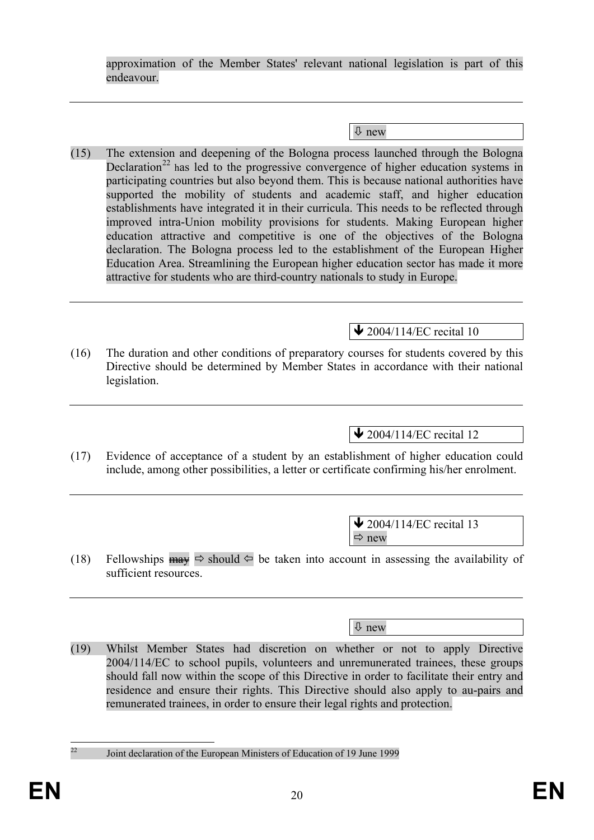approximation of the Member States' relevant national legislation is part of this endeavour.

#### new

(15) The extension and deepening of the Bologna process launched through the Bologna Declaration<sup>[22](#page-20-0)</sup> has led to the progressive convergence of higher education systems in participating countries but also beyond them. This is because national authorities have supported the mobility of students and academic staff, and higher education establishments have integrated it in their curricula. This needs to be reflected through improved intra-Union mobility provisions for students. Making European higher education attractive and competitive is one of the objectives of the Bologna declaration. The Bologna process led to the establishment of the European Higher Education Area. Streamlining the European higher education sector has made it more attractive for students who are third-country nationals to study in Europe.

 $\triangle$  2004/114/EC recital 10

(16) The duration and other conditions of preparatory courses for students covered by this Directive should be determined by Member States in accordance with their national legislation.

 $\triangle$  2004/114/EC recital 12

(17) Evidence of acceptance of a student by an establishment of higher education could include, among other possibilities, a letter or certificate confirming his/her enrolment.

> $\blacktriangleright$  2004/114/EC recital 13  $\Rightarrow$  new

(18) Fellowships  $\overline{may} \Rightarrow$  should  $\Leftrightarrow$  be taken into account in assessing the availability of sufficient resources.

new

(19) Whilst Member States had discretion on whether or not to apply Directive 2004/114/EC to school pupils, volunteers and unremunerated trainees, these groups should fall now within the scope of this Directive in order to facilitate their entry and residence and ensure their rights. This Directive should also apply to au-pairs and remunerated trainees, in order to ensure their legal rights and protection.

<span id="page-20-0"></span>

<sup>22</sup> Joint declaration of the European Ministers of Education of 19 June 1999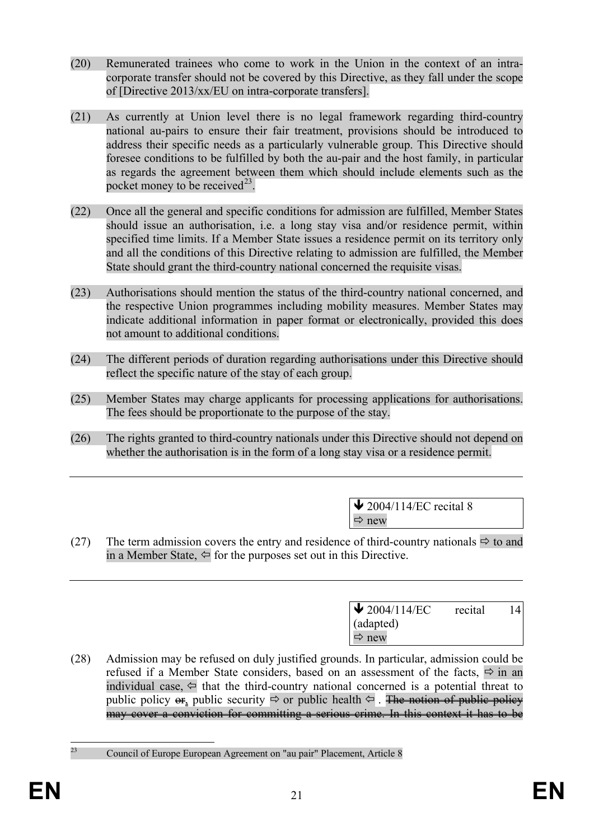- (20) Remunerated trainees who come to work in the Union in the context of an intracorporate transfer should not be covered by this Directive, as they fall under the scope of [Directive 2013/xx/EU on intra-corporate transfers].
- (21) As currently at Union level there is no legal framework regarding third-country national au-pairs to ensure their fair treatment, provisions should be introduced to address their specific needs as a particularly vulnerable group. This Directive should foresee conditions to be fulfilled by both the au-pair and the host family, in particular as regards the agreement between them which should include elements such as the pocket money to be received<sup>23</sup>.
- (22) Once all the general and specific conditions for admission are fulfilled, Member States should issue an authorisation, i.e. a long stay visa and/or residence permit, within specified time limits. If a Member State issues a residence permit on its territory only and all the conditions of this Directive relating to admission are fulfilled, the Member State should grant the third-country national concerned the requisite visas.
- (23) Authorisations should mention the status of the third-country national concerned, and the respective Union programmes including mobility measures. Member States may indicate additional information in paper format or electronically, provided this does not amount to additional conditions.
- (24) The different periods of duration regarding authorisations under this Directive should reflect the specific nature of the stay of each group.
- (25) Member States may charge applicants for processing applications for authorisations. The fees should be proportionate to the purpose of the stay.
- (26) The rights granted to third-country nationals under this Directive should not depend on whether the authorisation is in the form of a long stay visa or a residence permit.

 $\triangle$  2004/114/EC recital 8  $\Rightarrow$  new

(27) The term admission covers the entry and residence of third-country nationals  $\Rightarrow$  to and in a Member State,  $\Leftrightarrow$  for the purposes set out in this Directive.

> $\triangle$  2004/114/EC recital 14 (adapted)  $\Rightarrow$  new

(28) Admission may be refused on duly justified grounds. In particular, admission could be refused if a Member State considers, based on an assessment of the facts,  $\Rightarrow$  in an individual case,  $\Leftrightarrow$  that the third-country national concerned is a potential threat to public policy  $\Theta$ , public security  $\Theta$  or public health  $\Theta$ . The notion of public policy may cover a conviction for committing a serious crime. In this context it has to be

<span id="page-21-0"></span><sup>&</sup>lt;sup>23</sup> Council of Europe European Agreement on "au pair" Placement, Article 8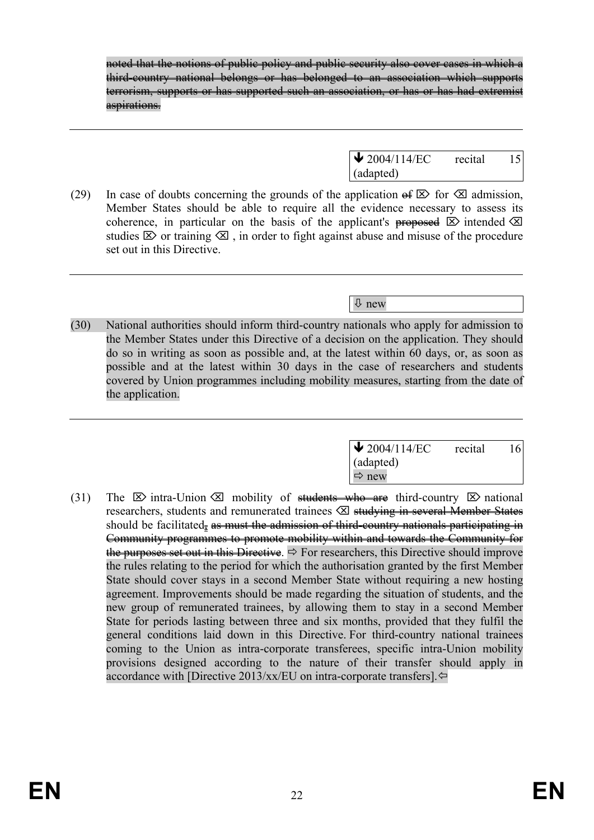noted that the notions of public policy and public security also cover cases in which a third-country national belongs or has belonged to an association which supports terrorism, supports or has supported such an association, or has or has had extremist aspirations.

| $\bigvee$ 2004/114/EC | recital | 15 |
|-----------------------|---------|----|
| (adapted)             |         |    |

- (29) In case of doubts concerning the grounds of the application  $\theta$   $\otimes$  for  $\otimes$  admission, Member States should be able to require all the evidence necessary to assess its coherence, in particular on the basis of the applicant's proposed  $\boxtimes$  intended  $\boxtimes$ studies  $\boxtimes$  or training  $\boxtimes$ , in order to fight against abuse and misuse of the procedure set out in this Directive.
- (30) National authorities should inform third-country nationals who apply for admission to the Member States under this Directive of a decision on the application. They should do so in writing as soon as possible and, at the latest within 60 days, or, as soon as possible and at the latest within 30 days in the case of researchers and students covered by Union programmes including mobility measures, starting from the date of the application.

new

 $\bigvee$  2004/114/EC recital 16 (adapted)  $\Rightarrow$  new

(31) The  $\boxtimes$  intra-Union  $\boxtimes$  mobility of <del>students who are</del> third-country  $\boxtimes$  national researchers, students and remunerated trainees  $\otimes$  studying in several Member States should be facilitated, as must the admission of third-country nationals participating in Community programmes to promote mobility within and towards the Community for the purposes set out in this Directive.  $\Rightarrow$  For researchers, this Directive should improve the rules relating to the period for which the authorisation granted by the first Member State should cover stays in a second Member State without requiring a new hosting agreement. Improvements should be made regarding the situation of students, and the new group of remunerated trainees, by allowing them to stay in a second Member State for periods lasting between three and six months, provided that they fulfil the general conditions laid down in this Directive. For third-country national trainees coming to the Union as intra-corporate transferees, specific intra-Union mobility provisions designed according to the nature of their transfer should apply in accordance with [Directive 2013/xx/EU on intra-corporate transfers]. $\Leftrightarrow$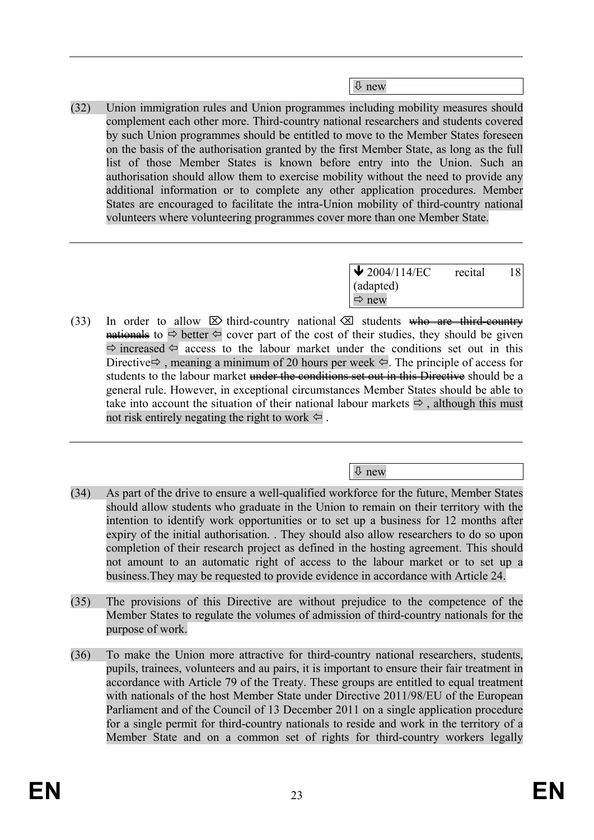new

(32) Union immigration rules and Union programmes including mobility measures should complement each other more. Third-country national researchers and students covered by such Union programmes should be entitled to move to the Member States foreseen on the basis of the authorisation granted by the first Member State, as long as the full list of those Member States is known before entry into the Union. Such an authorisation should allow them to exercise mobility without the need to provide any additional information or to complete any other application procedures. Member States are encouraged to facilitate the intra-Union mobility of third-country national volunteers where volunteering programmes cover more than one Member State.

> $\bigvee$  2004/114/EC recital 18 (adapted)  $Arr$  new

(33) In order to allow  $\boxtimes$  third-country national  $\boxtimes$  students who are third-country nationals to  $\Rightarrow$  better  $\Leftrightarrow$  cover part of the cost of their studies, they should be given  $\Rightarrow$  increased  $\Leftarrow$  access to the labour market under the conditions set out in this Directive  $\Rightarrow$ , meaning a minimum of 20 hours per week  $\Leftarrow$ . The principle of access for students to the labour market under the conditions set out in this Directive should be a general rule. However, in exceptional circumstances Member States should be able to take into account the situation of their national labour markets  $\Rightarrow$ , although this must not risk entirely negating the right to work  $\Leftrightarrow$ .

new

- (34) As part of the drive to ensure a well-qualified workforce for the future, Member States should allow students who graduate in the Union to remain on their territory with the intention to identify work opportunities or to set up a business for 12 months after expiry of the initial authorisation. . They should also allow researchers to do so upon completion of their research project as defined in the hosting agreement. This should not amount to an automatic right of access to the labour market or to set up a business.They may be requested to provide evidence in accordance with Article 24.
- (35) The provisions of this Directive are without prejudice to the competence of the Member States to regulate the volumes of admission of third-country nationals for the purpose of work.
- (36) To make the Union more attractive for third-country national researchers, students, pupils, trainees, volunteers and au pairs, it is important to ensure their fair treatment in accordance with Article 79 of the Treaty. These groups are entitled to equal treatment with nationals of the host Member State under Directive 2011/98/EU of the European Parliament and of the Council of 13 December 2011 on a single application procedure for a single permit for third-country nationals to reside and work in the territory of a Member State and on a common set of rights for third-country workers legally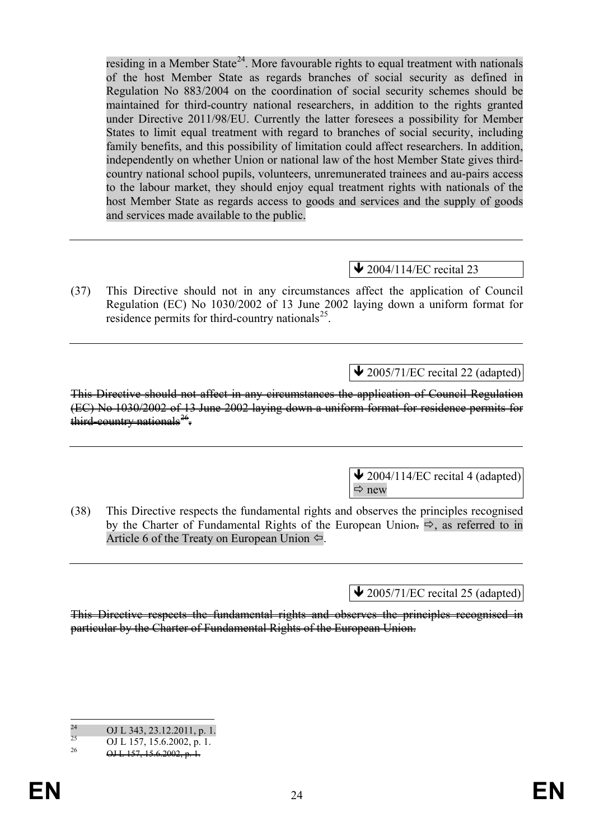residing in a Member State<sup>24</sup>. More favourable rights to equal treatment with nationals of the host Member State as regards branches of social security as defined in Regulation No 883/2004 on the coordination of social security schemes should be maintained for third-country national researchers, in addition to the rights granted under Directive 2011/98/EU. Currently the latter foresees a possibility for Member States to limit equal treatment with regard to branches of social security, including family benefits, and this possibility of limitation could affect researchers. In addition, independently on whether Union or national law of the host Member State gives thirdcountry national school pupils, volunteers, unremunerated trainees and au-pairs access to the labour market, they should enjoy equal treatment rights with nationals of the host Member State as regards access to goods and services and the supply of goods and services made available to the public.

# $\blacktriangleright$  2004/114/EC recital 23

(37) This Directive should not in any circumstances affect the application of Council Regulation (EC) No 1030/2002 of 13 June 2002 laying down a uniform format for residence permits for third-country nationals $^{25}$ .

 $\triangle$  2005/71/EC recital 22 (adapted)

This Directive should not affect in any circumstances the application of Council Regulation (EC) No 1030/2002 of 13 June 2002 laying down a uniform format for residence permits for third-country nationals<sup>[26](#page-24-2)</sup>.

> $\triangle$  2004/114/EC recital 4 (adapted)  $\Rightarrow$  new

(38) This Directive respects the fundamental rights and observes the principles recognised by the Charter of Fundamental Rights of the European Union.  $\Rightarrow$ , as referred to in Article 6 of the Treaty on European Union  $\Leftrightarrow$ .

 $\triangle$  2005/71/EC recital 25 (adapted)

This Directive respects the fundamental rights and observes the principles recognised in particular by the Charter of Fundamental Rights of the European Union.

<span id="page-24-1"></span><span id="page-24-0"></span><sup>&</sup>lt;sup>24</sup> OJ L 343, 23.12.2011, p. 1.<br>
<sup>25</sup> OJ L 157, 15.6.2002, p. 1.<br>
<del>OJ L 157, 15.6.2002, p. 1.</del>

<span id="page-24-2"></span>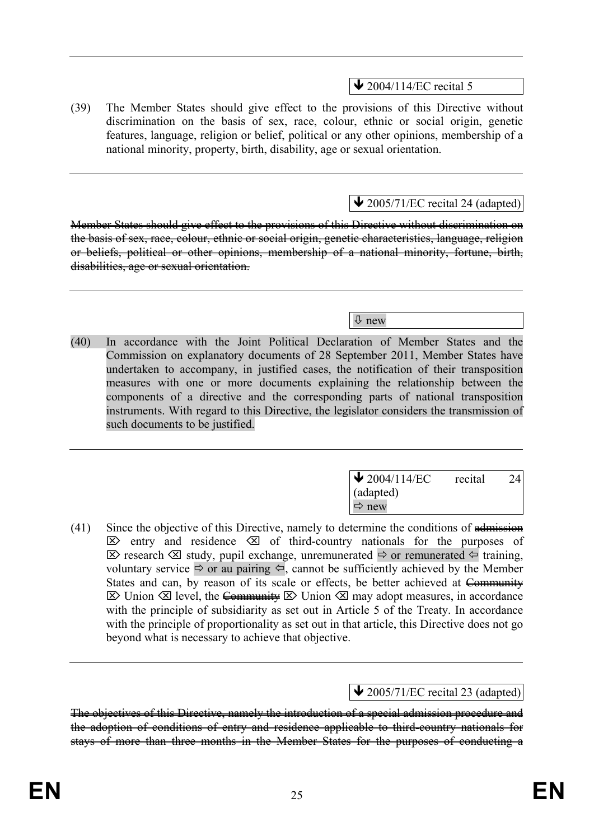# $\triangle$  2004/114/EC recital 5

(39) The Member States should give effect to the provisions of this Directive without discrimination on the basis of sex, race, colour, ethnic or social origin, genetic features, language, religion or belief, political or any other opinions, membership of a national minority, property, birth, disability, age or sexual orientation.

 $\triangle$  2005/71/EC recital 24 (adapted)

Member States should give effect to the provisions of this Directive without discrimination on the basis of sex, race, colour, ethnic or social origin, genetic characteristics, language, religion or beliefs, political or other opinions, membership of a national minority, fortune, birth, disabilities, age or sexual orientation.

#### new

(40) In accordance with the Joint Political Declaration of Member States and the Commission on explanatory documents of 28 September 2011, Member States have undertaken to accompany, in justified cases, the notification of their transposition measures with one or more documents explaining the relationship between the components of a directive and the corresponding parts of national transposition instruments. With regard to this Directive, the legislator considers the transmission of such documents to be justified.

| $\bigvee$ 2004/114/EC | recital | 24 |
|-----------------------|---------|----|
| (adapted)             |         |    |
| $\Rightarrow$ new     |         |    |

(41) Since the objective of this Directive, namely to determine the conditions of admission  $\boxtimes$  entry and residence  $\boxtimes$  of third-country nationals for the purposes of  $\boxtimes$  research  $\boxtimes$  study, pupil exchange, unremunerated  $\ominus$  or remunerated  $\ominus$  training, voluntary service  $\Rightarrow$  or au pairing  $\Leftarrow$ , cannot be sufficiently achieved by the Member States and can, by reason of its scale or effects, be better achieved at Community  $\boxtimes$  Union  $\boxtimes$  level, the Community  $\boxtimes$  Union  $\boxtimes$  may adopt measures, in accordance with the principle of subsidiarity as set out in Article 5 of the Treaty. In accordance with the principle of proportionality as set out in that article, this Directive does not go beyond what is necessary to achieve that objective.

## $\blacktriangleright$  2005/71/EC recital 23 (adapted)

The objectives of this Directive, namely the introduction of a special admission procedure and the adoption of conditions of entry and residence applicable to third-country nationals for stays of more than three months in the Member States for the purposes of conducting a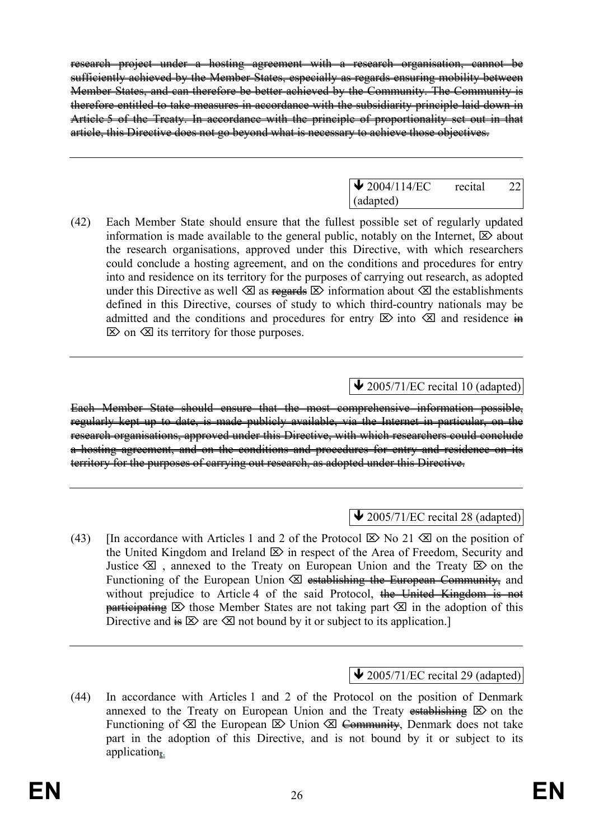research project under a hosting agreement with a research organisation, cannot be sufficiently achieved by the Member States, especially as regards ensuring mobility between Member States, and can therefore be better achieved by the Community. The Community is therefore entitled to take measures in accordance with the subsidiarity principle laid down in Article 5 of the Treaty. In accordance with the principle of proportionality set out in that article, this Directive does not go beyond what is necessary to achieve those objectives.

| $\bigvee$ 2004/114/EC | recital |  |
|-----------------------|---------|--|
| (adapted)             |         |  |

(42) Each Member State should ensure that the fullest possible set of regularly updated information is made available to the general public, notably on the Internet,  $\boxtimes$  about the research organisations, approved under this Directive, with which researchers could conclude a hosting agreement, and on the conditions and procedures for entry into and residence on its territory for the purposes of carrying out research, as adopted under this Directive as well  $\otimes$  as regards  $\otimes$  information about  $\otimes$  the establishments defined in this Directive, courses of study to which third-country nationals may be admitted and the conditions and procedures for entry  $\boxtimes$  into  $\boxtimes$  and residence in  $\boxtimes$  on  $\boxtimes$  its territory for those purposes.

# 2005/71/EC recital 10 (adapted)

Each Member State should ensure that the most comprehensive information possible, regularly kept up to date, is made publicly available, via the Internet in particular, on the research organisations, approved under this Directive, with which researchers could conclude a hosting agreement, and on the conditions and procedures for entry and residence on its territory for the purposes of carrying out research, as adopted under this Directive.

# $\triangle$  2005/71/EC recital 28 (adapted)

(43) [In accordance with Articles 1 and 2 of the Protocol  $\boxtimes$  No 21  $\boxtimes$  on the position of the United Kingdom and Ireland  $\mathbb{Z}$  in respect of the Area of Freedom, Security and Justice  $\otimes$ , annexed to the Treaty on European Union and the Treaty  $\otimes$  on the Functioning of the European Union  $\otimes$  establishing the European Community, and without prejudice to Article 4 of the said Protocol, the United Kingdom is not participating  $\boxtimes$  those Member States are not taking part  $\boxtimes$  in the adoption of this Directive and  $\frac{1}{15}$   $\boxtimes$  are  $\boxtimes$  not bound by it or subject to its application.]

# $\bigvee$  2005/71/EC recital 29 (adapted)

(44) In accordance with Articles 1 and 2 of the Protocol on the position of Denmark annexed to the Treaty on European Union and the Treaty establishing  $\boxtimes$  on the Functioning of  $\otimes$  the European  $\otimes$  Union  $\otimes$  Community, Denmark does not take part in the adoption of this Directive, and is not bound by it or subject to its application,.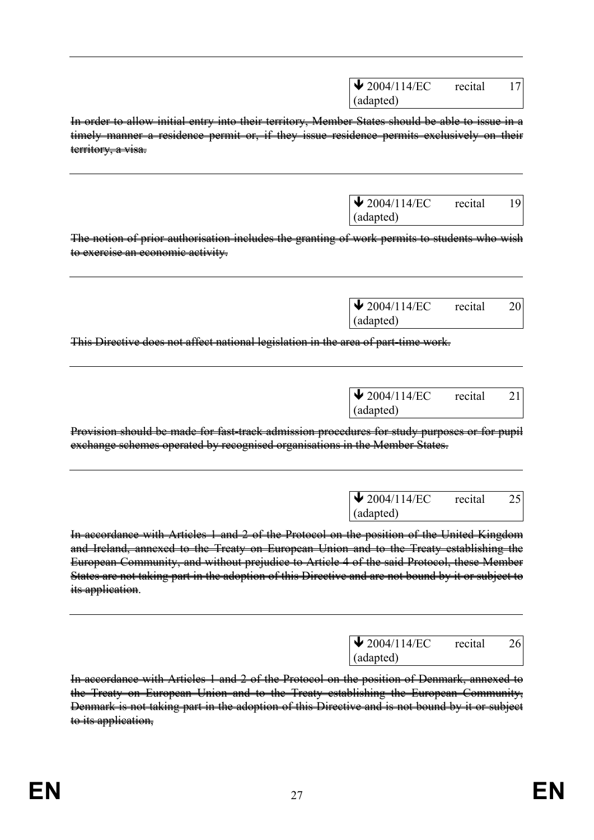| $\bigvee$ 2004/114/EC | recital | 17 |
|-----------------------|---------|----|
| (adapted)             |         |    |

In order to allow initial entry into their territory, Member States should be able to issue in a timely manner a residence permit or, if they issue residence permits exclusively on their territory, a visa.

| $\frac{1}{2004}{114{}/E}C$ | recital | 19 |
|----------------------------|---------|----|
| $\vert$ (adapted)          |         |    |

The notion of prior authorisation includes the granting of work permits to students who wish to exercise an economic activity.

| $\bigvee$ 2004/114/EC | recital | 20 |
|-----------------------|---------|----|
| (adapted)             |         |    |

This Directive does not affect national legislation in the area of part-time work.

| $\bigvee$ 2004/114/EC | recital |  |
|-----------------------|---------|--|
| (adapted)             |         |  |

Provision should be made for fast-track admission procedures for study purposes or for pupil exchange schemes operated by recognised organisations in the Member States.

> $\bigvee$  2004/114/EC recital 25 (adapted)

In accordance with Articles 1 and 2 of the Protocol on the position of the United Kingdom and Ireland, annexed to the Treaty on European Union and to the Treaty establishing the European Community, and without prejudice to Article 4 of the said Protocol, these Member States are not taking part in the adoption of this Directive and are not bound by it or subject to its application.

> $\triangle$  2004/114/EC recital 26 (adapted)

In accordance with Articles 1 and 2 of the Protocol on the position of Denmark, annexed to the Treaty on European Union and to the Treaty establishing the European Community, Denmark is not taking part in the adoption of this Directive and is not bound by it or subject to its application,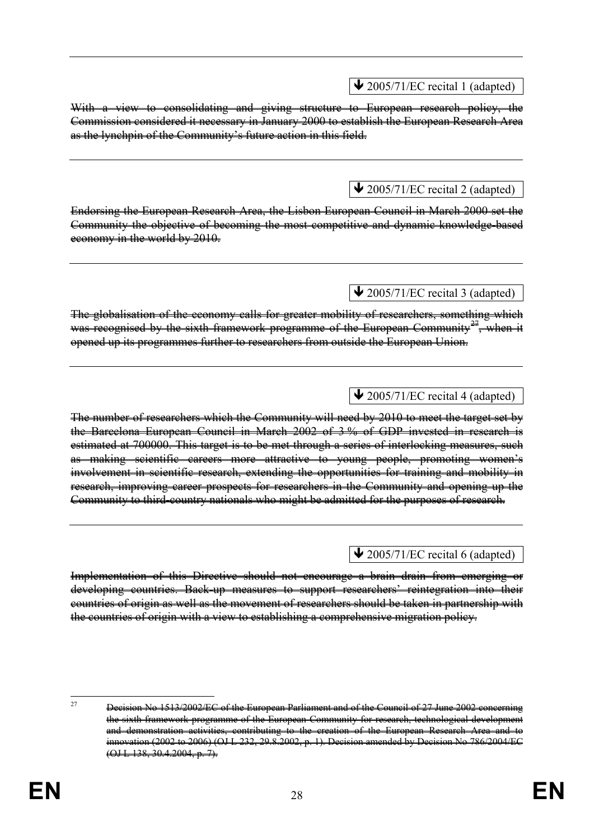## $\triangle$  2005/71/EC recital 1 (adapted)

With a view to consolidating and giving structure to European research policy, the Commission considered it necessary in January 2000 to establish the European Research Area as the lynchpin of the Community's future action in this field.

# $\triangle$  2005/71/EC recital 2 (adapted)

Endorsing the European Research Area, the Lisbon European Council in March 2000 set the Community the objective of becoming the most competitive and dynamic knowledge-based economy in the world by 2010.

# $\bigvee$  2005/71/EC recital 3 (adapted)

The globalisation of the economy calls for greater mobility of researchers, something which was recognised by the sixth framework programme of the European Community<sup>[27](#page-28-0)</sup>, when it opened up its programmes further to researchers from outside the European Union.

# $\bigvee$  2005/71/EC recital 4 (adapted)

The number of researchers which the Community will need by 2010 to meet the target set by the Barcelona European Council in March 2002 of 3 % of GDP invested in research is estimated at 700000. This target is to be met through a series of interlocking measures, such as making scientific careers more attractive to young people, promoting women's involvement in scientific research, extending the opportunities for training and mobility in research, improving career prospects for researchers in the Community and opening up the Community to third-country nationals who might be admitted for the purposes of research.

## $\triangleleft$  2005/71/EC recital 6 (adapted)

Implementation of this Directive should not encourage a brain drain from emerging or developing countries. Back-up measures to support researchers' reintegration into their countries of origin as well as the movement of researchers should be taken in partnership with the countries of origin with a view to establishing a comprehensive migration policy.

<span id="page-28-0"></span>

 <sup>27</sup> Decision No 1513/2002/EC of the European Parliament and of the Council of 27 June 2002 concerning the sixth framework programme of the European Community for research, technological development and demonstration activities, contributing to the creation of the European Research Area and to vation (2002 to 2006) (OJ L 232, 29.8.2002, p. 1). Decision amended by Decision No 786/2004/EC (OJ L 138, 30.4.2004, p. 7).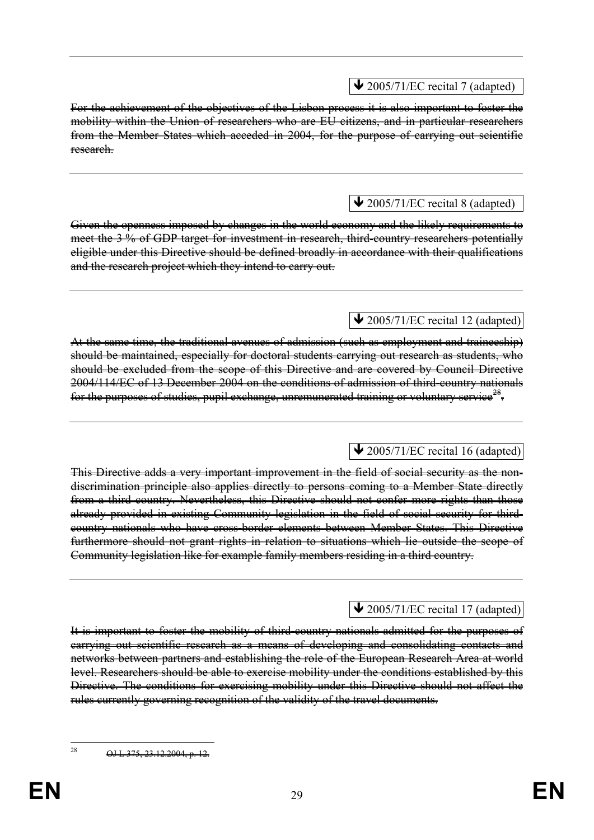# $\triangle$  2005/71/EC recital 7 (adapted)

For the achievement of the objectives of the Lisbon process it is also important to foster the mobility within the Union of researchers who are EU citizens, and in particular researchers from the Member States which acceded in 2004, for the purpose of carrying out scientific research.

# $\bigvee$  2005/71/EC recital 8 (adapted)

Given the openness imposed by changes in the world economy and the likely requirements to meet the 3 % of GDP target for investment in research, third-country researchers potentially eligible under this Directive should be defined broadly in accordance with their qualifications and the research project which they intend to carry out.

# $\triangle$  2005/71/EC recital 12 (adapted)

At the same time, the traditional avenues of admission (such as employment and traineeship) should be maintained, especially for doctoral students carrying out research as students, who should be excluded from the scope of this Directive and are covered by Council Directive 2004/114/EC of 13 December 2004 on the conditions of admission of third-country nationals for the purposes of studies, pupil exchange, unremunerated training or voluntary service<sup>[28](#page-29-0)</sup>.

# $\triangle$  2005/71/EC recital 16 (adapted)

This Directive adds a very important improvement in the field of social security as the nondiscrimination principle also applies directly to persons coming to a Member State directly from a third country. Nevertheless, this Directive should not confer more rights than those already provided in existing Community legislation in the field of social security for thirdcountry nationals who have cross-border elements between Member States. This Directive furthermore should not grant rights in relation to situations which lie outside the scope of Community legislation like for example family members residing in a third country.

# $\triangle$  2005/71/EC recital 17 (adapted)

It is important to foster the mobility of third-country nationals admitted for the purposes of carrying out scientific research as a means of developing and consolidating contacts and networks between partners and establishing the role of the European Research Area at world level. Researchers should be able to exercise mobility under the conditions established by this Directive. The conditions for exercising mobility under this Directive should not affect the rules currently governing recognition of the validity of the travel documents.

<span id="page-29-0"></span>

 $^{28}$  OJ L 375, 23, 12, 2004, p.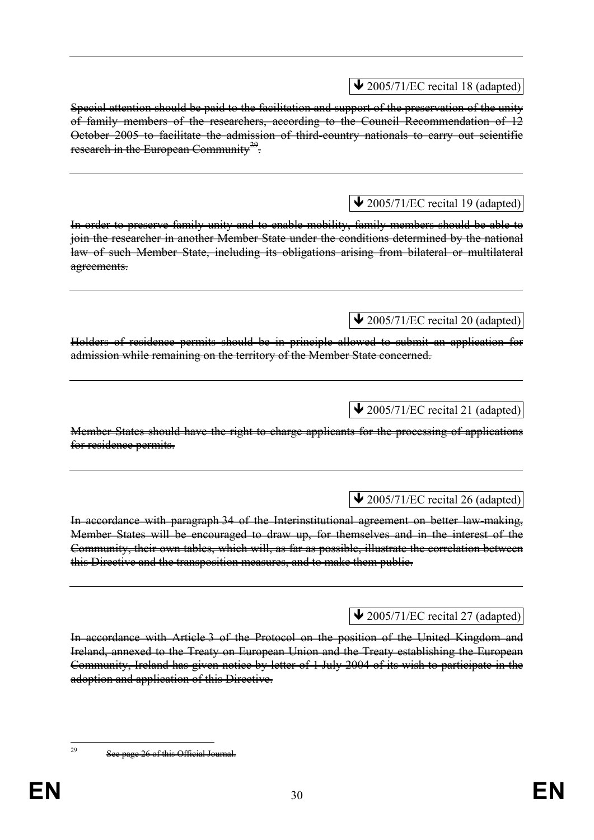# $\triangle$  2005/71/EC recital 18 (adapted)

Special attention should be paid to the facilitation and support of the preservation of the unity of family members of the researchers, according to the Council Recommendation of 12 October 2005 to facilitate the admission of third-country nationals to carry out scientific research in the European Community<sup>29</sup>.

# $\triangle$  2005/71/EC recital 19 (adapted)

In order to preserve family unity and to enable mobility, family members should be able to join the researcher in another Member State under the conditions determined by the national law of such Member State, including its obligations arising from bilateral or multilateral agreements.

# $\triangle$  2005/71/EC recital 20 (adapted)

Holders of residence permits should be in principle allowed to submit an application for admission while remaining on the territory of the Member State concerned.

 $\bigvee$  2005/71/EC recital 21 (adapted)

Member States should have the right to charge applicants for the processing of applications for residence permits.

## $\triangle$  2005/71/EC recital 26 (adapted)

In accordance with paragraph 34 of the Interinstitutional agreement on better law-making, Member States will be encouraged to draw up, for themselves and in the interest of the Community, their own tables, which will, as far as possible, illustrate the correlation between this Directive and the transposition measures, and to make them public.

 $\triangle$  2005/71/EC recital 27 (adapted)

In accordance with Article 3 of the Protocol on the position of the United Kingdom and Ireland, annexed to the Treaty on European Union and the Treaty establishing the European Community, Ireland has given notice by letter of 1 July 2004 of its wish to participate in the adoption and application of this Directive.

<span id="page-30-0"></span>

 <sup>29</sup> See page 26 of this Official Journal.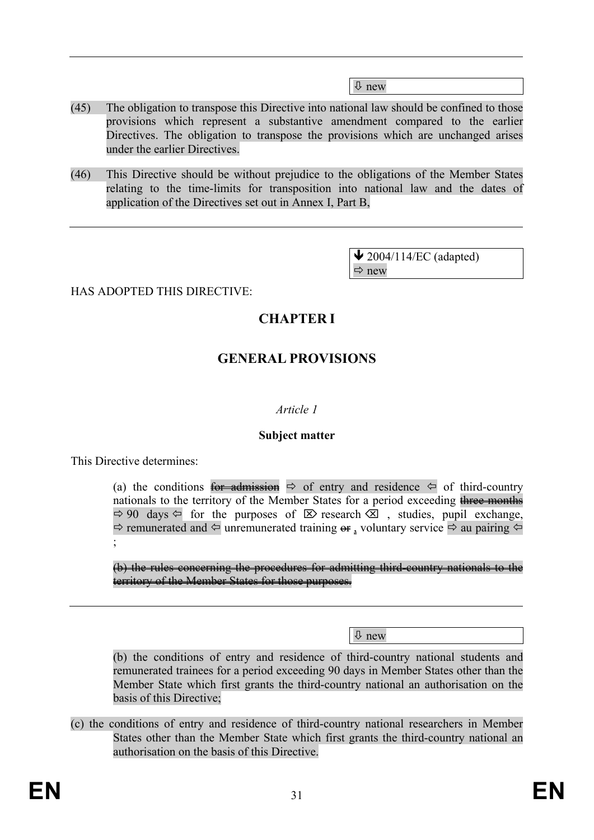new

- (45) The obligation to transpose this Directive into national law should be confined to those provisions which represent a substantive amendment compared to the earlier Directives. The obligation to transpose the provisions which are unchanged arises under the earlier Directives.
- (46) This Directive should be without prejudice to the obligations of the Member States relating to the time-limits for transposition into national law and the dates of application of the Directives set out in Annex I, Part B,

 $\bigvee$  2004/114/EC (adapted)  $\Rightarrow$  new

#### HAS ADOPTED THIS DIRECTIVE:

# **CHAPTER I**

# **GENERAL PROVISIONS**

## *Article 1*

## **Subject matter**

This Directive determines:

(a) the conditions for admission  $\Rightarrow$  of entry and residence  $\Leftarrow$  of third-country nationals to the territory of the Member States for a period exceeding three months  $\Rightarrow$  90 days  $\Leftarrow$  for the purposes of  $\boxtimes$  research  $\boxtimes$ , studies, pupil exchange,  $\Rightarrow$  remunerated and  $\Leftarrow$  unremunerated training  $\leftrightarrow$ , voluntary service  $\Rightarrow$  au pairing  $\Leftarrow$ ;

(b) the rules concerning the procedures for admitting third-country nationals to the territory of the Member States for those purposes.

new

(b) the conditions of entry and residence of third-country national students and remunerated trainees for a period exceeding 90 days in Member States other than the Member State which first grants the third-country national an authorisation on the basis of this Directive;

(c) the conditions of entry and residence of third-country national researchers in Member States other than the Member State which first grants the third-country national an authorisation on the basis of this Directive.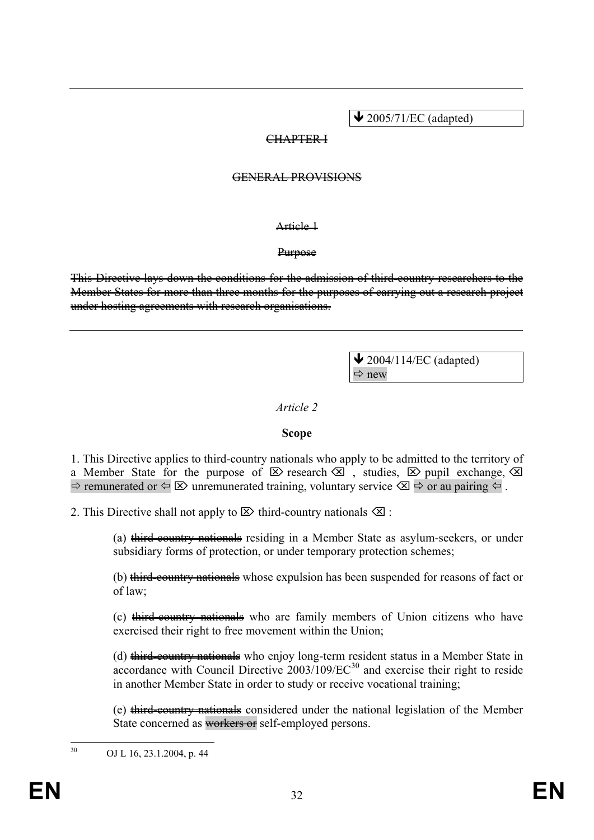$\blacktriangleright$  2005/71/EC (adapted)

#### CHAPTER I

#### GENERAL PROVISIONS

#### Article 1

#### **Purpose**

This Directive lays down the conditions for the admission of third-country researchers to the Member States for more than three months for the purposes of carrying out a research project under hosting agreements with research organisations.

> $\triangle$  2004/114/EC (adapted)  $\Rightarrow$  new

#### *Article 2*

#### **Scope**

1. This Directive applies to third-country nationals who apply to be admitted to the territory of a Member State for the purpose of  $\boxtimes$  research  $\boxtimes$ , studies,  $\boxtimes$  pupil exchange,  $\boxtimes$  $\Rightarrow$  remunerated or  $\Leftarrow \boxtimes$  unremunerated training, voluntary service  $\otimes \Rightarrow$  or au pairing  $\Leftrightarrow$ .

2. This Directive shall not apply to  $\boxtimes$  third-country nationals  $\boxtimes$ :

(a) third-country nationals residing in a Member State as asylum-seekers, or under subsidiary forms of protection, or under temporary protection schemes;

(b) third-country nationals whose expulsion has been suspended for reasons of fact or of law;

(c) third-country nationals who are family members of Union citizens who have exercised their right to free movement within the Union;

(d) third-country nationals who enjoy long-term resident status in a Member State in accordance with Council Directive  $2003/109/EC^{30}$  $2003/109/EC^{30}$  $2003/109/EC^{30}$  and exercise their right to reside in another Member State in order to study or receive vocational training;

(e) third-country nationals considered under the national legislation of the Member State concerned as workers or self-employed persons.

<span id="page-32-0"></span> <sup>30</sup> OJ L 16, 23.1.2004, p. 44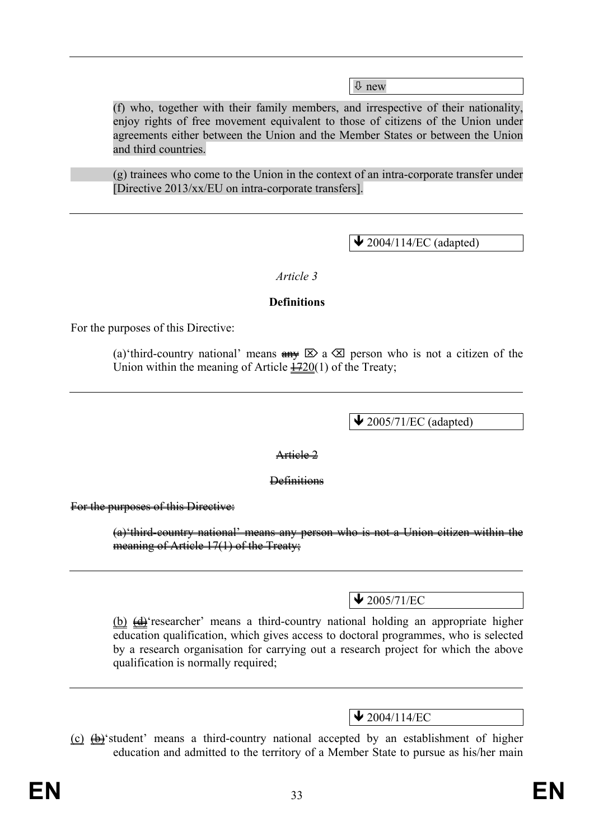new

(f) who, together with their family members, and irrespective of their nationality, enjoy rights of free movement equivalent to those of citizens of the Union under agreements either between the Union and the Member States or between the Union and third countries.

(g) trainees who come to the Union in the context of an intra-corporate transfer under [Directive 2013/xx/EU on intra-corporate transfers].

 $\bigvee$  2004/114/EC (adapted)

*Article 3*

# **Definitions**

For the purposes of this Directive:

(a)'third-country national' means  $\lim_{n \to \infty} \mathbb{E}$  a  $\mathbb{E}$  person who is not a citizen of the Union within the meaning of Article  $\frac{1720(1)}{17}$  of the Treaty;

 $\triangle$  2005/71/EC (adapted)

#### Article 2

**Definitions** 

For the purposes of this Directive:

(a)'third-country national' means any person who is not a Union citizen within the meaning of Article 17(1) of the Treaty;

 $\bigvee$  2005/71/EC

(b)  $\left(\frac{d}{dt}\right)$ 'researcher' means a third-country national holding an appropriate higher education qualification, which gives access to doctoral programmes, who is selected by a research organisation for carrying out a research project for which the above qualification is normally required;

 $\bigvee$  2004/114/EC

(c)  $\overrightarrow{(b)}$ 'student' means a third-country national accepted by an establishment of higher education and admitted to the territory of a Member State to pursue as his/her main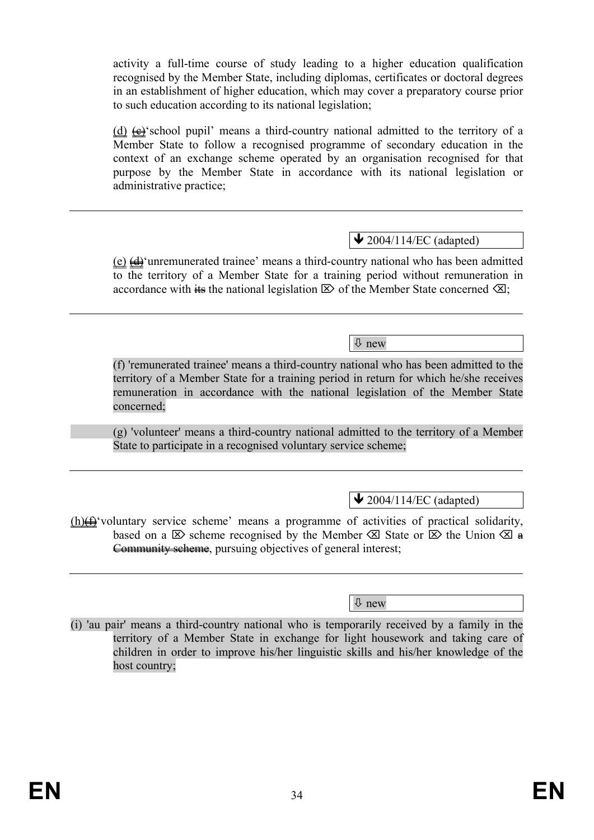activity a full-time course of study leading to a higher education qualification recognised by the Member State, including diplomas, certificates or doctoral degrees in an establishment of higher education, which may cover a preparatory course prior to such education according to its national legislation;

(d)  $\leftrightarrow$  school pupil' means a third-country national admitted to the territory of a Member State to follow a recognised programme of secondary education in the context of an exchange scheme operated by an organisation recognised for that purpose by the Member State in accordance with its national legislation or administrative practice;

## $\blacktriangleright$  2004/114/EC (adapted)

 $(e)$   $\overrightarrow{d}$  unremunerated trainee' means a third-country national who has been admitted to the territory of a Member State for a training period without remuneration in accordance with  $\frac{1}{10}$  the national legislation  $\mathbb{Z}$  of the Member State concerned  $\mathbb{Z}$ ;

new

(f) 'remunerated trainee' means a third-country national who has been admitted to the territory of a Member State for a training period in return for which he/she receives remuneration in accordance with the national legislation of the Member State concerned;

(g) 'volunteer' means a third-country national admitted to the territory of a Member State to participate in a recognised voluntary service scheme;

 $\sqrt{2004/114/EC}$  (adapted)

 $(h)$  $\leftrightarrow$ <sup>2</sup> voluntary service scheme' means a programme of activities of practical solidarity, based on a  $\boxtimes$  scheme recognised by the Member  $\boxtimes$  State or  $\boxtimes$  the Union  $\boxtimes$   $\oplus$ Community scheme, pursuing objectives of general interest;

new

(i) 'au pair' means a third-country national who is temporarily received by a family in the territory of a Member State in exchange for light housework and taking care of children in order to improve his/her linguistic skills and his/her knowledge of the host country;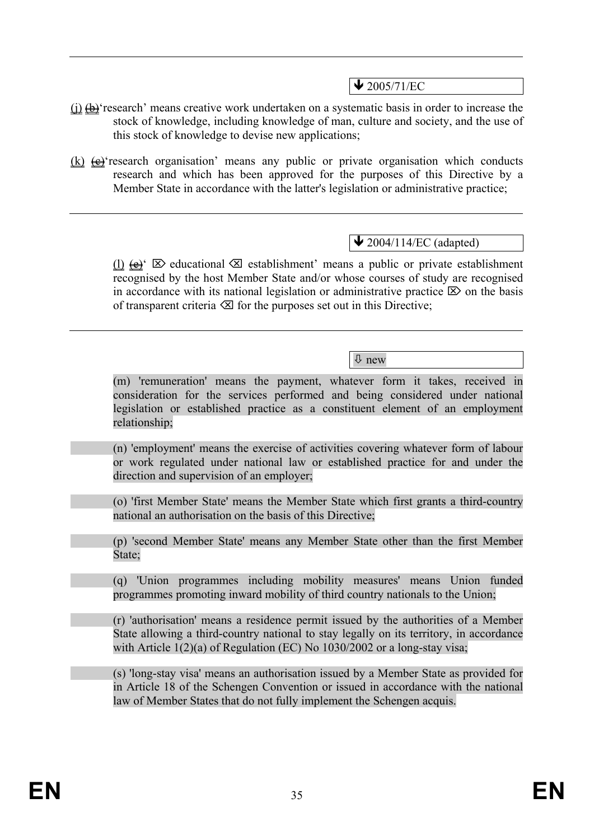$\frac{1}{2005}{71/EC}$ 

- (i)  $\overleftrightarrow{(b)}$  research' means creative work undertaken on a systematic basis in order to increase the stock of knowledge, including knowledge of man, culture and society, and the use of this stock of knowledge to devise new applications;
- (k)  $\leftrightarrow$  research organisation' means any public or private organisation which conducts research and which has been approved for the purposes of this Directive by a Member State in accordance with the latter's legislation or administrative practice;

# $\triangle$  2004/114/EC (adapted)

(1)  $\bigoplus$   $\mathbb{Z}$  educational  $\mathbb{Z}$  establishment' means a public or private establishment recognised by the host Member State and/or whose courses of study are recognised in accordance with its national legislation or administrative practice  $\boxtimes$  on the basis of transparent criteria  $\otimes$  for the purposes set out in this Directive;

new

(m) 'remuneration' means the payment, whatever form it takes, received in consideration for the services performed and being considered under national legislation or established practice as a constituent element of an employment relationship;

(n) 'employment' means the exercise of activities covering whatever form of labour or work regulated under national law or established practice for and under the direction and supervision of an employer;

(o) 'first Member State' means the Member State which first grants a third-country national an authorisation on the basis of this Directive;

(p) 'second Member State' means any Member State other than the first Member State;

(q) 'Union programmes including mobility measures' means Union funded programmes promoting inward mobility of third country nationals to the Union;

(r) 'authorisation' means a residence permit issued by the authorities of a Member State allowing a third-country national to stay legally on its territory, in accordance with Article 1(2)(a) of Regulation (EC) No 1030/2002 or a long-stay visa;

(s) 'long-stay visa' means an authorisation issued by a Member State as provided for in Article 18 of the Schengen Convention or issued in accordance with the national law of Member States that do not fully implement the Schengen acquis.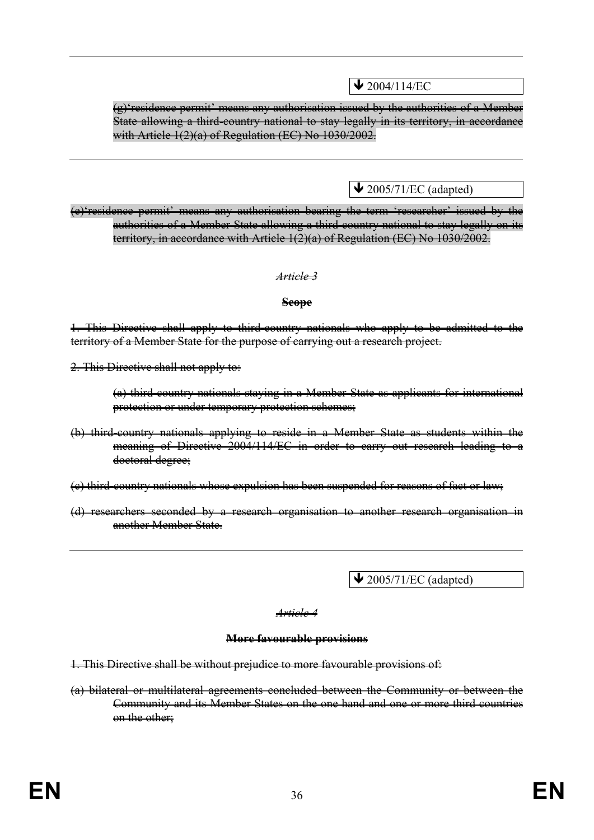(g)'residence permit' means any authorisation issued by the authorities of a Member State allowing a third-country national to stay legally in its territory, in accordance with Article  $1(2)(a)$  of Regulation (EC) No 1030/2002.

 $\triangle$  2005/71/EC (adapted)

(e)'residence permit' means any authorisation bearing the term 'researcher' issued by the authorities of a Member State allowing a third-country national to stay legally on its territory, in accordance with Article 1(2)(a) of Regulation (EC) No 1030/2002.

### *Article 3*

### **Scope**

1. This Directive shall apply to third-country nationals who apply to be admitted to the territory of a Member State for the purpose of carrying out a research project.

2. This Directive shall not apply to:

(a) third-country nationals staying in a Member State as applicants for international protection or under temporary protection schemes;

(b) third-country nationals applying to reside in a Member State as students within the meaning of Directive 2004/114/EC in order to carry out research leading to a doctoral degree;

(c) third-country nationals whose expulsion has been suspended for reasons of fact or law;

(d) researchers seconded by a research organisation to another research organisation in another Member State.

 $\triangle$  2005/71/EC (adapted)

*Article 4*

### **More favourable provisions**

1. This Directive shall be without prejudice to more favourable provisions of:

(a) bilateral or multilateral agreements concluded between the Community or between the Community and its Member States on the one hand and one or more third countries on the other;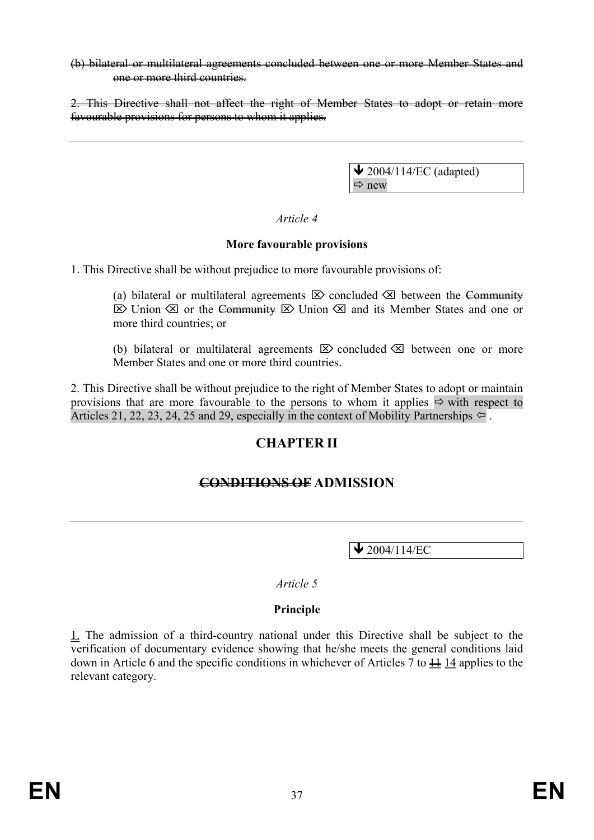(b) bilateral or multilateral agreements concluded between one or more Member States and one or more third countries.

2. This Directive shall not affect the right of Member States to adopt or retain more favourable provisions for persons to whom it applies.

> $\triangle$  2004/114/EC (adapted)  $\Rightarrow$  new

## *Article 4*

## **More favourable provisions**

1. This Directive shall be without prejudice to more favourable provisions of:

(a) bilateral or multilateral agreements  $\boxtimes$  concluded  $\boxtimes$  between the Community  $\boxtimes$  Union  $\boxtimes$  or the Community  $\boxtimes$  Union  $\boxtimes$  and its Member States and one or more third countries; or

(b) bilateral or multilateral agreements  $\boxtimes$  concluded  $\boxtimes$  between one or more Member States and one or more third countries.

2. This Directive shall be without prejudice to the right of Member States to adopt or maintain provisions that are more favourable to the persons to whom it applies  $\Rightarrow$  with respect to Articles 21, 22, 23, 24, 25 and 29, especially in the context of Mobility Partnerships  $\Leftarrow$ .

# **CHAPTER II**

# **CONDITIONS OF ADMISSION**

 $\blacktriangleright$  2004/114/EC

## *Article 5*

## **Principle**

1. The admission of a third-country national under this Directive shall be subject to the verification of documentary evidence showing that he/she meets the general conditions laid down in Article 6 and the specific conditions in whichever of Articles 7 to  $\frac{11}{14}$  applies to the relevant category.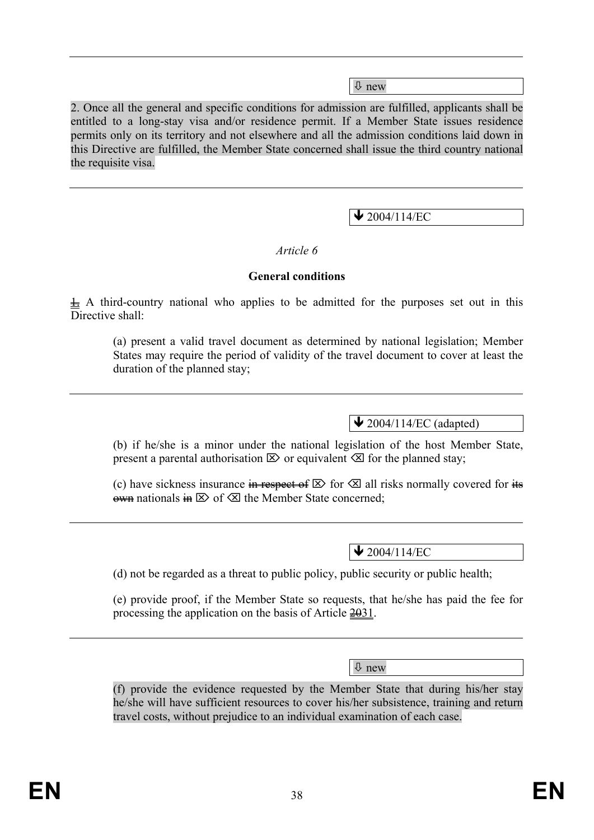new

2. Once all the general and specific conditions for admission are fulfilled, applicants shall be entitled to a long-stay visa and/or residence permit. If a Member State issues residence permits only on its territory and not elsewhere and all the admission conditions laid down in this Directive are fulfilled, the Member State concerned shall issue the third country national the requisite visa.

 $\blacktriangleright$  2004/114/EC

## *Article 6*

### **General conditions**

 $\frac{1}{2}$ . A third-country national who applies to be admitted for the purposes set out in this Directive shall:

(a) present a valid travel document as determined by national legislation; Member States may require the period of validity of the travel document to cover at least the duration of the planned stay;

## $\triangle$  2004/114/EC (adapted)

(b) if he/she is a minor under the national legislation of the host Member State, present a parental authorisation  $\boxtimes$  or equivalent  $\boxtimes$  for the planned stay;

(c) have sickness insurance in respect of  $\boxtimes$  for  $\boxtimes$  all risks normally covered for its  $\overline{\text{ewn}}$  nationals  $\overline{\text{im}} \boxtimes$  of  $\boxtimes$  the Member State concerned:

 $\bigvee$  2004/114/EC

(d) not be regarded as a threat to public policy, public security or public health;

(e) provide proof, if the Member State so requests, that he/she has paid the fee for processing the application on the basis of Article  $\frac{2031}{100}$ .

new

(f) provide the evidence requested by the Member State that during his/her stay he/she will have sufficient resources to cover his/her subsistence, training and return travel costs, without prejudice to an individual examination of each case.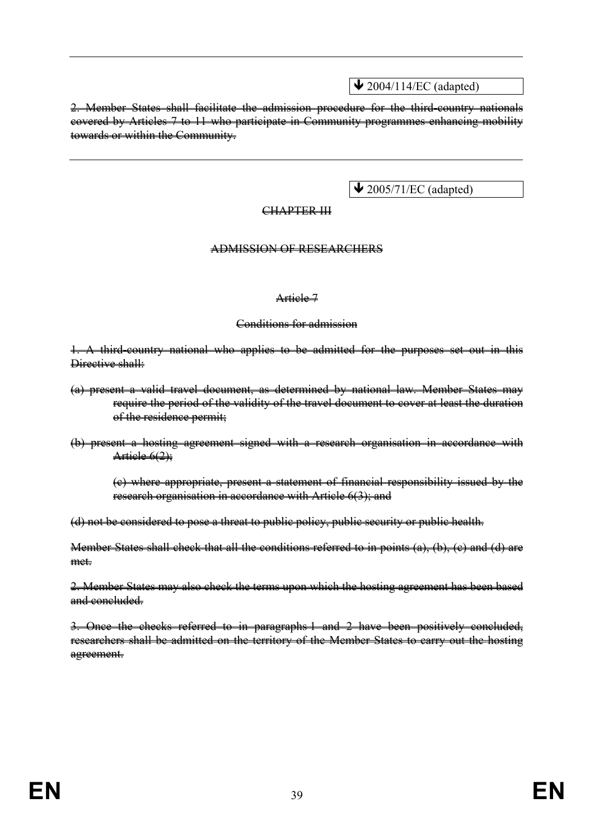## $\triangle$  2004/114/EC (adapted)

2. Member States shall facilitate the admission procedure for the third-country nationals covered by Articles 7 to 11 who participate in Community programmes enhancing mobility towards or within the Community.

### $\triangle$  2005/71/EC (adapted)

#### CHAPTER III

#### ADMISSION OF RESEARCHERS

#### Article 7

#### Conditions for admission

1. A third-country national who applies to be admitted for the purposes set out in this Directive shall:

- (a) present a valid travel document, as determined by national law. Member States may require the period of the validity of the travel document to cover at least the duration of the residence permit;
- (b) present a hosting agreement signed with a research organisation in accordance with Article  $6(2)$ :

(c) where appropriate, present a statement of financial responsibility issued by the research organisation in accordance with Article 6(3); and

(d) not be considered to pose a threat to public policy, public security or public health.

Member States shall check that all the conditions referred to in points (a), (b), (c) and (d) are met.

2. Member States may also check the terms upon which the hosting agreement has been based and concluded.

3. Once the checks referred to in paragraphs 1 and 2 have been positively concluded, researchers shall be admitted on the territory of the Member States to carry out the hosting agreement.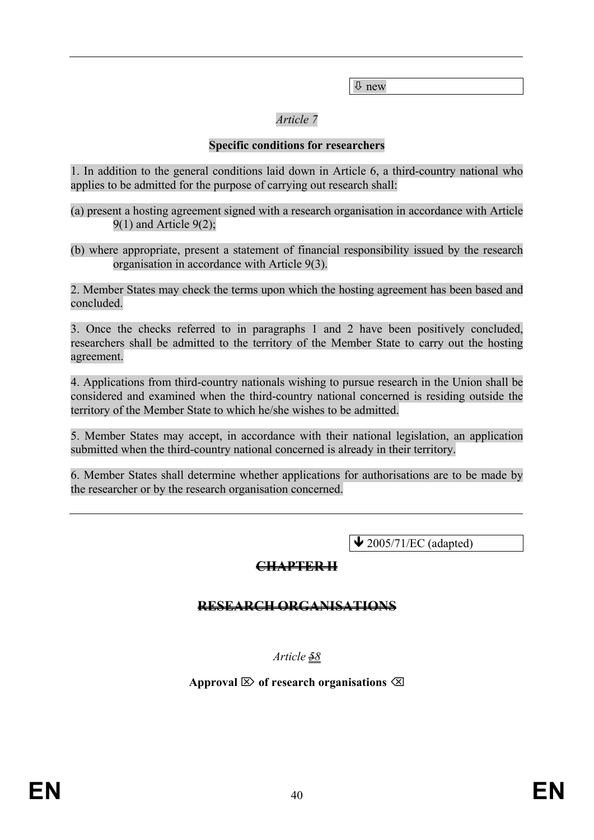new

## *Article 7*

### **Specific conditions for researchers**

1. In addition to the general conditions laid down in Article 6, a third-country national who applies to be admitted for the purpose of carrying out research shall:

- (a) present a hosting agreement signed with a research organisation in accordance with Article 9(1) and Article 9(2);
- (b) where appropriate, present a statement of financial responsibility issued by the research organisation in accordance with Article 9(3).

2. Member States may check the terms upon which the hosting agreement has been based and concluded.

3. Once the checks referred to in paragraphs 1 and 2 have been positively concluded, researchers shall be admitted to the territory of the Member State to carry out the hosting agreement.

4. Applications from third-country nationals wishing to pursue research in the Union shall be considered and examined when the third-country national concerned is residing outside the territory of the Member State to which he/she wishes to be admitted.

5. Member States may accept, in accordance with their national legislation, an application submitted when the third-country national concerned is already in their territory.

6. Member States shall determine whether applications for authorisations are to be made by the researcher or by the research organisation concerned.

 $\triangle$  2005/71/EC (adapted)

# **CHAPTER II**

## **RESEARCH ORGANISATIONS**

*Article 58*

Approval  $\boxtimes$  of research organisations  $\boxtimes$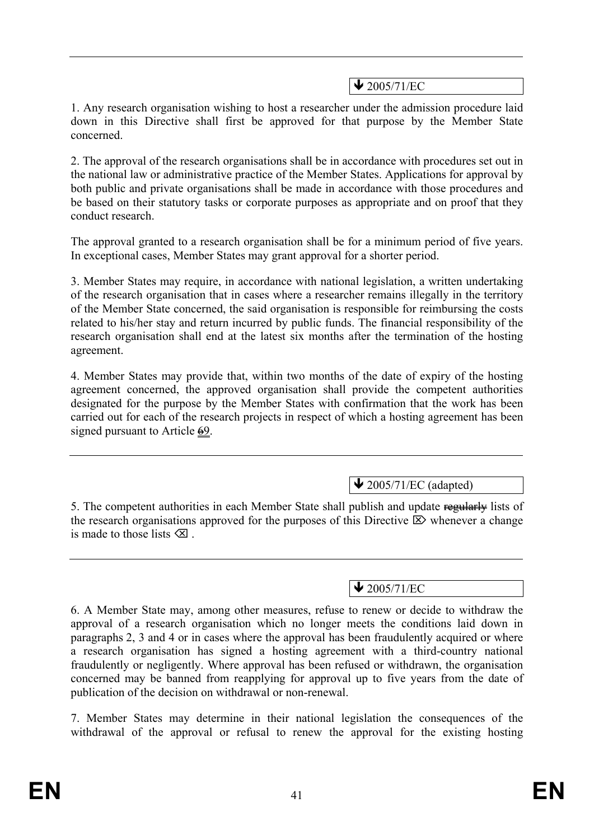$\sqrt{2005/71/EC}$ 

1. Any research organisation wishing to host a researcher under the admission procedure laid down in this Directive shall first be approved for that purpose by the Member State concerned.

2. The approval of the research organisations shall be in accordance with procedures set out in the national law or administrative practice of the Member States. Applications for approval by both public and private organisations shall be made in accordance with those procedures and be based on their statutory tasks or corporate purposes as appropriate and on proof that they conduct research.

The approval granted to a research organisation shall be for a minimum period of five years. In exceptional cases, Member States may grant approval for a shorter period.

3. Member States may require, in accordance with national legislation, a written undertaking of the research organisation that in cases where a researcher remains illegally in the territory of the Member State concerned, the said organisation is responsible for reimbursing the costs related to his/her stay and return incurred by public funds. The financial responsibility of the research organisation shall end at the latest six months after the termination of the hosting agreement.

4. Member States may provide that, within two months of the date of expiry of the hosting agreement concerned, the approved organisation shall provide the competent authorities designated for the purpose by the Member States with confirmation that the work has been carried out for each of the research projects in respect of which a hosting agreement has been signed pursuant to Article  $\frac{69}{6}$ .

 $\triangle$  2005/71/EC (adapted)

5. The competent authorities in each Member State shall publish and update regularly lists of the research organisations approved for the purposes of this Directive  $\overline{\mathbb{Z}}$  whenever a change is made to those lists  $\overline{\mathsf{X}}$ 

 $\bigvee$  2005/71/EC

6. A Member State may, among other measures, refuse to renew or decide to withdraw the approval of a research organisation which no longer meets the conditions laid down in paragraphs 2, 3 and 4 or in cases where the approval has been fraudulently acquired or where a research organisation has signed a hosting agreement with a third-country national fraudulently or negligently. Where approval has been refused or withdrawn, the organisation concerned may be banned from reapplying for approval up to five years from the date of publication of the decision on withdrawal or non-renewal.

7. Member States may determine in their national legislation the consequences of the withdrawal of the approval or refusal to renew the approval for the existing hosting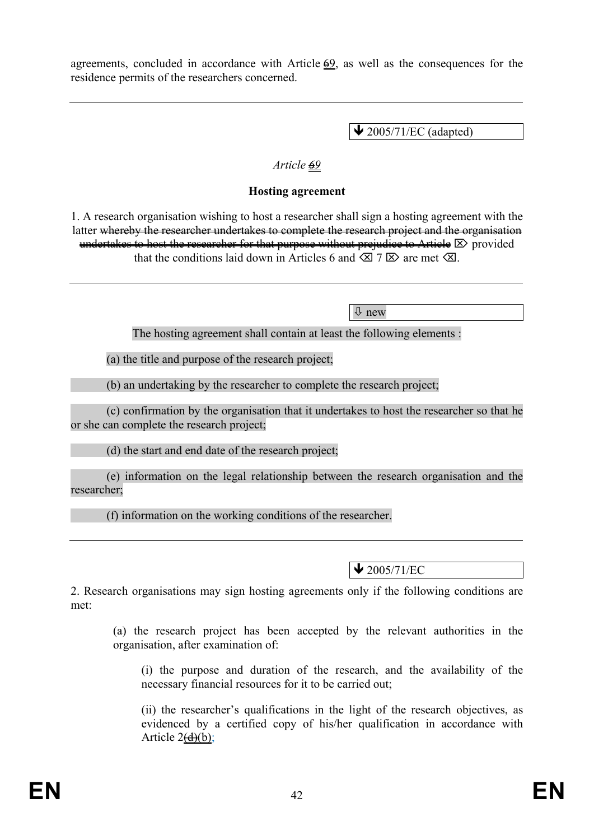agreements, concluded in accordance with Article  $\epsilon$ 9, as well as the consequences for the residence permits of the researchers concerned.

 $\bigvee$  2005/71/EC (adapted)

## *Article 69*

## **Hosting agreement**

1. A research organisation wishing to host a researcher shall sign a hosting agreement with the latter whereby the researcher undertakes to complete the research project and the organisation undertakes to host the researcher for that purpose without prejudice to Article  $\boxtimes$  provided that the conditions laid down in Articles 6 and  $\overline{\otimes}$  7  $\overline{\otimes}$  are met  $\overline{\otimes}$ .

new

The hosting agreement shall contain at least the following elements :

(a) the title and purpose of the research project;

(b) an undertaking by the researcher to complete the research project;

(c) confirmation by the organisation that it undertakes to host the researcher so that he or she can complete the research project;

(d) the start and end date of the research project;

(e) information on the legal relationship between the research organisation and the researcher;

(f) information on the working conditions of the researcher.

 $\bigvee$  2005/71/EC

2. Research organisations may sign hosting agreements only if the following conditions are met:

(a) the research project has been accepted by the relevant authorities in the organisation, after examination of:

(i) the purpose and duration of the research, and the availability of the necessary financial resources for it to be carried out;

(ii) the researcher's qualifications in the light of the research objectives, as evidenced by a certified copy of his/her qualification in accordance with Article  $2\left(\frac{d}{d}\right)(b)$ ;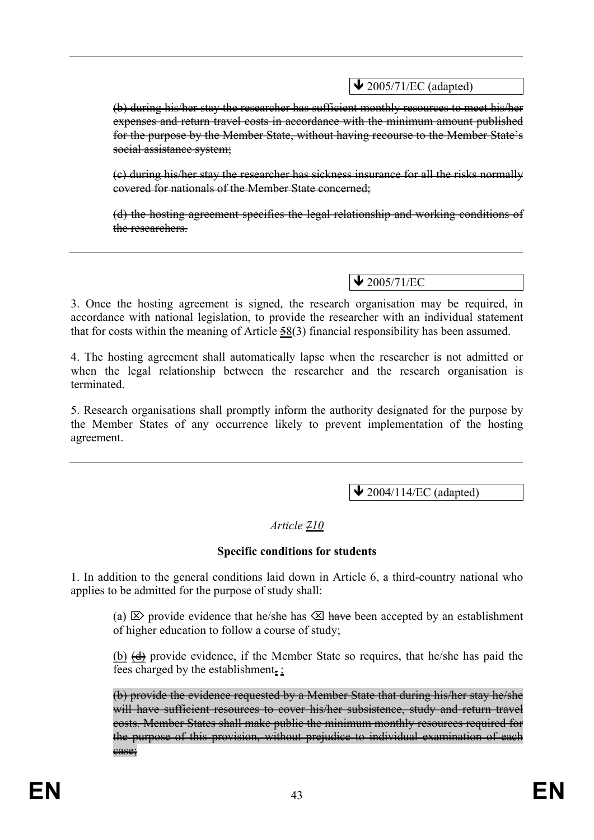$\triangle$  2005/71/EC (adapted)

(b) during his/her stay the researcher has sufficient monthly resources to meet his/her expenses and return travel costs in accordance with the minimum amount published for the purpose by the Member State, without having recourse to the Member State's social assistance system;

(c) during his/her stay the researcher has sickness insurance for all the risks normally covered for nationals of the Member State concerned;

(d) the hosting agreement specifies the legal relationship and working conditions of the researchers.

 $\bigvee$  2005/71/EC

3. Once the hosting agreement is signed, the research organisation may be required, in accordance with national legislation, to provide the researcher with an individual statement that for costs within the meaning of Article  $\frac{58}{3}$  financial responsibility has been assumed.

4. The hosting agreement shall automatically lapse when the researcher is not admitted or when the legal relationship between the researcher and the research organisation is terminated.

5. Research organisations shall promptly inform the authority designated for the purpose by the Member States of any occurrence likely to prevent implementation of the hosting agreement.

 $\bigvee$  2004/114/EC (adapted)

## *Article <u><i><del>710</del></u>*</u>

## **Specific conditions for students**

1. In addition to the general conditions laid down in Article 6, a third-country national who applies to be admitted for the purpose of study shall:

(a)  $\boxtimes$  provide evidence that he/she has  $\boxtimes$  have been accepted by an establishment of higher education to follow a course of study;

(b)  $(d)$  provide evidence, if the Member State so requires, that he/she has paid the fees charged by the establishment.

(b) provide the evidence requested by a Member State that during his/her stay he/she will have sufficient resources to cover his/her subsistence, study and return travel costs. Member States shall make public the minimum monthly resources required for the purpose of this provision, without prejudice to individual examination of each case;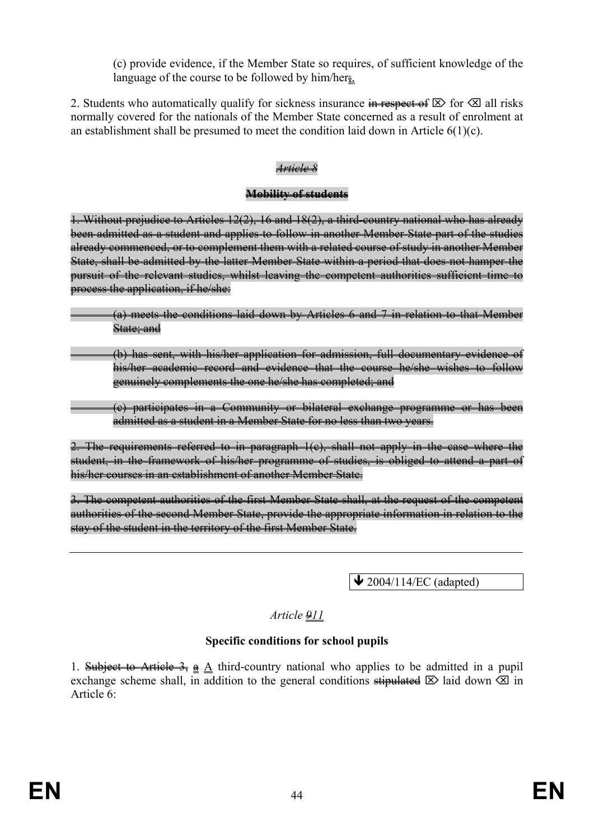(c) provide evidence, if the Member State so requires, of sufficient knowledge of the language of the course to be followed by him/her $\frac{1}{2}$ .

2. Students who automatically qualify for sickness insurance in respect of  $\boxtimes$  for  $\boxtimes$  all risks normally covered for the nationals of the Member State concerned as a result of enrolment at an establishment shall be presumed to meet the condition laid down in Article 6(1)(c).

## *Article 8*

## **Mobility of students**

1. Without prejudice to Articles 12(2), 16 and 18(2), a third-country national who has already been admitted as a student and applies to follow in another Member State part of the studies already commenced, or to complement them with a related course of study in another Member State, shall be admitted by the latter Member State within a period that does not hamper the pursuit of the relevant studies, whilst leaving the competent authorities sufficient time to process the application, if he/she:

- (a) meets the conditions laid down by Articles 6 and 7 in relation to that Member State: and
- (b) has sent, with his/her application for admission, full documentary evidence of his/her academic record and evidence that the course he/she wishes to follow genuinely complements the one he/she has completed; and
	- (c) participates in a Community or bilateral exchange programme or has been admitted as a student in a Member State for no less than two years.

2. The requirements referred to in paragraph  $1(e)$ , shall not apply in the case where the student, in the framework of his/her programme of studies, is obliged to attend a part of his/her courses in an establishment of another Member State.

3. The competent authorities of the first Member State shall, at the request of the competent authorities of the second Member State, provide the appropriate information in relation to the stay of the student in the territory of the first Member State.

 $\bigvee$  2004/114/EC (adapted)

# *Article 911*

## **Specific conditions for school pupils**

1. Subject to Article 3,  $\underline{a}$   $\underline{A}$  third-country national who applies to be admitted in a pupil exchange scheme shall, in addition to the general conditions stipulated  $\boxtimes$  laid down  $\boxtimes$  in Article 6: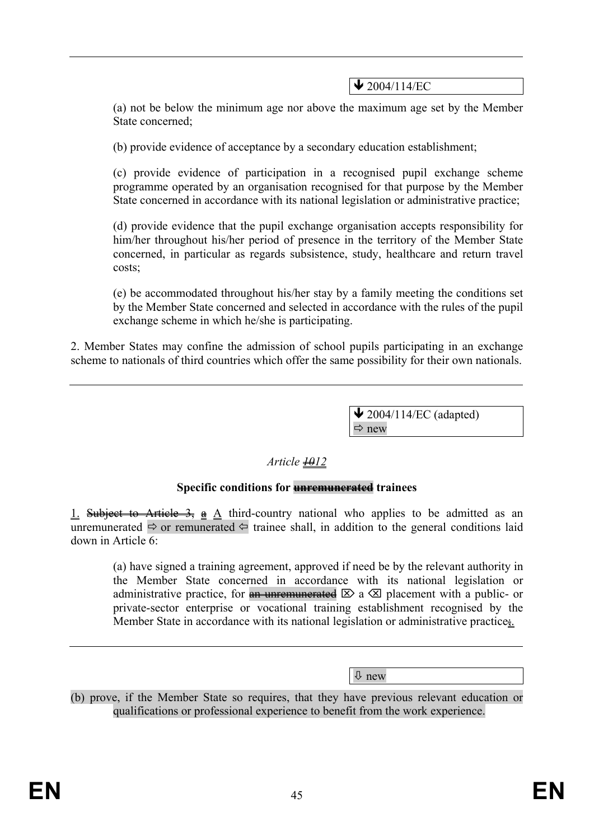(a) not be below the minimum age nor above the maximum age set by the Member State concerned;

(b) provide evidence of acceptance by a secondary education establishment;

(c) provide evidence of participation in a recognised pupil exchange scheme programme operated by an organisation recognised for that purpose by the Member State concerned in accordance with its national legislation or administrative practice;

(d) provide evidence that the pupil exchange organisation accepts responsibility for him/her throughout his/her period of presence in the territory of the Member State concerned, in particular as regards subsistence, study, healthcare and return travel costs;

(e) be accommodated throughout his/her stay by a family meeting the conditions set by the Member State concerned and selected in accordance with the rules of the pupil exchange scheme in which he/she is participating.

2. Member States may confine the admission of school pupils participating in an exchange scheme to nationals of third countries which offer the same possibility for their own nationals.

> $\triangle$  2004/114/EC (adapted)  $Arr$  new

# *Article 1012*

## **Specific conditions for unremunerated trainees**

1. Subject to Article 3,  $\theta$  A third-country national who applies to be admitted as an unremunerated  $\Rightarrow$  or remunerated  $\Leftrightarrow$  trainee shall, in addition to the general conditions laid down in Article 6:

(a) have signed a training agreement, approved if need be by the relevant authority in the Member State concerned in accordance with its national legislation or administrative practice, for an unremunerated  $\boxtimes$  a  $\boxtimes$  placement with a public- or private-sector enterprise or vocational training establishment recognised by the Member State in accordance with its national legislation or administrative practice $\frac{1}{2}$ .

new

(b) prove, if the Member State so requires, that they have previous relevant education or qualifications or professional experience to benefit from the work experience.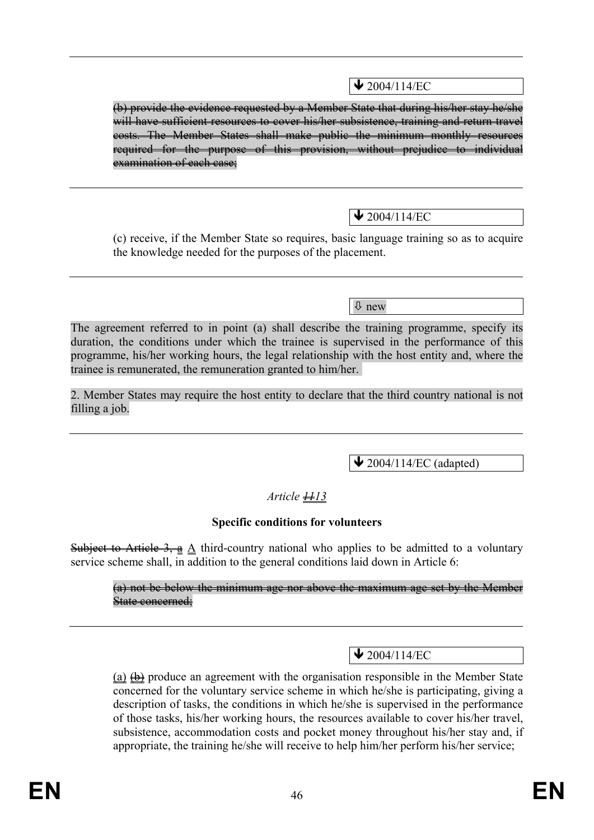(b) provide the evidence requested by a Member State that during his/her stay he/she will have sufficient resources to cover his/her subsistence, training and return travel costs. The Member States shall make public the minimum monthly resources required for the purpose of this provision, without prejudice to individual examination of each case;

# $\bigvee$  2004/114/EC

(c) receive, if the Member State so requires, basic language training so as to acquire the knowledge needed for the purposes of the placement.

new

The agreement referred to in point (a) shall describe the training programme, specify its duration, the conditions under which the trainee is supervised in the performance of this programme, his/her working hours, the legal relationship with the host entity and, where the trainee is remunerated, the remuneration granted to him/her.

2. Member States may require the host entity to declare that the third country national is not filling a job.

 $\blacktriangleright$  2004/114/EC (adapted)

# *Article 1113*

# **Specific conditions for volunteers**

Subject to Article 3,  $\frac{1}{2}$  A third-country national who applies to be admitted to a voluntary service scheme shall, in addition to the general conditions laid down in Article 6:

(a) not be below the minimum age nor above the maximum age set by the Member State concerned;

## $\bigvee$  2004/114/EC

(a)  $\overline{(\theta)}$  produce an agreement with the organisation responsible in the Member State concerned for the voluntary service scheme in which he/she is participating, giving a description of tasks, the conditions in which he/she is supervised in the performance of those tasks, his/her working hours, the resources available to cover his/her travel, subsistence, accommodation costs and pocket money throughout his/her stay and, if appropriate, the training he/she will receive to help him/her perform his/her service;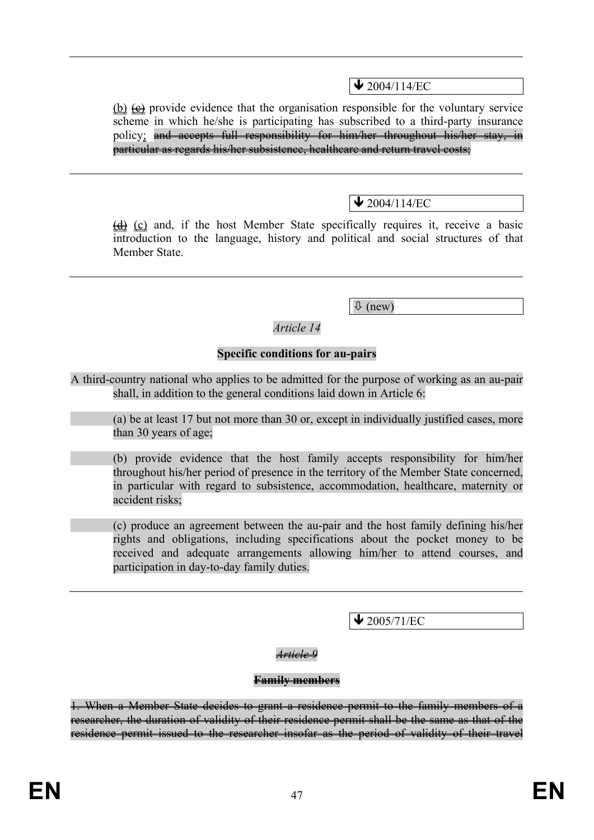(b)  $\leftrightarrow$  provide evidence that the organisation responsible for the voluntary service scheme in which he/she is participating has subscribed to a third-party insurance policy; and accepts full responsibility for him/her throughout his/her stay, in particular as regards his/her subsistence, healthcare and return travel costs;

## $\bigvee$  2004/114/EC

 $\overline{(d)}$  (c) and, if the host Member State specifically requires it, receive a basic introduction to the language, history and political and social structures of that Member State.

 $\sqrt{\theta}$  (new)

## *Article 14*

## **Specific conditions for au-pairs**

- A third-country national who applies to be admitted for the purpose of working as an au-pair shall, in addition to the general conditions laid down in Article 6:
	- (a) be at least 17 but not more than 30 or, except in individually justified cases, more than 30 years of age;
	- (b) provide evidence that the host family accepts responsibility for him/her throughout his/her period of presence in the territory of the Member State concerned, in particular with regard to subsistence, accommodation, healthcare, maternity or accident risks;
	- (c) produce an agreement between the au-pair and the host family defining his/her rights and obligations, including specifications about the pocket money to be received and adequate arrangements allowing him/her to attend courses, and participation in day-to-day family duties.

 $\blacktriangleright$  2005/71/EC

## *<u><i>Autiol*</u>

## **Family members**

1. When a Member State decides to grant a residence permit to the family members of a researcher, the duration of validity of their residence permit shall be the same as that of the residence permit issued to the researcher insofar as the period of validity of their travel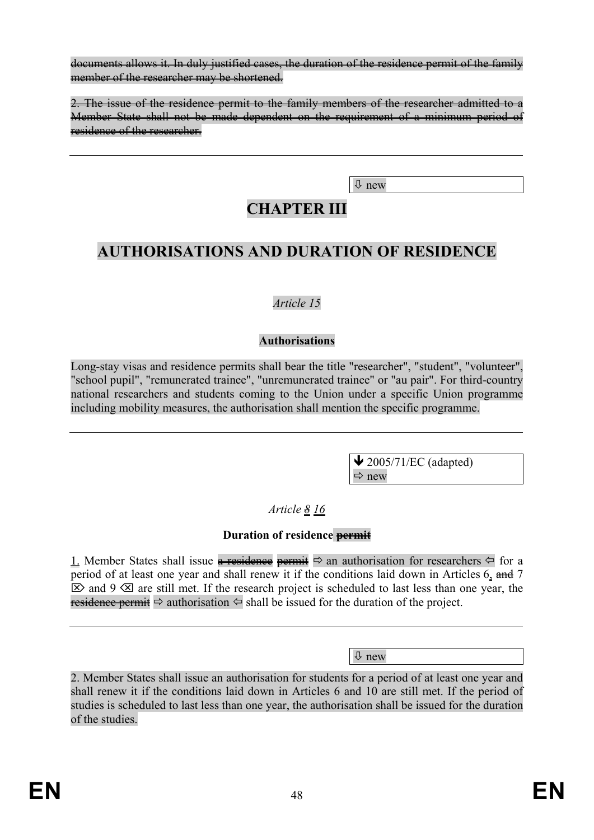documents allows it. In duly justified cases, the duration of the residence permit of the family member of the researcher may be shortened.

2. The issue of the residence permit to the family members of the researcher admitted to a Member State shall not be made dependent on the requirement of a minimum period of residence of the researcher.

new

# **CHAPTER III**

# **AUTHORISATIONS AND DURATION OF RESIDENCE**

# *Article 15*

## **Authorisations**

Long-stay visas and residence permits shall bear the title "researcher", "student", "volunteer", "school pupil", "remunerated trainee", "unremunerated trainee" or "au pair". For third-country national researchers and students coming to the Union under a specific Union programme including mobility measures, the authorisation shall mention the specific programme.

> $\triangle$  2005/71/EC (adapted)  $\Rightarrow$  new

*Article 8 16*

## **Duration of residence permit**

1. Member States shall issue a residence permit  $\Rightarrow$  an authorisation for researchers  $\Leftarrow$  for a period of at least one year and shall renew it if the conditions laid down in Articles 6, and 7  $\boxtimes$  and 9  $\boxtimes$  are still met. If the research project is scheduled to last less than one year, the residence permit  $\Rightarrow$  authorisation  $\Leftrightarrow$  shall be issued for the duration of the project.

new

2. Member States shall issue an authorisation for students for a period of at least one year and shall renew it if the conditions laid down in Articles 6 and 10 are still met. If the period of studies is scheduled to last less than one year, the authorisation shall be issued for the duration of the studies.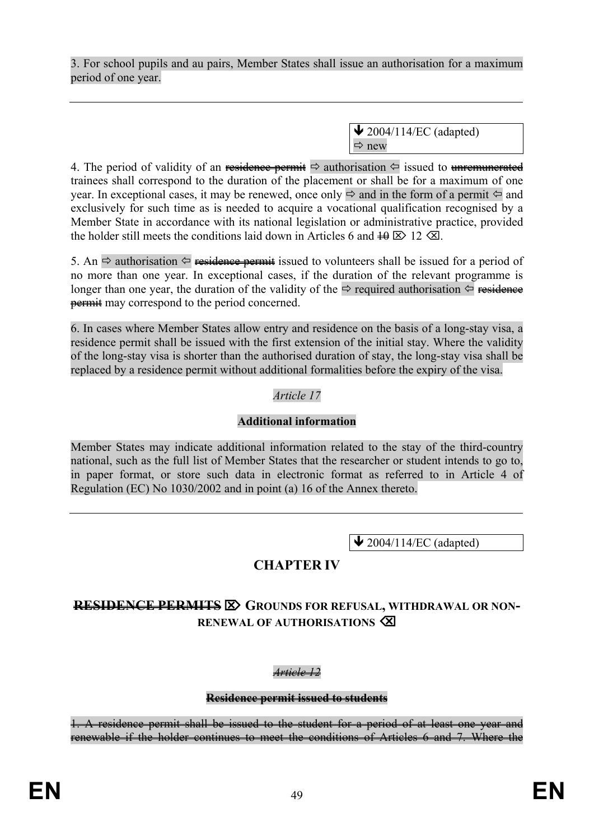3. For school pupils and au pairs, Member States shall issue an authorisation for a maximum period of one year.

> $\blacktriangleright$  2004/114/EC (adapted)  $\Rightarrow$  new

4. The period of validity of an residence permit  $\Rightarrow$  authorisation  $\Leftarrow$  issued to unremunerated trainees shall correspond to the duration of the placement or shall be for a maximum of one year. In exceptional cases, it may be renewed, once only  $\Rightarrow$  and in the form of a permit  $\Leftarrow$  and exclusively for such time as is needed to acquire a vocational qualification recognised by a Member State in accordance with its national legislation or administrative practice, provided the holder still meets the conditions laid down in Articles 6 and  $\overline{40}$   $\overline{12}$   $\overline{28}$ .

5. An  $\Rightarrow$  authorisation  $\Leftrightarrow$  residence permit issued to volunteers shall be issued for a period of no more than one year. In exceptional cases, if the duration of the relevant programme is longer than one year, the duration of the validity of the  $\Rightarrow$  required authorisation  $\Leftarrow$  residence permit may correspond to the period concerned.

6. In cases where Member States allow entry and residence on the basis of a long-stay visa, a residence permit shall be issued with the first extension of the initial stay. Where the validity of the long-stay visa is shorter than the authorised duration of stay, the long-stay visa shall be replaced by a residence permit without additional formalities before the expiry of the visa.

# *Article 17*

## **Additional information**

Member States may indicate additional information related to the stay of the third-country national, such as the full list of Member States that the researcher or student intends to go to, in paper format, or store such data in electronic format as referred to in Article 4 of Regulation (EC) No 1030/2002 and in point (a) 16 of the Annex thereto.

 $\triangle$  2004/114/EC (adapted)

# **CHAPTER IV**

# **RESIDENCE PERMITS GROUNDS FOR REFUSAL, WITHDRAWAL OR NON-RENEWAL OF AUTHORISATIONS**

## *Article 12*

## **Residence permit issued to students**

1. A residence permit shall be issued to the student for a period of at least one year and renewable if the holder continues to meet the conditions of Articles 6 and 7. Where the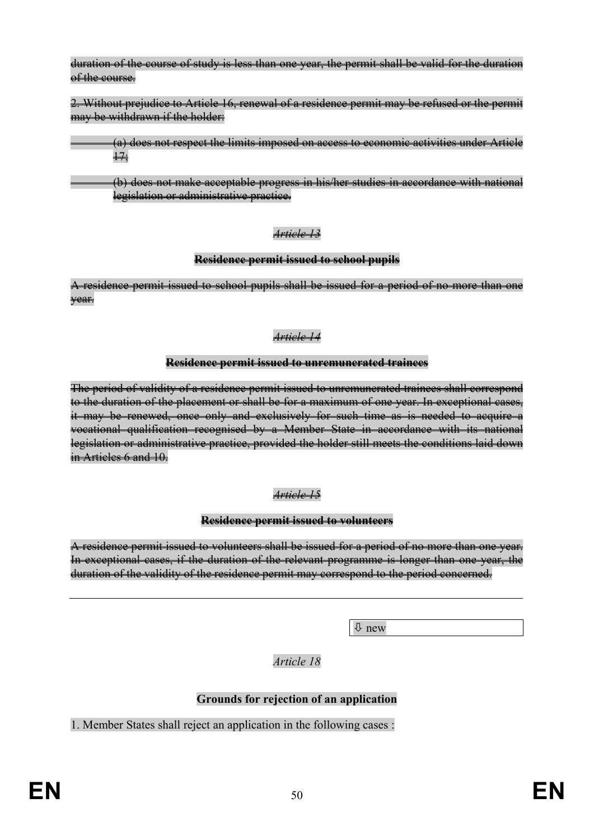duration of the course of study is less than one year, the permit shall be valid for the duration of the course.

2. Without prejudice to Article 16, renewal of a residence permit may be refused or the permit may be withdrawn if the holder:

(a) does not respect the limits imposed on access to economic activities under Article 17;

(b) does not make acceptable progress in his/her studies in accordance with national legislation or administrative practice.

### *Article 13*

### **Residence permit issued to school pupils**

A residence permit issued to school pupils shall be issued for a period of no more than one year.

### *Article 14*

### **Residence permit issued to unremunerated trainees**

The period of validity of a residence permit issued to unremunerated trainees shall correspond to the duration of the placement or shall be for a maximum of one year. In exceptional cases, it may be renewed, once only and exclusively for such time as is needed to acquire a vocational qualification recognised by a Member State in accordance with its national legislation or administrative practice, provided the holder still meets the conditions laid down in Articles 6 and 10.

## *Article 15*

### **Residence permit issued to volunteers**

A residence permit issued to volunteers shall be issued for a period of no more than one year. In exceptional cases, if the duration of the relevant programme is longer than one year, the duration of the validity of the residence permit may correspond to the period concerned.

new

## *Article 18*

## **Grounds for rejection of an application**

1. Member States shall reject an application in the following cases :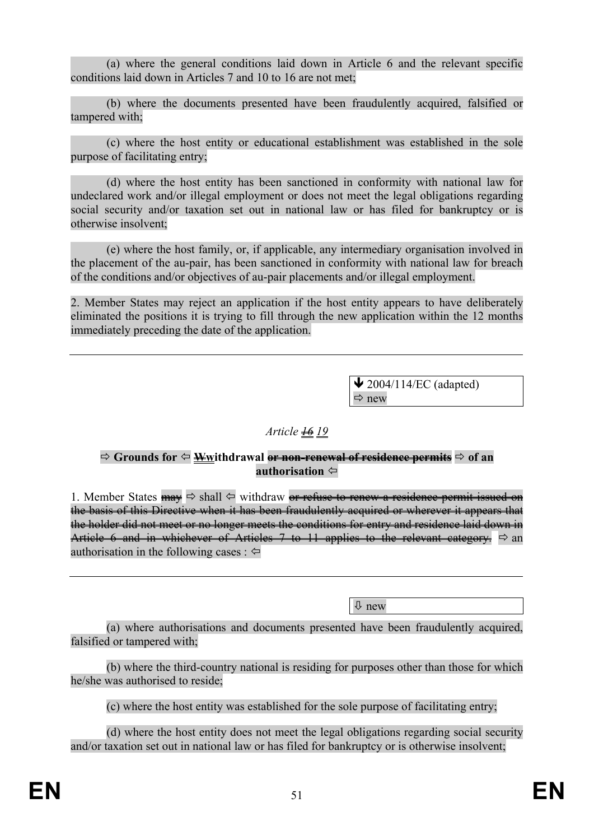(a) where the general conditions laid down in Article 6 and the relevant specific conditions laid down in Articles 7 and 10 to 16 are not met;

(b) where the documents presented have been fraudulently acquired, falsified or tampered with;

(c) where the host entity or educational establishment was established in the sole purpose of facilitating entry;

(d) where the host entity has been sanctioned in conformity with national law for undeclared work and/or illegal employment or does not meet the legal obligations regarding social security and/or taxation set out in national law or has filed for bankruptcy or is otherwise insolvent;

(e) where the host family, or, if applicable, any intermediary organisation involved in the placement of the au-pair, has been sanctioned in conformity with national law for breach of the conditions and/or objectives of au-pair placements and/or illegal employment.

2. Member States may reject an application if the host entity appears to have deliberately eliminated the positions it is trying to fill through the new application within the 12 months immediately preceding the date of the application.

> $\triangle$  2004/114/EC (adapted)  $\Rightarrow$  new

## *Article 16 19*

### $\Rightarrow$  Grounds for  $\Leftrightarrow$  When  $\angle$  **Whene We are set all of residence permits**  $\Rightarrow$  of an **authorisation**

1. Member States  $\frac{m}{n} \Rightarrow$  shall  $\Leftrightarrow$  withdraw or refuse to renew a residence permit issued on the basis of this Directive when it has been fraudulently acquired or wherever it appears that the holder did not meet or no longer meets the conditions for entry and residence laid down in Article 6 and in whichever of Articles 7 to 11 applies to the relevant category.  $\Rightarrow$  an authorisation in the following cases :  $\Leftarrow$ 

new

(a) where authorisations and documents presented have been fraudulently acquired, falsified or tampered with;

(b) where the third-country national is residing for purposes other than those for which he/she was authorised to reside;

(c) where the host entity was established for the sole purpose of facilitating entry;

(d) where the host entity does not meet the legal obligations regarding social security and/or taxation set out in national law or has filed for bankruptcy or is otherwise insolvent;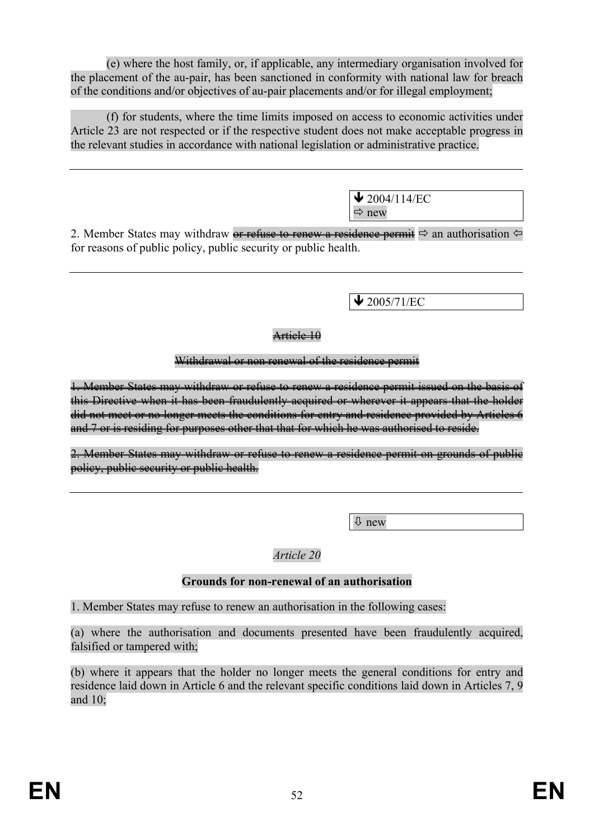(e) where the host family, or, if applicable, any intermediary organisation involved for the placement of the au-pair, has been sanctioned in conformity with national law for breach of the conditions and/or objectives of au-pair placements and/or for illegal employment;

(f) for students, where the time limits imposed on access to economic activities under Article 23 are not respected or if the respective student does not make acceptable progress in the relevant studies in accordance with national legislation or administrative practice.

> $\bigvee$  2004/114/EC  $Arr$  new

2. Member States may withdraw or refuse to renew a residence permit  $\Rightarrow$  an authorisation  $\Leftrightarrow$ for reasons of public policy, public security or public health.

 $\blacktriangleright$  2005/71/EC

## Artiele 10

## Withdrawal or non renewal of the residence permit

1. Member States may withdraw or refuse to renew a residence permit issued on the basis of this Directive when it has been fraudulently acquired or wherever it appears that the holder did not meet or no longer meets the conditions for entry and residence provided by Articles 6 and 7 or is residing for purposes other that that for which he was authorised to reside.

2. Member States may withdraw or refuse to renew a residence permit on grounds of public policy, public security or public health.

new

*Article 20*

## **Grounds for non-renewal of an authorisation**

1. Member States may refuse to renew an authorisation in the following cases:

(a) where the authorisation and documents presented have been fraudulently acquired, falsified or tampered with;

(b) where it appears that the holder no longer meets the general conditions for entry and residence laid down in Article 6 and the relevant specific conditions laid down in Articles 7, 9 and 10;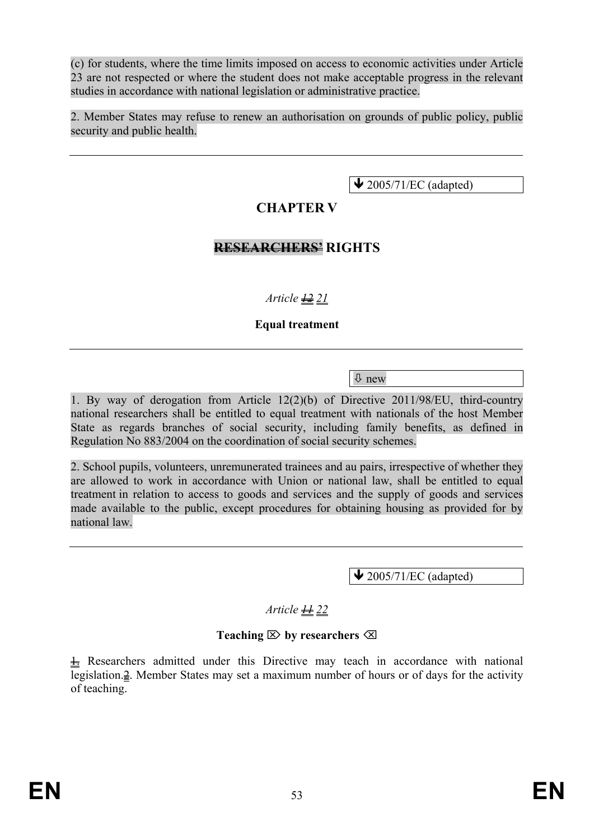(c) for students, where the time limits imposed on access to economic activities under Article 23 are not respected or where the student does not make acceptable progress in the relevant studies in accordance with national legislation or administrative practice.

2. Member States may refuse to renew an authorisation on grounds of public policy, public security and public health.

 $\triangle$  2005/71/EC (adapted)

# **CHAPTER V**

# **RESEARCHERS' RIGHTS**

*Article 12 21*

## **Equal treatment**

new

1. By way of derogation from Article 12(2)(b) of Directive 2011/98/EU, third-country national researchers shall be entitled to equal treatment with nationals of the host Member State as regards branches of social security, including family benefits, as defined in Regulation No 883/2004 on the coordination of social security schemes.

2. School pupils, volunteers, unremunerated trainees and au pairs, irrespective of whether they are allowed to work in accordance with Union or national law, shall be entitled to equal treatment in relation to access to goods and services and the supply of goods and services made available to the public, except procedures for obtaining housing as provided for by national law.

 $\triangle$  2005/71/EC (adapted)

*Article*  $#22$ 

## **Teaching**  $\boxtimes$  **by researchers**  $\boxtimes$

 $\pm$  Researchers admitted under this Directive may teach in accordance with national legislation.2. Member States may set a maximum number of hours or of days for the activity of teaching.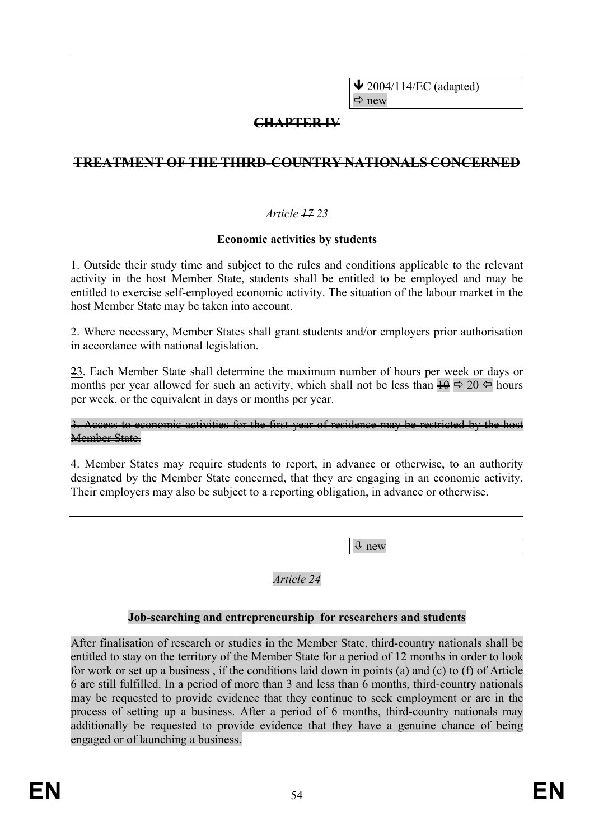$\triangle$  2004/114/EC (adapted)  $\Rightarrow$  new

# **CHAPTER IV**

# **TREATMENT OF THE THIRD-COUNTRY NATIONALS CONCERNED**

## *Article 17 23*

### **Economic activities by students**

1. Outside their study time and subject to the rules and conditions applicable to the relevant activity in the host Member State, students shall be entitled to be employed and may be entitled to exercise self-employed economic activity. The situation of the labour market in the host Member State may be taken into account.

2. Where necessary, Member States shall grant students and/or employers prior authorisation in accordance with national legislation.

23. Each Member State shall determine the maximum number of hours per week or days or months per year allowed for such an activity, which shall not be less than  $\frac{10}{10} \approx 20$   $\approx$  hours per week, or the equivalent in days or months per year.

3. Access to economic activities for the first year of residence may be restricted by the host Member State.

4. Member States may require students to report, in advance or otherwise, to an authority designated by the Member State concerned, that they are engaging in an economic activity. Their employers may also be subject to a reporting obligation, in advance or otherwise.

 $\sqrt{2}$  new

## *Article 24*

## **Job-searching and entrepreneurship for researchers and students**

After finalisation of research or studies in the Member State, third-country nationals shall be entitled to stay on the territory of the Member State for a period of 12 months in order to look for work or set up a business , if the conditions laid down in points (a) and (c) to (f) of Article 6 are still fulfilled. In a period of more than 3 and less than 6 months, third-country nationals may be requested to provide evidence that they continue to seek employment or are in the process of setting up a business. After a period of 6 months, third-country nationals may additionally be requested to provide evidence that they have a genuine chance of being engaged or of launching a business.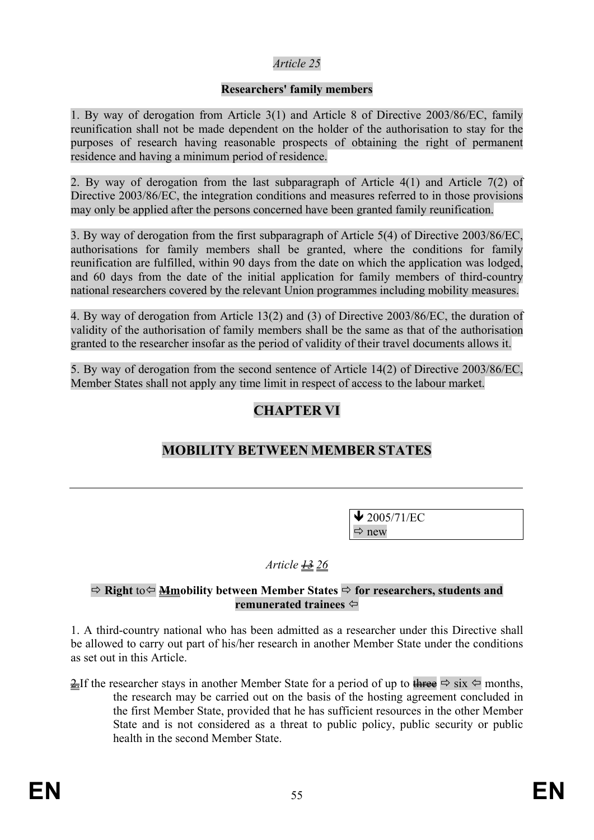## *Article 25*

## **Researchers' family members**

1. By way of derogation from Article 3(1) and Article 8 of Directive 2003/86/EC, family reunification shall not be made dependent on the holder of the authorisation to stay for the purposes of research having reasonable prospects of obtaining the right of permanent residence and having a minimum period of residence.

2. By way of derogation from the last subparagraph of Article 4(1) and Article 7(2) of Directive 2003/86/EC, the integration conditions and measures referred to in those provisions may only be applied after the persons concerned have been granted family reunification.

3. By way of derogation from the first subparagraph of Article 5(4) of Directive 2003/86/EC, authorisations for family members shall be granted, where the conditions for family reunification are fulfilled, within 90 days from the date on which the application was lodged, and 60 days from the date of the initial application for family members of third-country national researchers covered by the relevant Union programmes including mobility measures.

4. By way of derogation from Article 13(2) and (3) of Directive 2003/86/EC, the duration of validity of the authorisation of family members shall be the same as that of the authorisation granted to the researcher insofar as the period of validity of their travel documents allows it.

5. By way of derogation from the second sentence of Article 14(2) of Directive 2003/86/EC, Member States shall not apply any time limit in respect of access to the labour market.

# **CHAPTER VI**

# **MOBILITY BETWEEN MEMBER STATES**

 $\bigvee$  2005/71/EC  $\Rightarrow$  new

# *Article 13 26*

### $\Rightarrow$  **Right to**  $\Leftarrow$  **<u>Mm</u>obility between Member States**  $\Rightarrow$  **for researchers, students and remunerated trainees**

1. A third-country national who has been admitted as a researcher under this Directive shall be allowed to carry out part of his/her research in another Member State under the conditions as set out in this Article.

 $\geq$  If the researcher stays in another Member State for a period of up to three  $\Rightarrow$  six  $\Leftarrow$  months, the research may be carried out on the basis of the hosting agreement concluded in the first Member State, provided that he has sufficient resources in the other Member State and is not considered as a threat to public policy, public security or public health in the second Member State.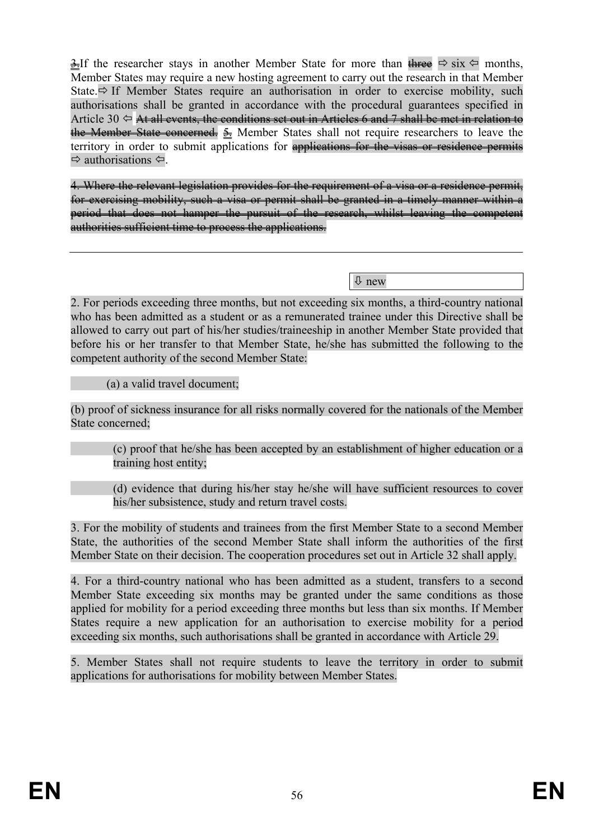$\frac{3}{2}$  if the researcher stays in another Member State for more than three  $\Rightarrow$  six  $\Leftarrow$  months, Member States may require a new hosting agreement to carry out the research in that Member State. $\Rightarrow$  If Member States require an authorisation in order to exercise mobility, such authorisations shall be granted in accordance with the procedural guarantees specified in Article 30  $\Leftrightarrow$  At all events, the conditions set out in Articles 6 and 7 shall be met in relation to the Member State concerned.  $\frac{5}{27}$  Member States shall not require researchers to leave the territory in order to submit applications for applications for the visas or residence permits  $\Rightarrow$  authorisations  $\Leftrightarrow$ 

4. Where the relevant legislation provides for the requirement of a visa or a residence permit, for exercising mobility, such a visa or permit shall be granted in a timely manner within a period that does not hamper the pursuit of the research, whilst leaving the competent authorities sufficient time to process the applications.

new

2. For periods exceeding three months, but not exceeding six months, a third-country national who has been admitted as a student or as a remunerated trainee under this Directive shall be allowed to carry out part of his/her studies/traineeship in another Member State provided that before his or her transfer to that Member State, he/she has submitted the following to the competent authority of the second Member State:

(a) a valid travel document;

(b) proof of sickness insurance for all risks normally covered for the nationals of the Member State concerned;

(c) proof that he/she has been accepted by an establishment of higher education or a training host entity;

(d) evidence that during his/her stay he/she will have sufficient resources to cover his/her subsistence, study and return travel costs.

3. For the mobility of students and trainees from the first Member State to a second Member State, the authorities of the second Member State shall inform the authorities of the first Member State on their decision. The cooperation procedures set out in Article 32 shall apply.

4. For a third-country national who has been admitted as a student, transfers to a second Member State exceeding six months may be granted under the same conditions as those applied for mobility for a period exceeding three months but less than six months. If Member States require a new application for an authorisation to exercise mobility for a period exceeding six months, such authorisations shall be granted in accordance with Article 29.

5. Member States shall not require students to leave the territory in order to submit applications for authorisations for mobility between Member States.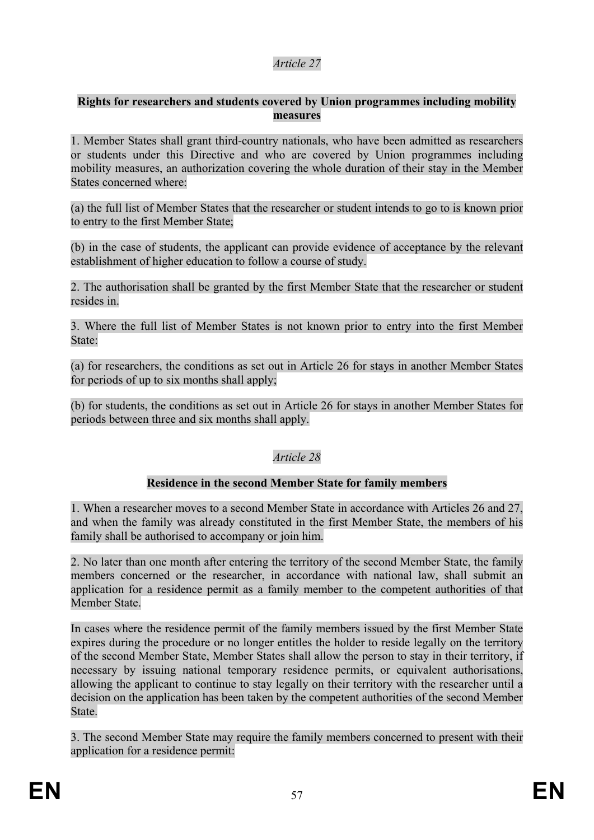## *Article 27*

### **Rights for researchers and students covered by Union programmes including mobility measures**

1. Member States shall grant third-country nationals, who have been admitted as researchers or students under this Directive and who are covered by Union programmes including mobility measures, an authorization covering the whole duration of their stay in the Member States concerned where:

(a) the full list of Member States that the researcher or student intends to go to is known prior to entry to the first Member State;

(b) in the case of students, the applicant can provide evidence of acceptance by the relevant establishment of higher education to follow a course of study.

2. The authorisation shall be granted by the first Member State that the researcher or student resides in.

3. Where the full list of Member States is not known prior to entry into the first Member State:

(a) for researchers, the conditions as set out in Article 26 for stays in another Member States for periods of up to six months shall apply;

(b) for students, the conditions as set out in Article 26 for stays in another Member States for periods between three and six months shall apply.

## *Article 28*

### **Residence in the second Member State for family members**

1. When a researcher moves to a second Member State in accordance with Articles 26 and 27, and when the family was already constituted in the first Member State, the members of his family shall be authorised to accompany or join him.

2. No later than one month after entering the territory of the second Member State, the family members concerned or the researcher, in accordance with national law, shall submit an application for a residence permit as a family member to the competent authorities of that Member State.

In cases where the residence permit of the family members issued by the first Member State expires during the procedure or no longer entitles the holder to reside legally on the territory of the second Member State, Member States shall allow the person to stay in their territory, if necessary by issuing national temporary residence permits, or equivalent authorisations, allowing the applicant to continue to stay legally on their territory with the researcher until a decision on the application has been taken by the competent authorities of the second Member State.

3. The second Member State may require the family members concerned to present with their application for a residence permit: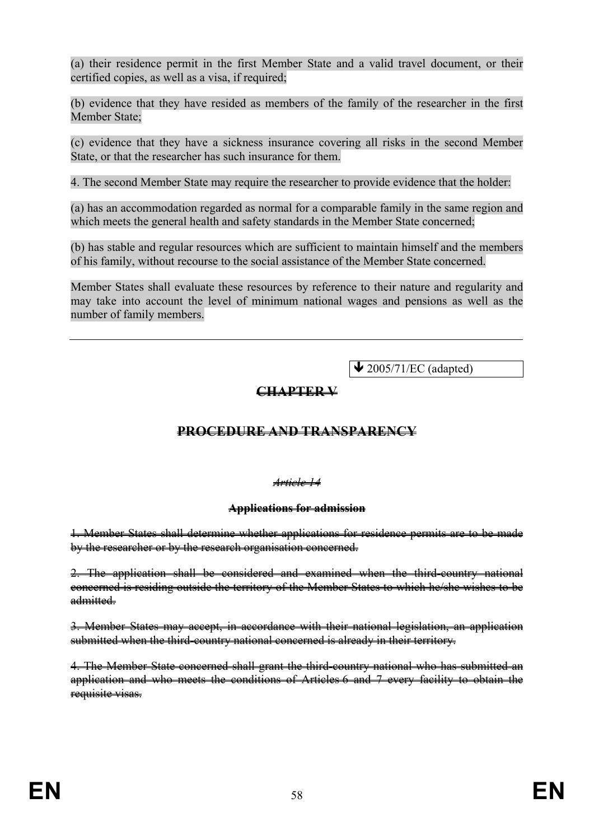(a) their residence permit in the first Member State and a valid travel document, or their certified copies, as well as a visa, if required;

(b) evidence that they have resided as members of the family of the researcher in the first Member State;

(c) evidence that they have a sickness insurance covering all risks in the second Member State, or that the researcher has such insurance for them.

4. The second Member State may require the researcher to provide evidence that the holder:

(a) has an accommodation regarded as normal for a comparable family in the same region and which meets the general health and safety standards in the Member State concerned;

(b) has stable and regular resources which are sufficient to maintain himself and the members of his family, without recourse to the social assistance of the Member State concerned.

Member States shall evaluate these resources by reference to their nature and regularity and may take into account the level of minimum national wages and pensions as well as the number of family members.

 $\bigvee$  2005/71/EC (adapted)

# **CHAPTER V**

## **PROCEDURE AND TRANSPARENCY**

#### *Article 14*

### **Applications for admission**

1. Member States shall determine whether applications for residence permits are to be made by the researcher or by the research organisation concerned.

2. The application shall be considered and examined when the third-country national concerned is residing outside the territory of the Member States to which he/she wishes to be admitted.

3. Member States may accept, in accordance with their national legislation, an application submitted when the third-country national concerned is already in their territory.

4. The Member State concerned shall grant the third-country national who has submitted an application and who meets the conditions of Articles 6 and 7 every facility to obtain the requisite visas.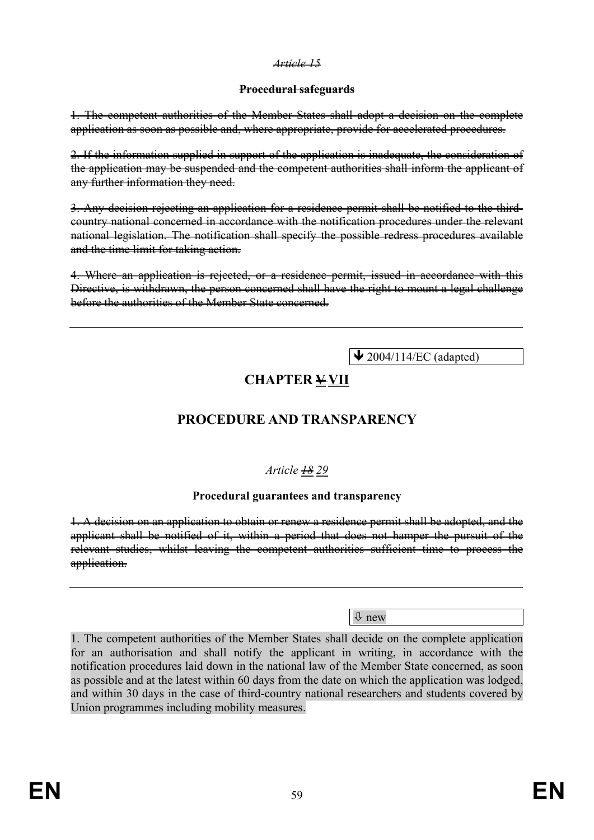### *Article 15*

### **Procedural safeguards**

1. The competent authorities of the Member States shall adopt a decision on the complete application as soon as possible and, where appropriate, provide for accelerated procedures.

2. If the information supplied in support of the application is inadequate, the consideration of the application may be suspended and the competent authorities shall inform the applicant of any further information they need.

3. Any decision rejecting an application for a residence permit shall be notified to the thirdcountry national concerned in accordance with the notification procedures under the relevant national legislation. The notification shall specify the possible redress procedures available and the time limit for taking action.

4. Where an application is rejected, or a residence permit, issued in accordance with this Directive, is withdrawn, the person concerned shall have the right to mount a legal challenge before the authorities of the Member State concerned.

 $\triangle$  2004/114/EC (adapted)

# **CHAPTER**  $Y$  **VII**</u>

# **PROCEDURE AND TRANSPARENCY**

## *Article 18 29*

## **Procedural guarantees and transparency**

1. A decision on an application to obtain or renew a residence permit shall be adopted, and the applicant shall be notified of it, within a period that does not hamper the pursuit of the relevant studies, whilst leaving the competent authorities sufficient time to process the application.

new

1. The competent authorities of the Member States shall decide on the complete application for an authorisation and shall notify the applicant in writing, in accordance with the notification procedures laid down in the national law of the Member State concerned, as soon as possible and at the latest within 60 days from the date on which the application was lodged, and within 30 days in the case of third-country national researchers and students covered by Union programmes including mobility measures.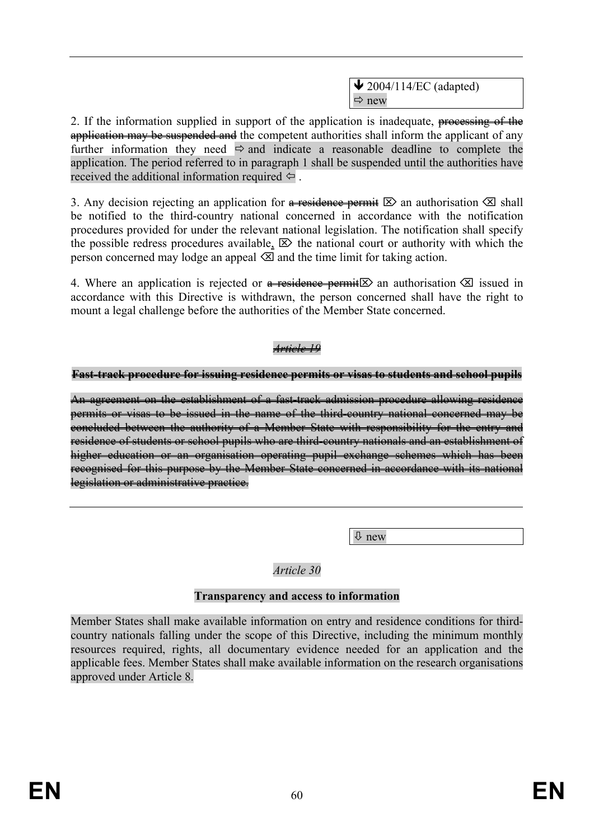$\triangle$  2004/114/EC (adapted)  $\Rightarrow$  new

2. If the information supplied in support of the application is inadequate, processing of the application may be suspended and the competent authorities shall inform the applicant of any further information they need  $\Rightarrow$  and indicate a reasonable deadline to complete the application. The period referred to in paragraph 1 shall be suspended until the authorities have received the additional information required  $\Leftrightarrow$ .

3. Any decision rejecting an application for a residence permit  $\boxtimes$  an authorisation  $\boxtimes$  shall be notified to the third-country national concerned in accordance with the notification procedures provided for under the relevant national legislation. The notification shall specify the possible redress procedures available,  $\boxtimes$  the national court or authority with which the person concerned may lodge an appeal  $\otimes$  and the time limit for taking action.

4. Where an application is rejected or  $\theta$  residence permit  $\otimes$  an authorisation  $\otimes$  issued in accordance with this Directive is withdrawn, the person concerned shall have the right to mount a legal challenge before the authorities of the Member State concerned.

### *Article 19*

### **Fast-track procedure for issuing residence permits or visas to students and school pupils**

An agreement on the establishment of a fast-track admission procedure allowing residence permits or visas to be issued in the name of the third-country national concerned may be concluded between the authority of a Member State with responsibility for the entry and residence of students or school pupils who are third-country nationals and an establishment of higher education or an organisation operating pupil exchange schemes which has been recognised for this purpose by the Member State concerned in accordance with its national legislation or administrative practice.

new

## *Article 30*

## **Transparency and access to information**

Member States shall make available information on entry and residence conditions for thirdcountry nationals falling under the scope of this Directive, including the minimum monthly resources required, rights, all documentary evidence needed for an application and the applicable fees. Member States shall make available information on the research organisations approved under Article 8.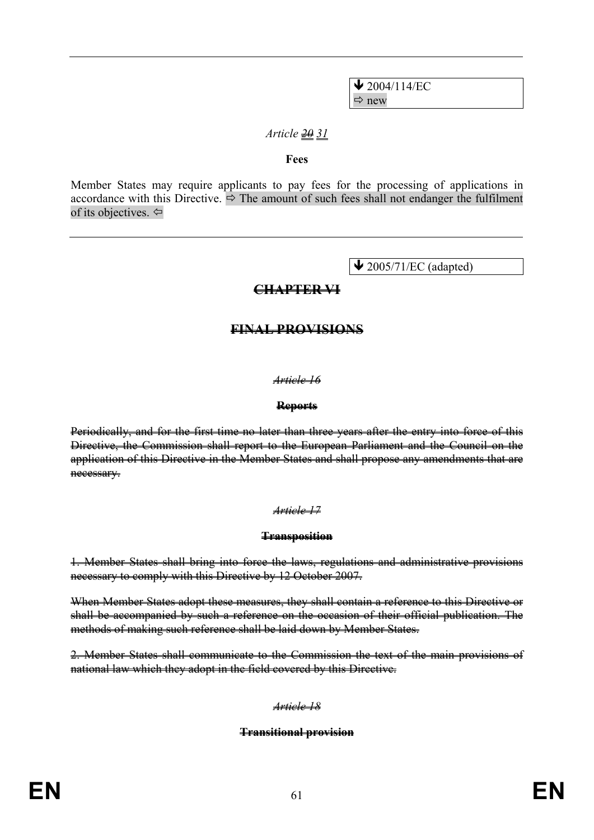$\sqrt{2004/114/EC}$  $\Rightarrow$  new

### *Article 20 31*

#### **Fees**

Member States may require applicants to pay fees for the processing of applications in accordance with this Directive.  $\Rightarrow$  The amount of such fees shall not endanger the fulfilment of its objectives.  $\Leftrightarrow$ 

 $\triangle$  2005/71/EC (adapted)

### **CHAPTER VI**

## **FINAL PROVISIONS**

#### *Article 16*

#### **Reports**

Periodically, and for the first time no later than three years after the entry into force of this Directive, the Commission shall report to the European Parliament and the Council on the application of this Directive in the Member States and shall propose any amendments that are necessary.

#### *Article 17*

#### **Transposition**

1. Member States shall bring into force the laws, regulations and administrative provisions necessary to comply with this Directive by 12 October 2007.

When Member States adopt these measures, they shall contain a reference to this Directive or shall be accompanied by such a reference on the occasion of their official publication. The methods of making such reference shall be laid down by Member States.

2. Member States shall communicate to the Commission the text of the main provisions of national law which they adopt in the field covered by this Directive.

*Article 18*

#### **Transitional provision**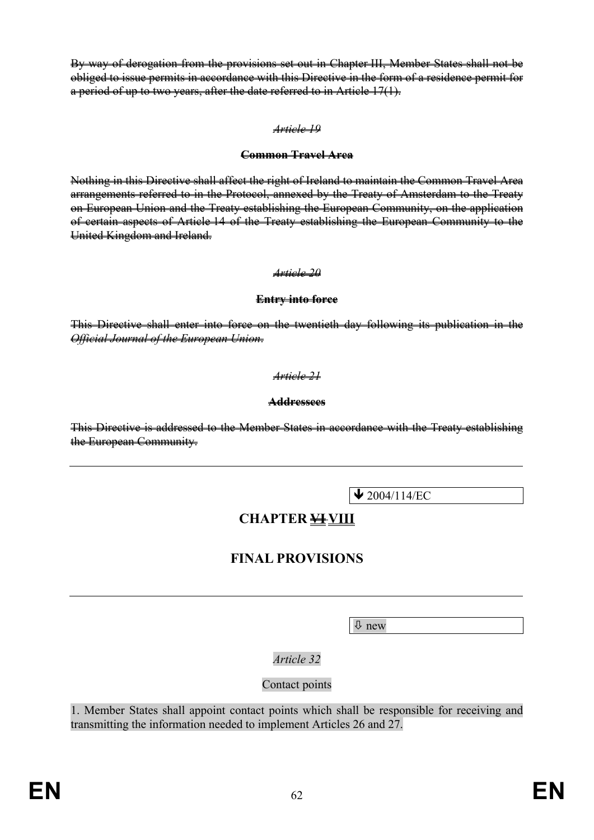By way of derogation from the provisions set out in Chapter III, Member States shall not be obliged to issue permits in accordance with this Directive in the form of a residence permit for a period of up to two years, after the date referred to in Article 17(1).

### *Article 19*

### **Common Travel Area**

Nothing in this Directive shall affect the right of Ireland to maintain the Common Travel Area arrangements referred to in the Protocol, annexed by the Treaty of Amsterdam to the Treaty on European Union and the Treaty establishing the European Community, on the application of certain aspects of Article 14 of the Treaty establishing the European Community to the United Kingdom and Ireland.

### *Article 20*

### **Entry into force**

This Directive shall enter into force on the twentieth day following its publication in the *Official Journal of the European Union*.

### *Article 21*

### **Addressees**

This Directive is addressed to the Member States in accordance with the Treaty establishing the European Community.

 $\bigvee$  2004/114/EC

# **CHAPTER VI VIII**

# **FINAL PROVISIONS**

new

*Article 32*

## Contact points

1. Member States shall appoint contact points which shall be responsible for receiving and transmitting the information needed to implement Articles 26 and 27.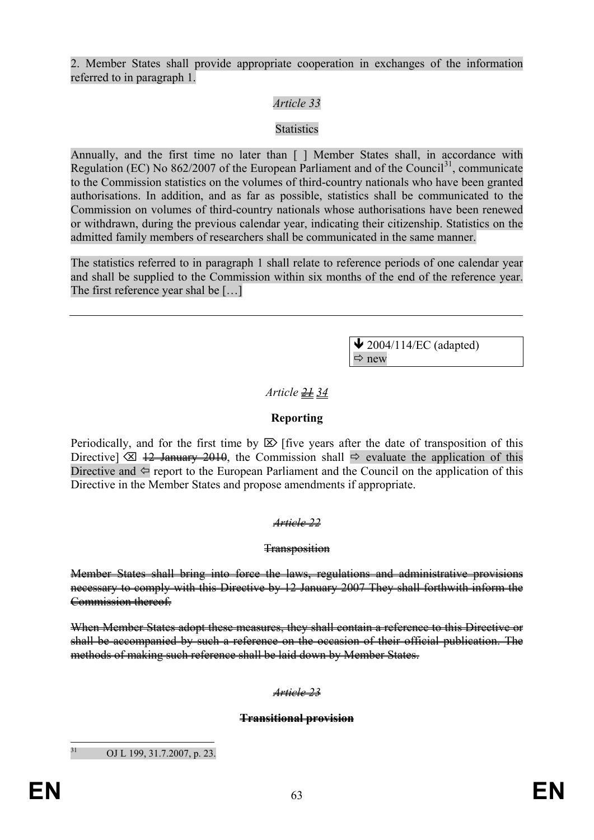2. Member States shall provide appropriate cooperation in exchanges of the information referred to in paragraph 1.

## *Article 33*

## **Statistics**

Annually, and the first time no later than [ ] Member States shall, in accordance with Regulation (EC) No  $862/2007$  of the European Parliament and of the Council<sup>31</sup>, communicate to the Commission statistics on the volumes of third-country nationals who have been granted authorisations. In addition, and as far as possible, statistics shall be communicated to the Commission on volumes of third-country nationals whose authorisations have been renewed or withdrawn, during the previous calendar year, indicating their citizenship. Statistics on the admitted family members of researchers shall be communicated in the same manner.

The statistics referred to in paragraph 1 shall relate to reference periods of one calendar year and shall be supplied to the Commission within six months of the end of the reference year. The first reference year shal be […]

> $\bigvee$  2004/114/EC (adapted)  $\Rightarrow$  new

# *Article 21 34*

# **Reporting**

Periodically, and for the first time by  $\boxtimes$  [five years after the date of transposition of this Directive]  $\otimes$  12 January 2010, the Commission shall  $\Rightarrow$  evaluate the application of this Directive and  $\Leftarrow$  report to the European Parliament and the Council on the application of this Directive in the Member States and propose amendments if appropriate.

## *Article 22*

## Transposition

Member States shall bring into force the laws, regulations and administrative provisions necessary to comply with this Directive by 12 January 2007 They shall forthwith inform the Commission thereof.

When Member States adopt these measures, they shall contain a reference to this Directive or shall be accompanied by such a reference on the occasion of their official publication. The methods of making such reference shall be laid down by Member States.

*Article 23*

## **Transitional provision**

<span id="page-63-0"></span> $31$  OJ L 199, 31.7.2007, p. 23.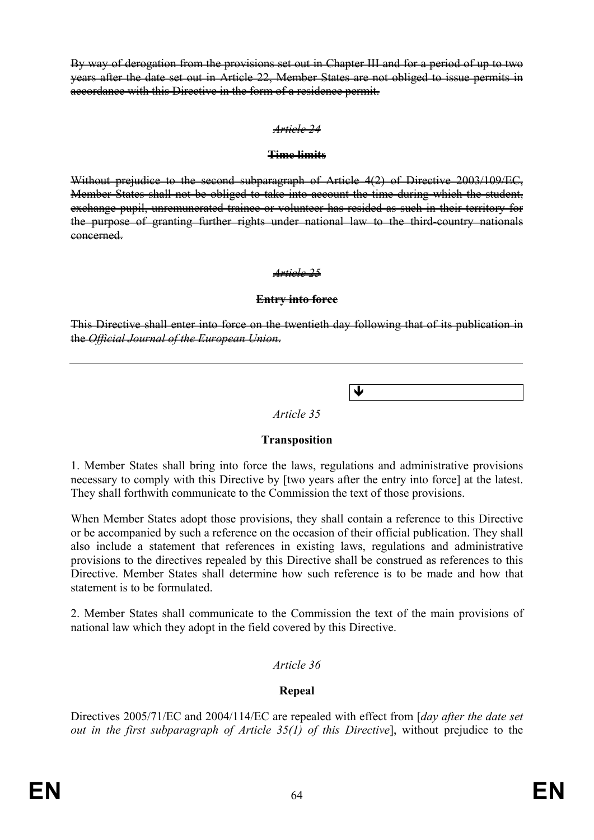By way of derogation from the provisions set out in Chapter III and for a period of up to two years after the date set out in Article 22, Member States are not obliged to issue permits in accordance with this Directive in the form of a residence permit.

### *Article 24*

#### **Time limits**

Without prejudice to the second subparagraph of Article 4(2) of Directive 2003/109/EC. Member States shall not be obliged to take into account the time during which the student, exchange pupil, unremunerated trainee or volunteer has resided as such in their territory for the purpose of granting further rights under national law to the third-country nationals eoncerned.

### *Article 25*

### **Entry into force**

This Directive shall enter into force on the twentieth day following that of its publication in the *Official Journal of the European Union*.

↓

### *Article 35*

### **Transposition**

1. Member States shall bring into force the laws, regulations and administrative provisions necessary to comply with this Directive by [two years after the entry into force] at the latest. They shall forthwith communicate to the Commission the text of those provisions.

When Member States adopt those provisions, they shall contain a reference to this Directive or be accompanied by such a reference on the occasion of their official publication. They shall also include a statement that references in existing laws, regulations and administrative provisions to the directives repealed by this Directive shall be construed as references to this Directive. Member States shall determine how such reference is to be made and how that statement is to be formulated.

2. Member States shall communicate to the Commission the text of the main provisions of national law which they adopt in the field covered by this Directive.

## *Article 36*

### **Repeal**

Directives 2005/71/EC and 2004/114/EC are repealed with effect from [*day after the date set out in the first subparagraph of Article 35(1) of this Directive*], without prejudice to the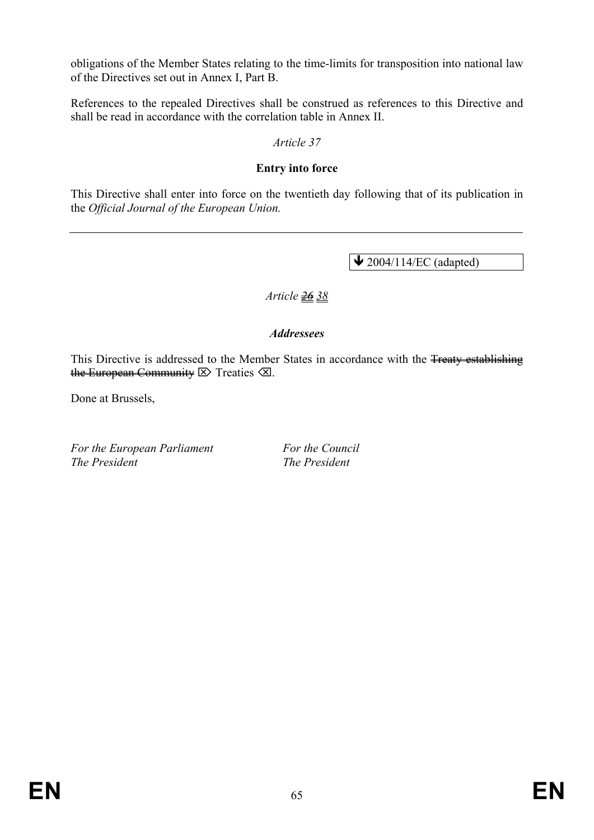obligations of the Member States relating to the time-limits for transposition into national law of the Directives set out in Annex I, Part B.

References to the repealed Directives shall be construed as references to this Directive and shall be read in accordance with the correlation table in Annex II.

## *Article 37*

## **Entry into force**

This Directive shall enter into force on the twentieth day following that of its publication in the *Official Journal of the European Union.*

 $\triangle$  2004/114/EC (adapted)

## *Article 26 38*

## *Addressees*

This Directive is addressed to the Member States in accordance with the Treaty establishing the European Community  $\boxtimes$  Treaties  $\boxtimes$ .

Done at Brussels,

*For the European Parliament For the Council The President The President*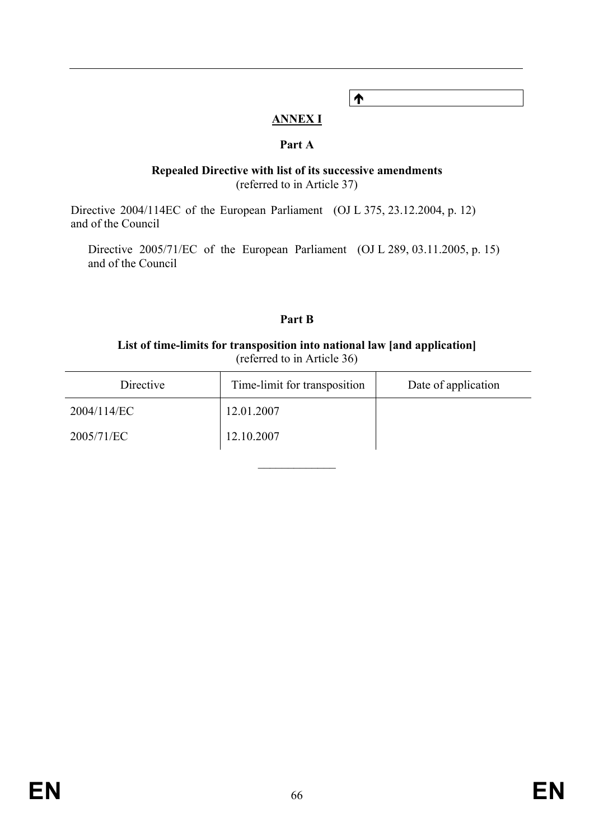# $\blacktriangle$

# **ANNEX I**

# **Part A**

### **Repealed Directive with list of its successive amendments** (referred to in Article 37)

Directive 2004/114EC of the European Parliament (OJ L 375, 23.12.2004, p. 12) and of the Council

Directive 2005/71/EC of the European Parliament (OJ L 289, 03.11.2005, p. 15) and of the Council

## **Part B**

## **List of time-limits for transposition into national law [and application]** (referred to in Article 36)

| Directive   | Time-limit for transposition | Date of application |
|-------------|------------------------------|---------------------|
| 2004/114/EC | 12.01.2007                   |                     |
| 2005/71/EC  | 12.10.2007                   |                     |

 $\frac{1}{2}$  ,  $\frac{1}{2}$  ,  $\frac{1}{2}$  ,  $\frac{1}{2}$  ,  $\frac{1}{2}$  ,  $\frac{1}{2}$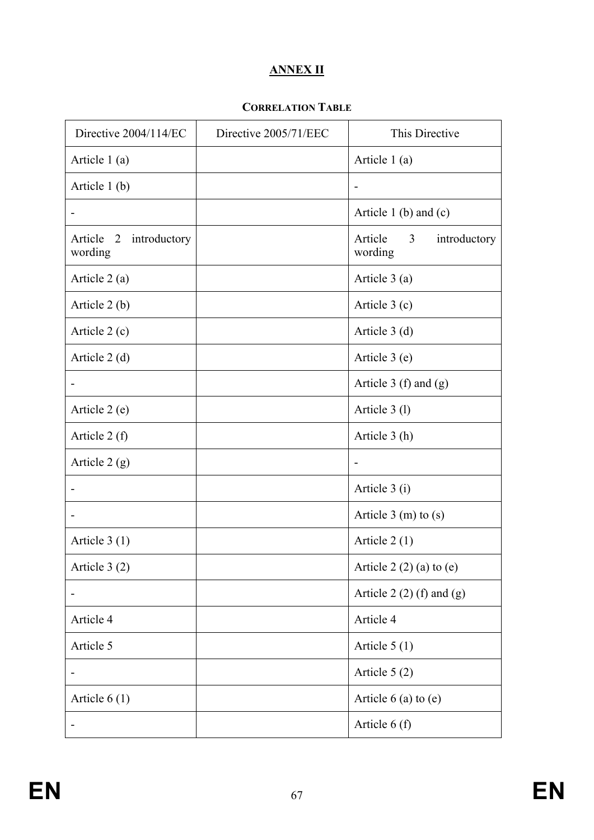# **ANNEX II**

## **CORRELATION TABLE**

| Directive 2004/114/EC                | Directive 2005/71/EEC | This Directive                                       |
|--------------------------------------|-----------------------|------------------------------------------------------|
| Article 1 (a)                        |                       | Article 1 (a)                                        |
| Article 1 (b)                        |                       |                                                      |
|                                      |                       | Article 1 $(b)$ and $(c)$                            |
| introductory<br>Article 2<br>wording |                       | Article<br>$\mathfrak{Z}$<br>introductory<br>wording |
| Article 2 (a)                        |                       | Article 3 (a)                                        |
| Article $2(b)$                       |                       | Article $3(c)$                                       |
| Article 2 (c)                        |                       | Article 3 (d)                                        |
| Article $2(d)$                       |                       | Article 3 (e)                                        |
|                                      |                       | Article $3(f)$ and $(g)$                             |
| Article 2 (e)                        |                       | Article 3 (1)                                        |
| Article 2 (f)                        |                       | Article 3 (h)                                        |
| Article $2(g)$                       |                       |                                                      |
|                                      |                       | Article 3 (i)                                        |
|                                      |                       | Article $3$ (m) to (s)                               |
| Article $3(1)$                       |                       | Article $2(1)$                                       |
| Article $3(2)$                       |                       | Article $2(2)(a)$ to $(e)$                           |
| $\qquad \qquad \blacksquare$         |                       | Article 2 $(2)$ (f) and $(g)$                        |
| Article 4                            |                       | Article 4                                            |
| Article 5                            |                       | Article $5(1)$                                       |
|                                      |                       | Article $5(2)$                                       |
| Article $6(1)$                       |                       | Article $6$ (a) to (e)                               |
|                                      |                       | Article $6(f)$                                       |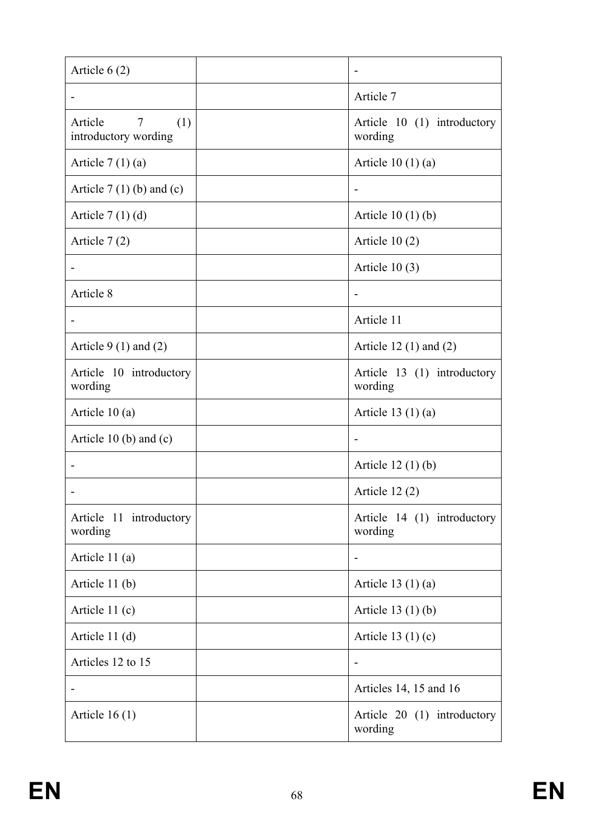| Article $6(2)$                              |                                        |
|---------------------------------------------|----------------------------------------|
|                                             | Article 7                              |
| (1)<br>Article<br>7<br>introductory wording | Article 10 (1) introductory<br>wording |
| Article $7(1)(a)$                           | Article $10(1)(a)$                     |
| Article $7(1)(b)$ and $(c)$                 |                                        |
| Article $7(1)(d)$                           | Article $10(1)(b)$                     |
| Article $7(2)$                              | Article $10(2)$                        |
|                                             | Article $10(3)$                        |
| Article 8                                   | $\blacksquare$                         |
|                                             | Article 11                             |
| Article $9(1)$ and $(2)$                    | Article 12 $(1)$ and $(2)$             |
| Article 10 introductory<br>wording          | Article 13 (1) introductory<br>wording |
| Article $10(a)$                             | Article 13 (1) (a)                     |
| Article 10 $(b)$ and $(c)$                  |                                        |
|                                             | Article $12(1)(b)$                     |
|                                             | Article $12(2)$                        |
| Article 11 introductory<br>wording          | Article 14 (1) introductory<br>wording |
| Article 11 (a)                              | $\overline{\phantom{a}}$               |
| Article 11(b)                               | Article 13 $(1)(a)$                    |
| Article 11 (c)                              | Article $13(1)(b)$                     |
| Article $11(d)$                             | Article $13(1)(c)$                     |
| Articles 12 to 15                           |                                        |
|                                             | Articles 14, 15 and 16                 |
| Article $16(1)$                             | Article 20 (1) introductory<br>wording |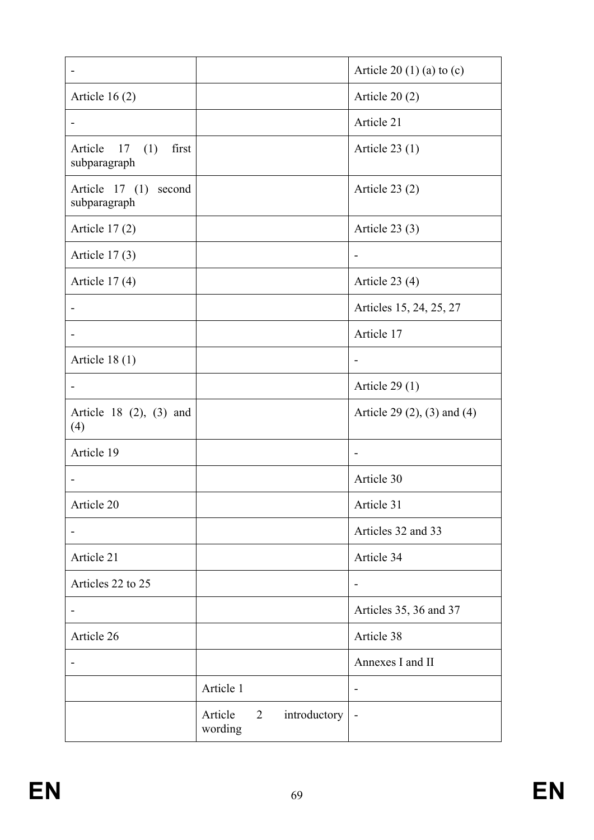|                                               |                                         | Article 20 $(1)$ $(a)$ to $(c)$    |
|-----------------------------------------------|-----------------------------------------|------------------------------------|
| Article $16(2)$                               |                                         | Article $20(2)$                    |
|                                               |                                         | Article 21                         |
| (1)<br>Article<br>17<br>first<br>subparagraph |                                         | Article $23(1)$                    |
| Article $17(1)$<br>second<br>subparagraph     |                                         | Article $23(2)$                    |
| Article $17(2)$                               |                                         | Article $23(3)$                    |
| Article $17(3)$                               |                                         | $\overline{\phantom{a}}$           |
| Article $17(4)$                               |                                         | Article $23(4)$                    |
|                                               |                                         | Articles 15, 24, 25, 27            |
|                                               |                                         | Article 17                         |
| Article $18(1)$                               |                                         |                                    |
| $\overline{a}$                                |                                         | Article $29(1)$                    |
| Article 18 $(2)$ , $(3)$ and<br>(4)           |                                         | Article 29 $(2)$ , $(3)$ and $(4)$ |
| Article 19                                    |                                         | $\overline{\phantom{a}}$           |
|                                               |                                         | Article 30                         |
| Article 20                                    |                                         | Article 31                         |
| $\overline{\phantom{a}}$                      |                                         | Articles 32 and 33                 |
| Article 21                                    |                                         | Article 34                         |
| Articles 22 to 25                             |                                         | $\overline{\phantom{a}}$           |
|                                               |                                         | Articles 35, 36 and 37             |
| Article 26                                    |                                         | Article 38                         |
|                                               |                                         | Annexes I and II                   |
|                                               | Article 1                               |                                    |
|                                               | Article<br>2<br>introductory<br>wording | $\blacksquare$                     |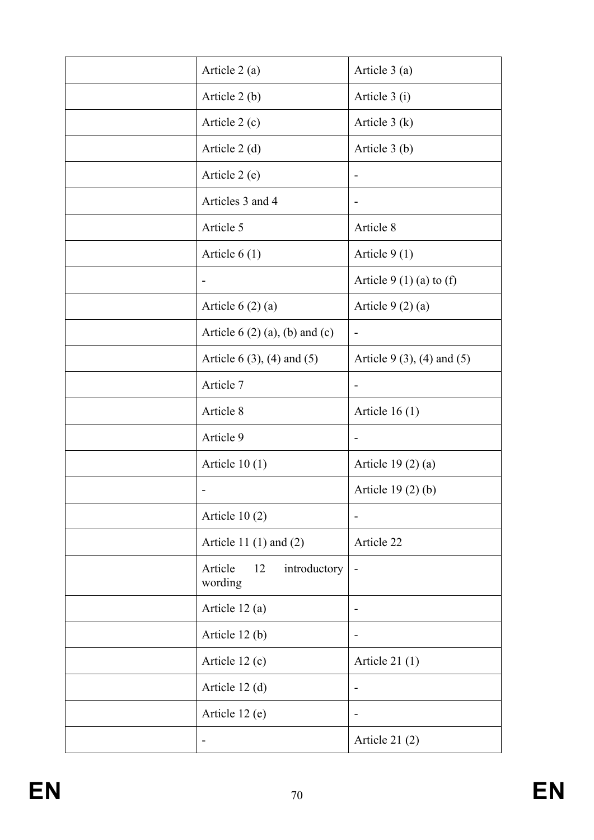| Article 2 (a)                            | Article 3 (a)                     |
|------------------------------------------|-----------------------------------|
| Article 2 (b)                            | Article 3 (i)                     |
| Article $2(c)$                           | Article $3(k)$                    |
| Article $2(d)$                           | Article $3(b)$                    |
| Article 2 (e)                            | $\overline{\phantom{a}}$          |
| Articles 3 and 4                         | $\overline{\phantom{a}}$          |
| Article 5                                | Article 8                         |
| Article $6(1)$                           | Article $9(1)$                    |
|                                          | Article $9(1)(a)$ to (f)          |
| Article $6(2)(a)$                        | Article $9(2)(a)$                 |
| Article $6(2)(a)$ , $(b)$ and $(c)$      | $\overline{\phantom{a}}$          |
| Article $6(3)$ , $(4)$ and $(5)$         | Article 9 $(3)$ , $(4)$ and $(5)$ |
| Article 7                                |                                   |
| Article 8                                | Article $16(1)$                   |
| Article 9                                |                                   |
| Article $10(1)$                          | Article $19(2)(a)$                |
|                                          | Article $19(2)(b)$                |
| Article $10(2)$                          |                                   |
| Article 11 $(1)$ and $(2)$               | Article 22                        |
| Article<br>introductory<br>12<br>wording | $\overline{\phantom{a}}$          |
| Article 12 (a)                           |                                   |
| Article 12 (b)                           | $\overline{\phantom{a}}$          |
| Article 12 (c)                           | Article $21(1)$                   |
| Article 12 (d)                           | $\overline{\phantom{0}}$          |
| Article 12 (e)                           |                                   |
| $\overline{\phantom{0}}$                 | Article $21(2)$                   |